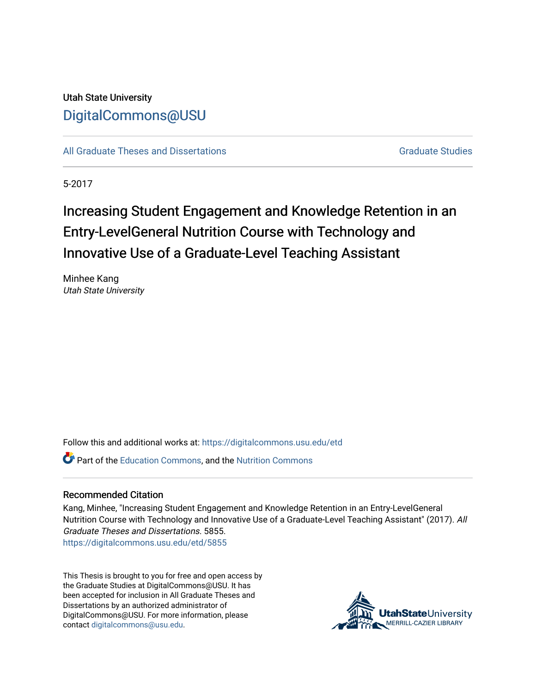## Utah State University [DigitalCommons@USU](https://digitalcommons.usu.edu/)

[All Graduate Theses and Dissertations](https://digitalcommons.usu.edu/etd) [Graduate Studies](https://digitalcommons.usu.edu/gradstudies) Graduate Studies

5-2017

# Increasing Student Engagement and Knowledge Retention in an Entry-LevelGeneral Nutrition Course with Technology and Innovative Use of a Graduate-Level Teaching Assistant

Minhee Kang Utah State University

Follow this and additional works at: [https://digitalcommons.usu.edu/etd](https://digitalcommons.usu.edu/etd?utm_source=digitalcommons.usu.edu%2Fetd%2F5855&utm_medium=PDF&utm_campaign=PDFCoverPages) 

Part of the [Education Commons](http://network.bepress.com/hgg/discipline/784?utm_source=digitalcommons.usu.edu%2Fetd%2F5855&utm_medium=PDF&utm_campaign=PDFCoverPages), and the [Nutrition Commons](http://network.bepress.com/hgg/discipline/95?utm_source=digitalcommons.usu.edu%2Fetd%2F5855&utm_medium=PDF&utm_campaign=PDFCoverPages)

#### Recommended Citation

Kang, Minhee, "Increasing Student Engagement and Knowledge Retention in an Entry-LevelGeneral Nutrition Course with Technology and Innovative Use of a Graduate-Level Teaching Assistant" (2017). All Graduate Theses and Dissertations. 5855.

[https://digitalcommons.usu.edu/etd/5855](https://digitalcommons.usu.edu/etd/5855?utm_source=digitalcommons.usu.edu%2Fetd%2F5855&utm_medium=PDF&utm_campaign=PDFCoverPages)

This Thesis is brought to you for free and open access by the Graduate Studies at DigitalCommons@USU. It has been accepted for inclusion in All Graduate Theses and Dissertations by an authorized administrator of DigitalCommons@USU. For more information, please contact [digitalcommons@usu.edu](mailto:digitalcommons@usu.edu).

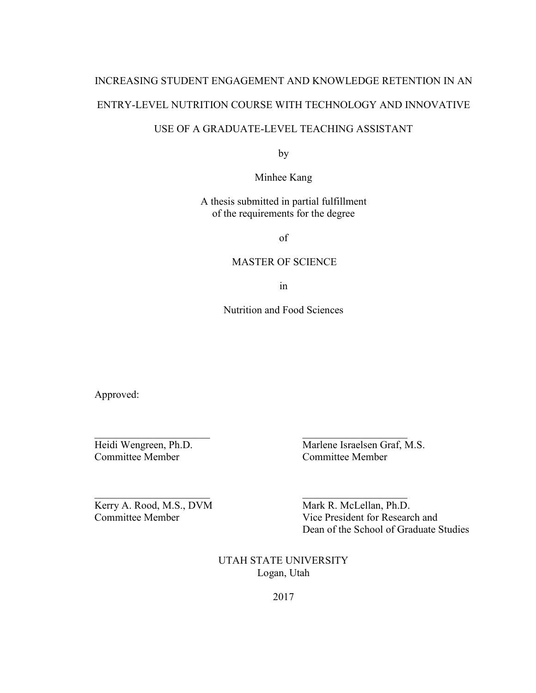# INCREASING STUDENT ENGAGEMENT AND KNOWLEDGE RETENTION IN AN ENTRY-LEVEL NUTRITION COURSE WITH TECHNOLOGY AND INNOVATIVE

### USE OF A GRADUATE-LEVEL TEACHING ASSISTANT

by

Minhee Kang

A thesis submitted in partial fulfillment of the requirements for the degree

of

#### MASTER OF SCIENCE

in

Nutrition and Food Sciences

\_\_\_\_\_\_\_\_\_\_\_\_\_\_\_\_\_\_\_\_\_\_ \_\_\_\_\_\_\_\_\_\_\_\_\_\_\_\_\_\_\_\_

\_\_\_\_\_\_\_\_\_\_\_\_\_\_\_\_\_\_\_\_\_\_ \_\_\_\_\_\_\_\_\_\_\_\_\_\_\_\_\_\_\_\_

Approved:

Committee Member Committee Member

Heidi Wengreen, Ph.D. Marlene Israelsen Graf, M.S.

Kerry A. Rood, M.S., DVM Mark R. McLellan, Ph.D.

Committee Member Vice President for Research and Dean of the School of Graduate Studies

> UTAH STATE UNIVERSITY Logan, Utah

> > 2017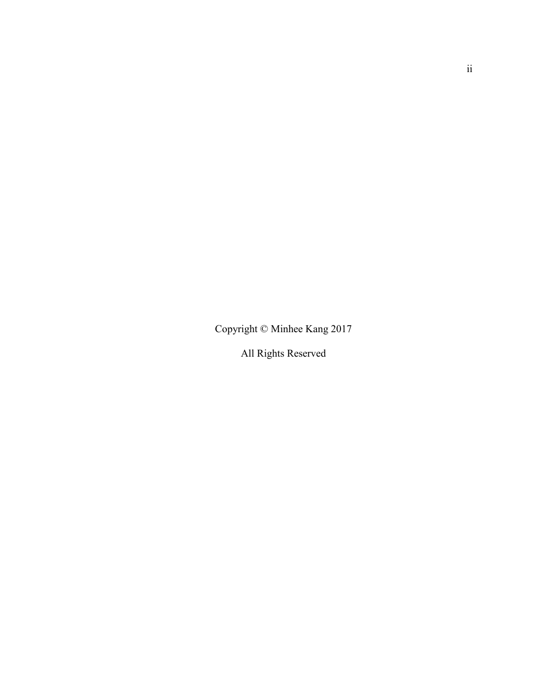Copyright © Minhee Kang 2017

All Rights Reserved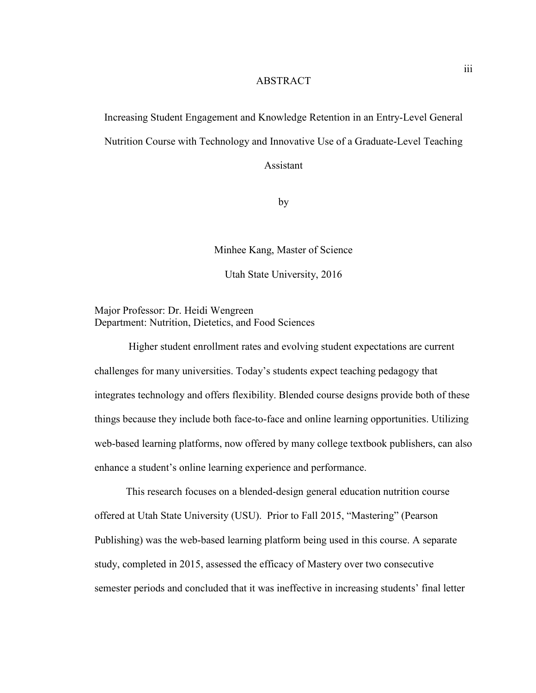#### **ABSTRACT**

Increasing Student Engagement and Knowledge Retention in an Entry-Level General Nutrition Course with Technology and Innovative Use of a Graduate-Level Teaching

Assistant

by

Minhee Kang, Master of Science

Utah State University, 2016

Major Professor: Dr. Heidi Wengreen Department: Nutrition, Dietetics, and Food Sciences

 Higher student enrollment rates and evolving student expectations are current challenges for many universities. Today's students expect teaching pedagogy that integrates technology and offers flexibility. Blended course designs provide both of these things because they include both face-to-face and online learning opportunities. Utilizing web-based learning platforms, now offered by many college textbook publishers, can also enhance a student's online learning experience and performance.

This research focuses on a blended-design general education nutrition course offered at Utah State University (USU). Prior to Fall 2015, "Mastering" (Pearson Publishing) was the web-based learning platform being used in this course. A separate study, completed in 2015, assessed the efficacy of Mastery over two consecutive semester periods and concluded that it was ineffective in increasing students' final letter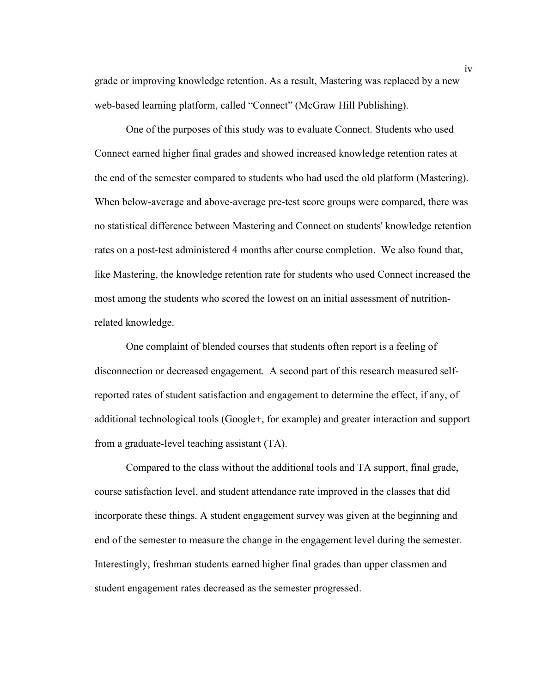grade or improving knowledge retention. As a result, Mastering was replaced by a new web-based learning platform, called "Connect" (McGraw Hill Publishing).

One of the purposes of this study was to evaluate Connect. Students who used Connect earned higher final grades and showed increased knowledge retention rates at the end of the semester compared to students who had used the old platform (Mastering). When below-average and above-average pre-test score groups were compared, there was no statistical difference between Mastering and Connect on students' knowledge retention rates on a post-test administered 4 months after course completion. We also found that, like Mastering, the knowledge retention rate for students who used Connect increased the most among the students who scored the lowest on an initial assessment of nutritionrelated knowledge.

One complaint of blended courses that students often report is a feeling of disconnection or decreased engagement. A second part of this research measured selfreported rates of student satisfaction and engagement to determine the effect, if any, of additional technological tools (Google+, for example) and greater interaction and support from a graduate-level teaching assistant (TA).

Compared to the class without the additional tools and TA support, final grade, course satisfaction level, and student attendance rate improved in the classes that did incorporate these things. A student engagement survey was given at the beginning and end of the semester to measure the change in the engagement level during the semester. Interestingly, freshman students earned higher final grades than upper classmen and student engagement rates decreased as the semester progressed.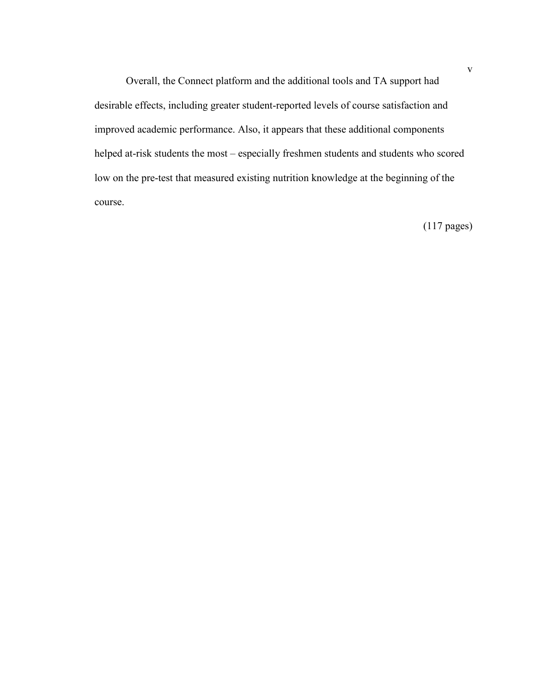Overall, the Connect platform and the additional tools and TA support had desirable effects, including greater student-reported levels of course satisfaction and improved academic performance. Also, it appears that these additional components helped at-risk students the most – especially freshmen students and students who scored low on the pre-test that measured existing nutrition knowledge at the beginning of the course.

(117 pages)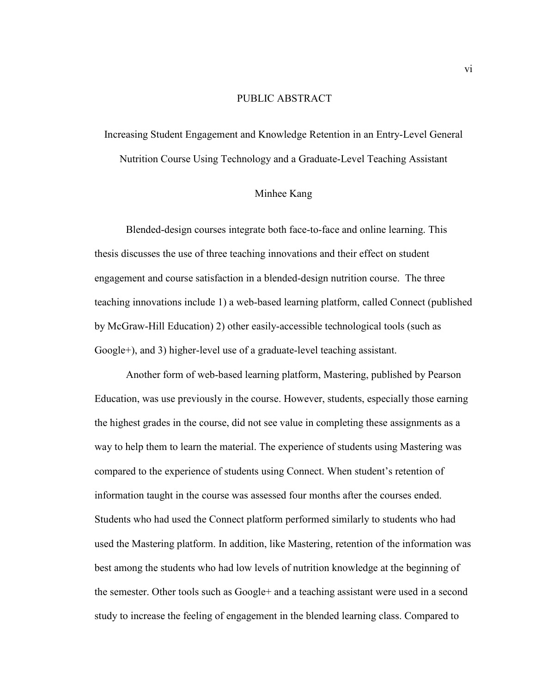#### PUBLIC ABSTRACT

Increasing Student Engagement and Knowledge Retention in an Entry-Level General Nutrition Course Using Technology and a Graduate-Level Teaching Assistant

#### Minhee Kang

Blended-design courses integrate both face-to-face and online learning. This thesis discusses the use of three teaching innovations and their effect on student engagement and course satisfaction in a blended-design nutrition course. The three teaching innovations include 1) a web-based learning platform, called Connect (published by McGraw-Hill Education) 2) other easily-accessible technological tools (such as Google+), and 3) higher-level use of a graduate-level teaching assistant.

Another form of web-based learning platform, Mastering, published by Pearson Education, was use previously in the course. However, students, especially those earning the highest grades in the course, did not see value in completing these assignments as a way to help them to learn the material. The experience of students using Mastering was compared to the experience of students using Connect. When student's retention of information taught in the course was assessed four months after the courses ended. Students who had used the Connect platform performed similarly to students who had used the Mastering platform. In addition, like Mastering, retention of the information was best among the students who had low levels of nutrition knowledge at the beginning of the semester. Other tools such as Google+ and a teaching assistant were used in a second study to increase the feeling of engagement in the blended learning class. Compared to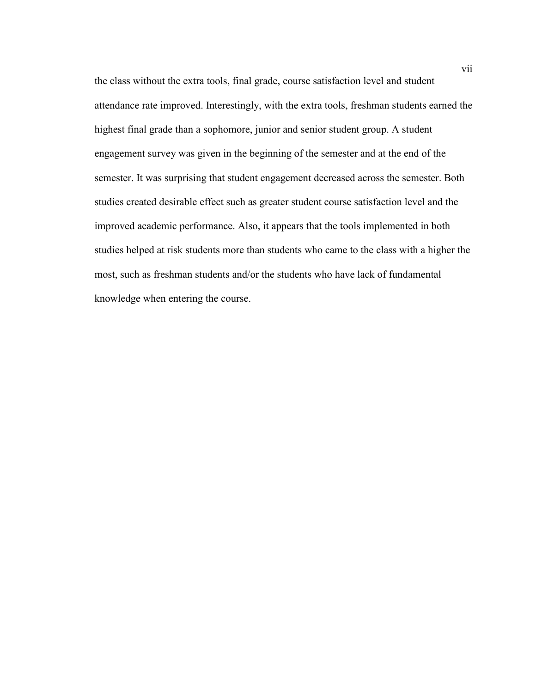the class without the extra tools, final grade, course satisfaction level and student attendance rate improved. Interestingly, with the extra tools, freshman students earned the highest final grade than a sophomore, junior and senior student group. A student engagement survey was given in the beginning of the semester and at the end of the semester. It was surprising that student engagement decreased across the semester. Both studies created desirable effect such as greater student course satisfaction level and the improved academic performance. Also, it appears that the tools implemented in both studies helped at risk students more than students who came to the class with a higher the most, such as freshman students and/or the students who have lack of fundamental knowledge when entering the course.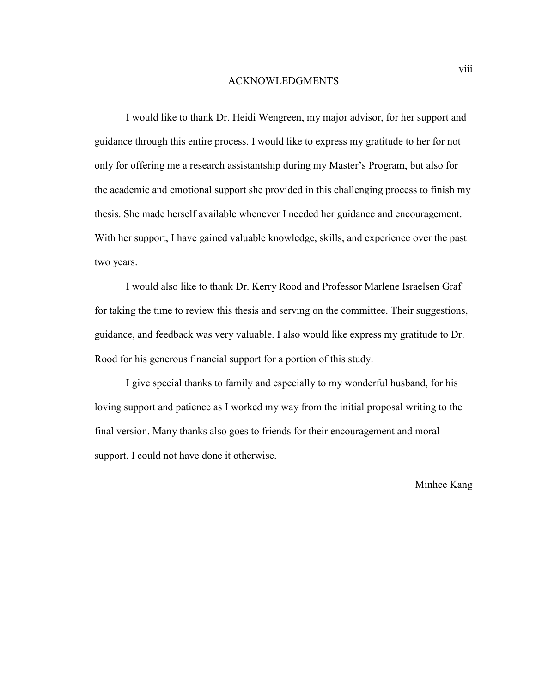#### ACKNOWLEDGMENTS

I would like to thank Dr. Heidi Wengreen, my major advisor, for her support and guidance through this entire process. I would like to express my gratitude to her for not only for offering me a research assistantship during my Master's Program, but also for the academic and emotional support she provided in this challenging process to finish my thesis. She made herself available whenever I needed her guidance and encouragement. With her support, I have gained valuable knowledge, skills, and experience over the past two years.

I would also like to thank Dr. Kerry Rood and Professor Marlene Israelsen Graf for taking the time to review this thesis and serving on the committee. Their suggestions, guidance, and feedback was very valuable. I also would like express my gratitude to Dr. Rood for his generous financial support for a portion of this study.

I give special thanks to family and especially to my wonderful husband, for his loving support and patience as I worked my way from the initial proposal writing to the final version. Many thanks also goes to friends for their encouragement and moral support. I could not have done it otherwise.

Minhee Kang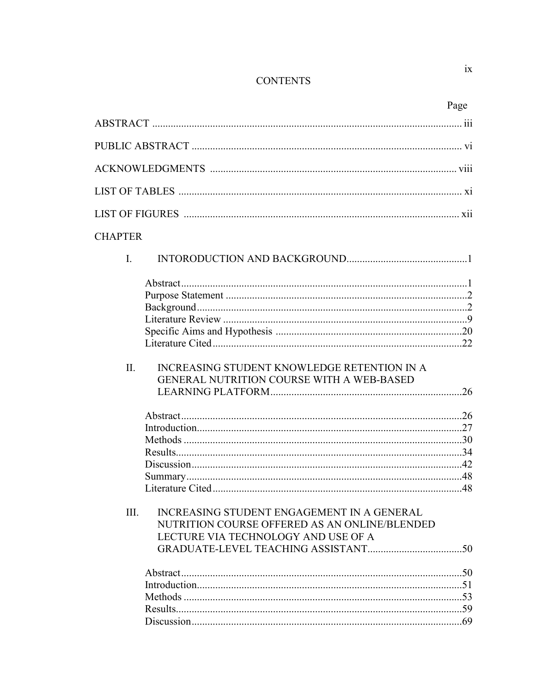## **CONTENTS**

|                |                                                                                                                                    | Page |
|----------------|------------------------------------------------------------------------------------------------------------------------------------|------|
|                |                                                                                                                                    |      |
|                |                                                                                                                                    |      |
|                |                                                                                                                                    |      |
|                |                                                                                                                                    |      |
|                |                                                                                                                                    |      |
| <b>CHAPTER</b> |                                                                                                                                    |      |
| $\mathbf{I}$ . |                                                                                                                                    |      |
|                |                                                                                                                                    |      |
|                |                                                                                                                                    |      |
|                |                                                                                                                                    |      |
|                |                                                                                                                                    |      |
|                |                                                                                                                                    |      |
|                |                                                                                                                                    |      |
| $\Pi$ .        | INCREASING STUDENT KNOWLEDGE RETENTION IN A<br>GENERAL NUTRITION COURSE WITH A WEB-BASED                                           |      |
|                |                                                                                                                                    |      |
|                |                                                                                                                                    |      |
|                |                                                                                                                                    |      |
|                |                                                                                                                                    |      |
|                |                                                                                                                                    |      |
|                |                                                                                                                                    |      |
| III.           | INCREASING STUDENT ENGAGEMENT IN A GENERAL<br>NUTRITION COURSE OFFERED AS AN ONLINE/BLENDED<br>LECTURE VIA TECHNOLOGY AND USE OF A |      |
|                |                                                                                                                                    |      |
|                |                                                                                                                                    |      |
|                |                                                                                                                                    |      |
|                |                                                                                                                                    |      |
|                |                                                                                                                                    |      |
|                |                                                                                                                                    |      |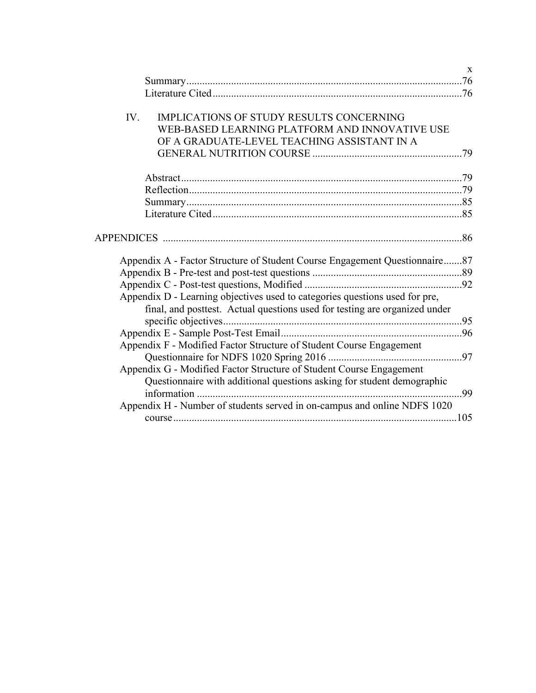|                                                                             | $\mathbf{X}$<br>.76 |
|-----------------------------------------------------------------------------|---------------------|
|                                                                             |                     |
| <b>IMPLICATIONS OF STUDY RESULTS CONCERNING</b><br>IV.                      |                     |
| WEB-BASED LEARNING PLATFORM AND INNOVATIVE USE                              |                     |
| OF A GRADUATE-LEVEL TEACHING ASSISTANT IN A                                 |                     |
|                                                                             |                     |
|                                                                             |                     |
|                                                                             |                     |
|                                                                             |                     |
|                                                                             |                     |
|                                                                             |                     |
|                                                                             |                     |
|                                                                             |                     |
|                                                                             |                     |
| Appendix A - Factor Structure of Student Course Engagement Questionnaire87  |                     |
|                                                                             |                     |
|                                                                             |                     |
| Appendix D - Learning objectives used to categories questions used for pre, |                     |
| final, and posttest. Actual questions used for testing are organized under  |                     |
|                                                                             |                     |
|                                                                             |                     |
| Appendix F - Modified Factor Structure of Student Course Engagement         |                     |
|                                                                             |                     |
| Appendix G - Modified Factor Structure of Student Course Engagement         |                     |
| Questionnaire with additional questions asking for student demographic      |                     |
|                                                                             |                     |
| Appendix H - Number of students served in on-campus and online NDFS 1020    |                     |
|                                                                             |                     |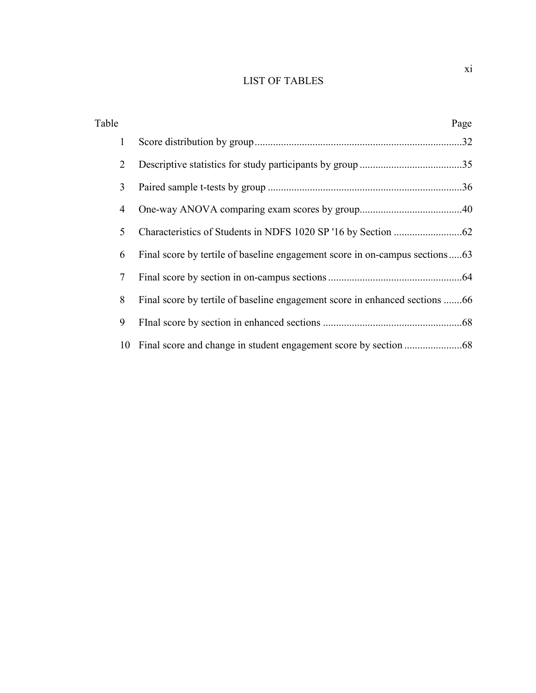## LIST OF TABLES

| Table | Page |
|-------|------|
| 1     |      |
| 2     |      |
| 3     |      |
| 4     |      |
| 5     |      |
| 6     |      |
| 7     |      |
| 8     |      |
| 9     |      |
| 10    |      |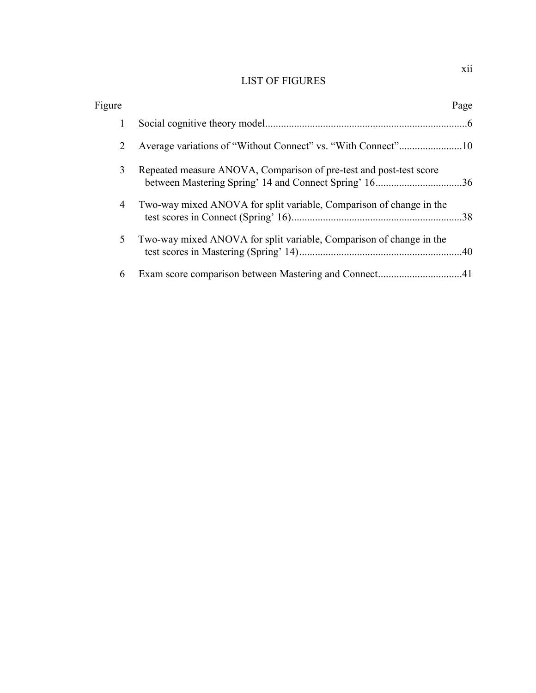## LIST OF FIGURES

| Figure |                                                                     | Page |
|--------|---------------------------------------------------------------------|------|
| 1      |                                                                     |      |
| 2      |                                                                     |      |
| 3      | Repeated measure ANOVA, Comparison of pre-test and post-test score  |      |
| 4      | Two-way mixed ANOVA for split variable, Comparison of change in the |      |
| 5      | Two-way mixed ANOVA for split variable, Comparison of change in the |      |
| 6      |                                                                     |      |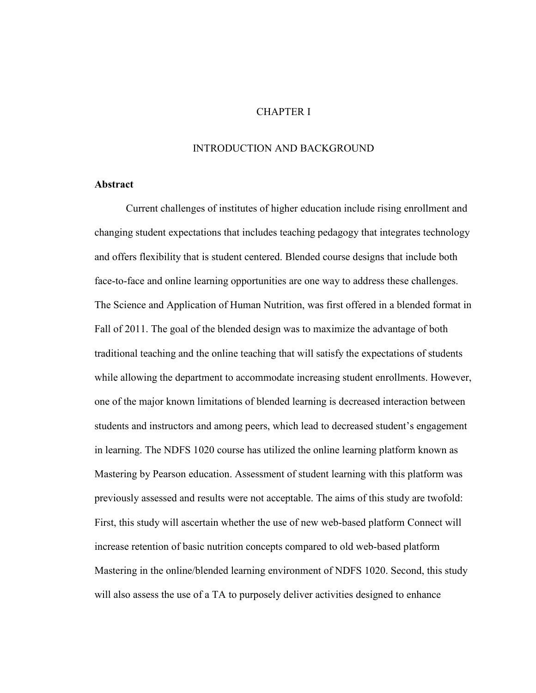#### CHAPTER I

#### INTRODUCTION AND BACKGROUND

#### **Abstract**

Current challenges of institutes of higher education include rising enrollment and changing student expectations that includes teaching pedagogy that integrates technology and offers flexibility that is student centered. Blended course designs that include both face-to-face and online learning opportunities are one way to address these challenges. The Science and Application of Human Nutrition, was first offered in a blended format in Fall of 2011. The goal of the blended design was to maximize the advantage of both traditional teaching and the online teaching that will satisfy the expectations of students while allowing the department to accommodate increasing student enrollments. However, one of the major known limitations of blended learning is decreased interaction between students and instructors and among peers, which lead to decreased student's engagement in learning. The NDFS 1020 course has utilized the online learning platform known as Mastering by Pearson education. Assessment of student learning with this platform was previously assessed and results were not acceptable. The aims of this study are twofold: First, this study will ascertain whether the use of new web-based platform Connect will increase retention of basic nutrition concepts compared to old web-based platform Mastering in the online/blended learning environment of NDFS 1020. Second, this study will also assess the use of a TA to purposely deliver activities designed to enhance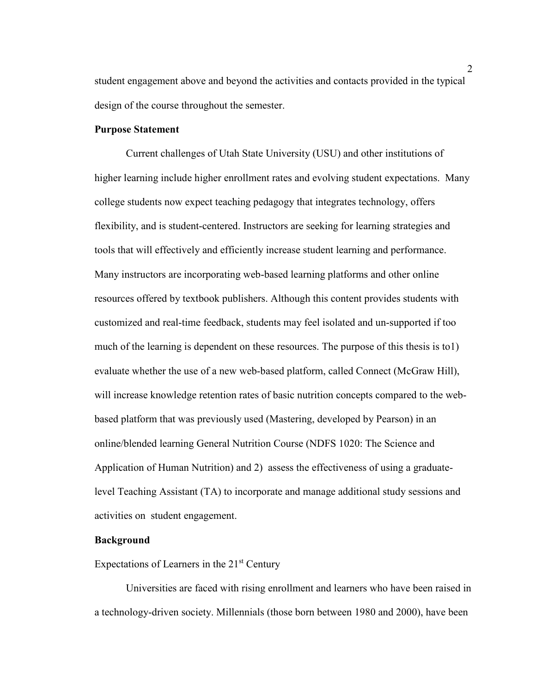student engagement above and beyond the activities and contacts provided in the typical design of the course throughout the semester.

#### **Purpose Statement**

Current challenges of Utah State University (USU) and other institutions of higher learning include higher enrollment rates and evolving student expectations. Many college students now expect teaching pedagogy that integrates technology, offers flexibility, and is student-centered. Instructors are seeking for learning strategies and tools that will effectively and efficiently increase student learning and performance. Many instructors are incorporating web-based learning platforms and other online resources offered by textbook publishers. Although this content provides students with customized and real-time feedback, students may feel isolated and un-supported if too much of the learning is dependent on these resources. The purpose of this thesis is to1) evaluate whether the use of a new web-based platform, called Connect (McGraw Hill), will increase knowledge retention rates of basic nutrition concepts compared to the webbased platform that was previously used (Mastering, developed by Pearson) in an online/blended learning General Nutrition Course (NDFS 1020: The Science and Application of Human Nutrition) and 2) assess the effectiveness of using a graduatelevel Teaching Assistant (TA) to incorporate and manage additional study sessions and activities on student engagement.

#### **Background**

Expectations of Learners in the  $21<sup>st</sup>$  Century

Universities are faced with rising enrollment and learners who have been raised in a technology-driven society. Millennials (those born between 1980 and 2000), have been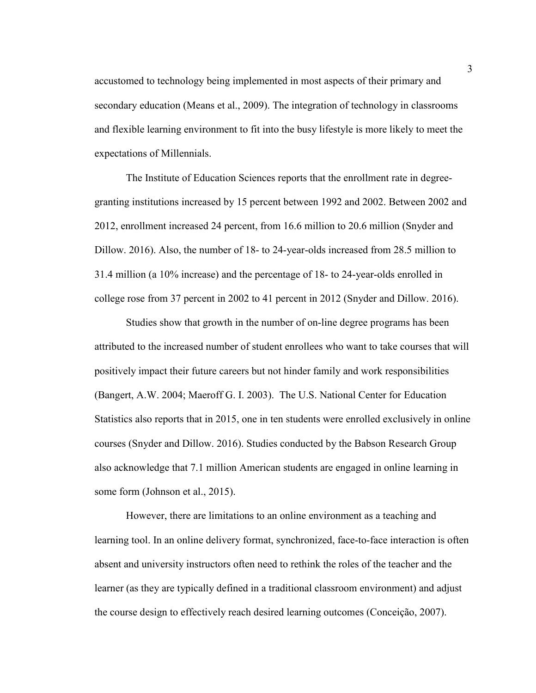accustomed to technology being implemented in most aspects of their primary and secondary education (Means et al., 2009). The integration of technology in classrooms and flexible learning environment to fit into the busy lifestyle is more likely to meet the expectations of Millennials.

The Institute of Education Sciences reports that the enrollment rate in degreegranting institutions increased by 15 percent between 1992 and 2002. Between 2002 and 2012, enrollment increased 24 percent, from 16.6 million to 20.6 million (Snyder and Dillow. 2016). Also, the number of 18- to 24-year-olds increased from 28.5 million to 31.4 million (a 10% increase) and the percentage of 18- to 24-year-olds enrolled in college rose from 37 percent in 2002 to 41 percent in 2012 (Snyder and Dillow. 2016).

Studies show that growth in the number of on-line degree programs has been attributed to the increased number of student enrollees who want to take courses that will positively impact their future careers but not hinder family and work responsibilities (Bangert, A.W. 2004; Maeroff G. I. 2003). The U.S. National Center for Education Statistics also reports that in 2015, one in ten students were enrolled exclusively in online courses (Snyder and Dillow. 2016). Studies conducted by the Babson Research Group also acknowledge that 7.1 million American students are engaged in online learning in some form (Johnson et al., 2015).

However, there are limitations to an online environment as a teaching and learning tool. In an online delivery format, synchronized, face-to-face interaction is often absent and university instructors often need to rethink the roles of the teacher and the learner (as they are typically defined in a traditional classroom environment) and adjust the course design to effectively reach desired learning outcomes (Conceição, 2007).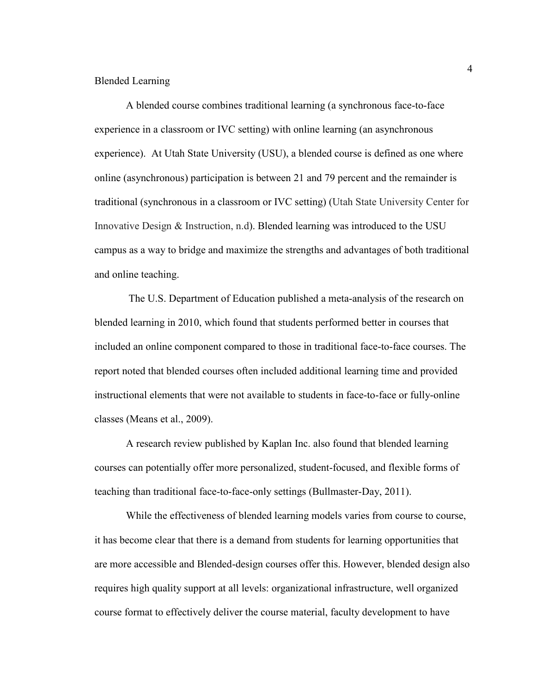#### Blended Learning

A blended course combines traditional learning (a synchronous face-to-face experience in a classroom or IVC setting) with online learning (an asynchronous experience). At Utah State University (USU), a blended course is defined as one where online (asynchronous) participation is between 21 and 79 percent and the remainder is traditional (synchronous in a classroom or IVC setting) (Utah State University Center for Innovative Design & Instruction, n.d). Blended learning was introduced to the USU campus as a way to bridge and maximize the strengths and advantages of both traditional and online teaching.

 The U.S. Department of Education published a meta-analysis of the research on blended learning in 2010, which found that students performed better in courses that included an online component compared to those in traditional face-to-face courses. The report noted that blended courses often included additional learning time and provided instructional elements that were not available to students in face-to-face or fully-online classes (Means et al., 2009).

A research review published by Kaplan Inc. also found that blended learning courses can potentially offer more personalized, student-focused, and flexible forms of teaching than traditional face-to-face-only settings (Bullmaster-Day, 2011).

While the effectiveness of blended learning models varies from course to course, it has become clear that there is a demand from students for learning opportunities that are more accessible and Blended-design courses offer this. However, blended design also requires high quality support at all levels: organizational infrastructure, well organized course format to effectively deliver the course material, faculty development to have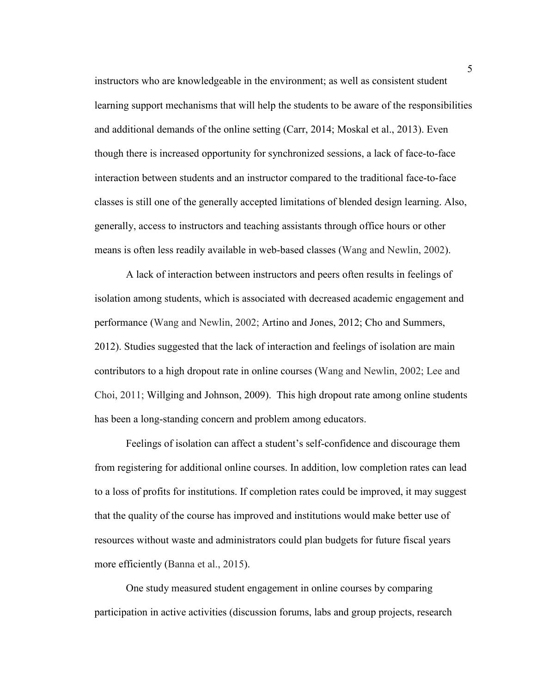instructors who are knowledgeable in the environment; as well as consistent student learning support mechanisms that will help the students to be aware of the responsibilities and additional demands of the online setting (Carr, 2014; Moskal et al., 2013). Even though there is increased opportunity for synchronized sessions, a lack of face-to-face interaction between students and an instructor compared to the traditional face-to-face classes is still one of the generally accepted limitations of blended design learning. Also, generally, access to instructors and teaching assistants through office hours or other means is often less readily available in web-based classes (Wang and Newlin, 2002).

A lack of interaction between instructors and peers often results in feelings of isolation among students, which is associated with decreased academic engagement and performance (Wang and Newlin, 2002; Artino and Jones, 2012; Cho and Summers, 2012). Studies suggested that the lack of interaction and feelings of isolation are main contributors to a high dropout rate in online courses (Wang and Newlin, 2002; Lee and Choi, 2011; Willging and Johnson, 2009). This high dropout rate among online students has been a long-standing concern and problem among educators.

Feelings of isolation can affect a student's self-confidence and discourage them from registering for additional online courses. In addition, low completion rates can lead to a loss of profits for institutions. If completion rates could be improved, it may suggest that the quality of the course has improved and institutions would make better use of resources without waste and administrators could plan budgets for future fiscal years more efficiently (Banna et al., 2015).

One study measured student engagement in online courses by comparing participation in active activities (discussion forums, labs and group projects, research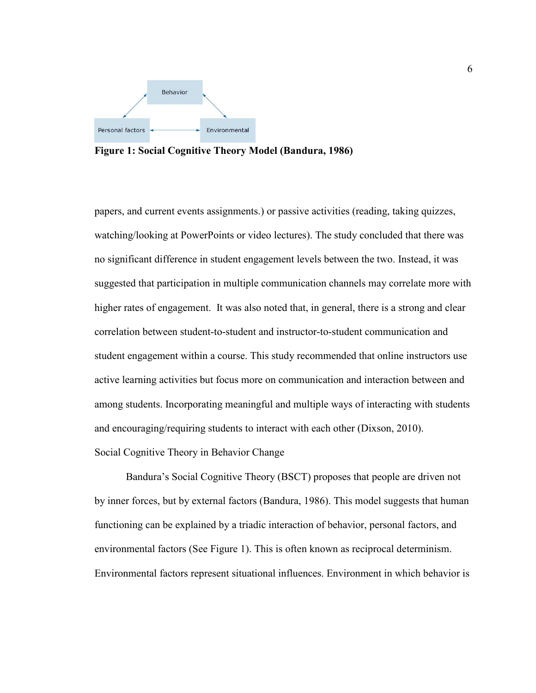

**Figure 1: Social Cognitive Theory Model (Bandura, 1986)** 

papers, and current events assignments.) or passive activities (reading, taking quizzes, watching/looking at PowerPoints or video lectures). The study concluded that there was no significant difference in student engagement levels between the two. Instead, it was suggested that participation in multiple communication channels may correlate more with higher rates of engagement. It was also noted that, in general, there is a strong and clear correlation between student-to-student and instructor-to-student communication and student engagement within a course. This study recommended that online instructors use active learning activities but focus more on communication and interaction between and among students. Incorporating meaningful and multiple ways of interacting with students and encouraging/requiring students to interact with each other (Dixson, 2010). Social Cognitive Theory in Behavior Change

 Bandura's Social Cognitive Theory (BSCT) proposes that people are driven not by inner forces, but by external factors (Bandura, 1986). This model suggests that human functioning can be explained by a triadic interaction of behavior, personal factors, and environmental factors (See Figure 1). This is often known as reciprocal determinism. Environmental factors represent situational influences. Environment in which behavior is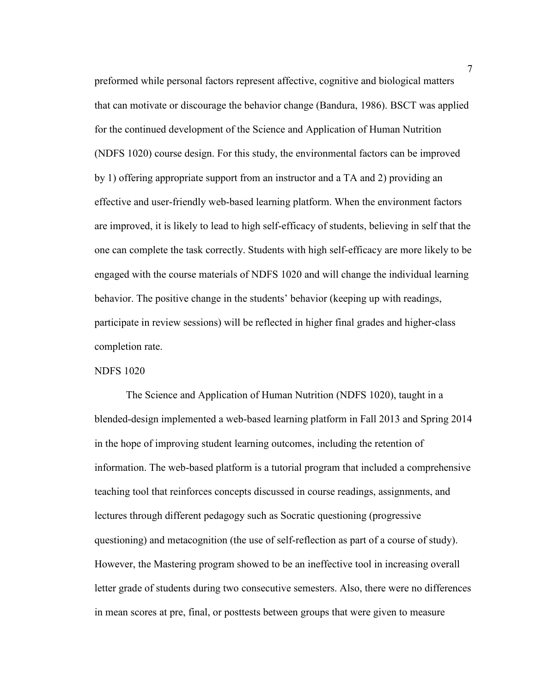preformed while personal factors represent affective, cognitive and biological matters that can motivate or discourage the behavior change (Bandura, 1986). BSCT was applied for the continued development of the Science and Application of Human Nutrition (NDFS 1020) course design. For this study, the environmental factors can be improved by 1) offering appropriate support from an instructor and a TA and 2) providing an effective and user-friendly web-based learning platform. When the environment factors are improved, it is likely to lead to high self-efficacy of students, believing in self that the one can complete the task correctly. Students with high self-efficacy are more likely to be engaged with the course materials of NDFS 1020 and will change the individual learning behavior. The positive change in the students' behavior (keeping up with readings, participate in review sessions) will be reflected in higher final grades and higher-class completion rate.

#### NDFS 1020

The Science and Application of Human Nutrition (NDFS 1020), taught in a blended-design implemented a web-based learning platform in Fall 2013 and Spring 2014 in the hope of improving student learning outcomes, including the retention of information. The web-based platform is a tutorial program that included a comprehensive teaching tool that reinforces concepts discussed in course readings, assignments, and lectures through different pedagogy such as Socratic questioning (progressive questioning) and metacognition (the use of self-reflection as part of a course of study). However, the Mastering program showed to be an ineffective tool in increasing overall letter grade of students during two consecutive semesters. Also, there were no differences in mean scores at pre, final, or posttests between groups that were given to measure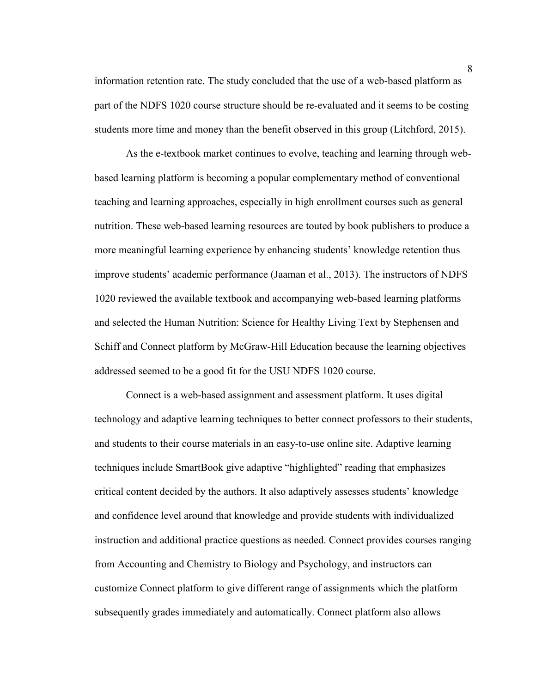information retention rate. The study concluded that the use of a web-based platform as part of the NDFS 1020 course structure should be re-evaluated and it seems to be costing students more time and money than the benefit observed in this group (Litchford, 2015).

As the e-textbook market continues to evolve, teaching and learning through webbased learning platform is becoming a popular complementary method of conventional teaching and learning approaches, especially in high enrollment courses such as general nutrition. These web-based learning resources are touted by book publishers to produce a more meaningful learning experience by enhancing students' knowledge retention thus improve students' academic performance (Jaaman et al., 2013). The instructors of NDFS 1020 reviewed the available textbook and accompanying web-based learning platforms and selected the Human Nutrition: Science for Healthy Living Text by Stephensen and Schiff and Connect platform by McGraw-Hill Education because the learning objectives addressed seemed to be a good fit for the USU NDFS 1020 course.

Connect is a web-based assignment and assessment platform. It uses digital technology and adaptive learning techniques to better connect professors to their students, and students to their course materials in an easy-to-use online site. Adaptive learning techniques include SmartBook give adaptive "highlighted" reading that emphasizes critical content decided by the authors. It also adaptively assesses students' knowledge and confidence level around that knowledge and provide students with individualized instruction and additional practice questions as needed. Connect provides courses ranging from Accounting and Chemistry to Biology and Psychology, and instructors can customize Connect platform to give different range of assignments which the platform subsequently grades immediately and automatically. Connect platform also allows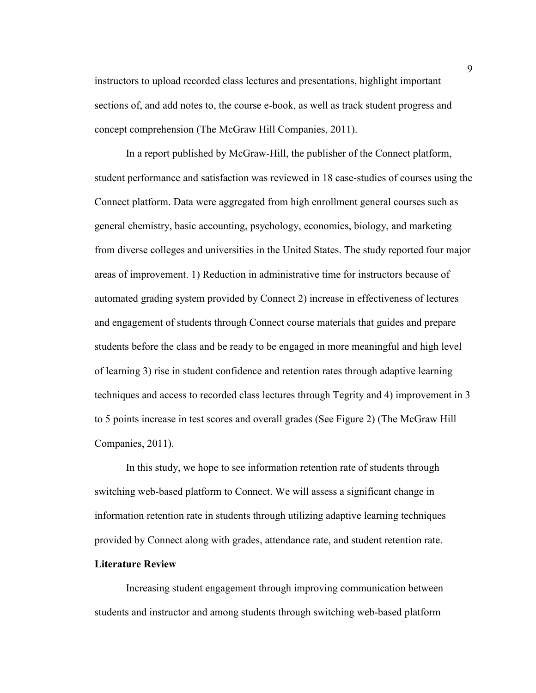instructors to upload recorded class lectures and presentations, highlight important sections of, and add notes to, the course e-book, as well as track student progress and concept comprehension (The McGraw Hill Companies, 2011).

In a report published by McGraw-Hill, the publisher of the Connect platform, student performance and satisfaction was reviewed in 18 case-studies of courses using the Connect platform. Data were aggregated from high enrollment general courses such as general chemistry, basic accounting, psychology, economics, biology, and marketing from diverse colleges and universities in the United States. The study reported four major areas of improvement. 1) Reduction in administrative time for instructors because of automated grading system provided by Connect 2) increase in effectiveness of lectures and engagement of students through Connect course materials that guides and prepare students before the class and be ready to be engaged in more meaningful and high level of learning 3) rise in student confidence and retention rates through adaptive learning techniques and access to recorded class lectures through Tegrity and 4) improvement in 3 to 5 points increase in test scores and overall grades (See Figure 2) (The McGraw Hill Companies, 2011).

In this study, we hope to see information retention rate of students through switching web-based platform to Connect. We will assess a significant change in information retention rate in students through utilizing adaptive learning techniques provided by Connect along with grades, attendance rate, and student retention rate.

#### **Literature Review**

Increasing student engagement through improving communication between students and instructor and among students through switching web-based platform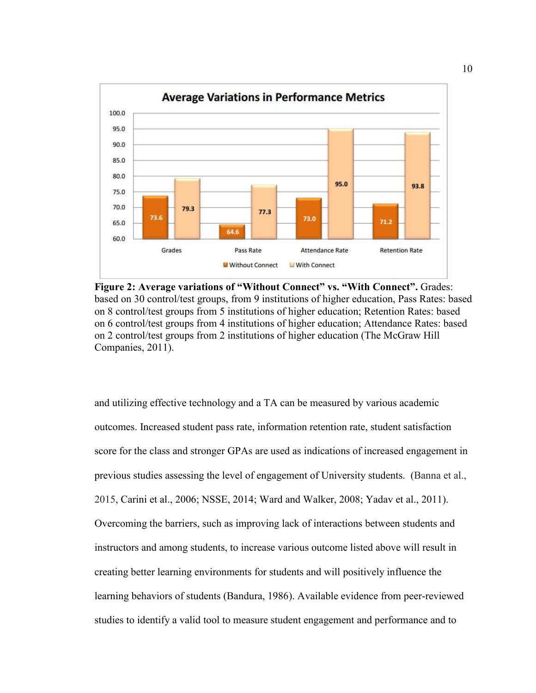

**Figure 2: Average variations of "Without Connect" vs. "With Connect".** Grades: based on 30 control/test groups, from 9 institutions of higher education, Pass Rates: based on 8 control/test groups from 5 institutions of higher education; Retention Rates: based on 6 control/test groups from 4 institutions of higher education; Attendance Rates: based on 2 control/test groups from 2 institutions of higher education (The McGraw Hill Companies, 2011).

and utilizing effective technology and a TA can be measured by various academic outcomes. Increased student pass rate, information retention rate, student satisfaction score for the class and stronger GPAs are used as indications of increased engagement in previous studies assessing the level of engagement of University students. (Banna et al., 2015, Carini et al., 2006; NSSE, 2014; Ward and Walker, 2008; Yadav et al., 2011). Overcoming the barriers, such as improving lack of interactions between students and instructors and among students, to increase various outcome listed above will result in creating better learning environments for students and will positively influence the learning behaviors of students (Bandura, 1986). Available evidence from peer-reviewed studies to identify a valid tool to measure student engagement and performance and to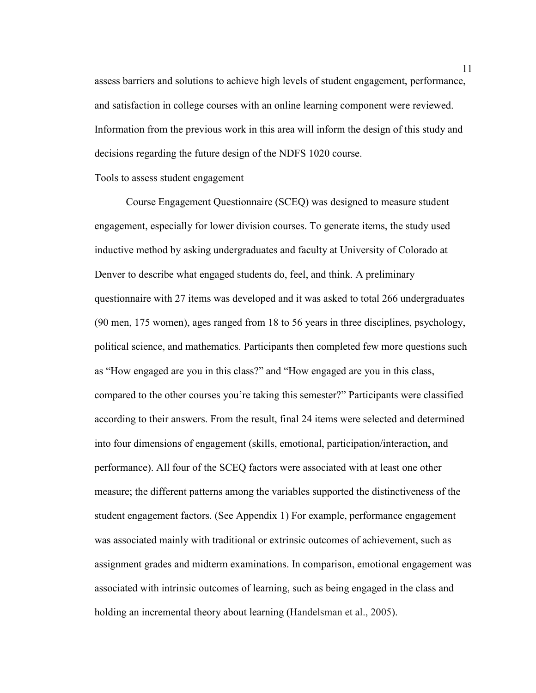assess barriers and solutions to achieve high levels of student engagement, performance, and satisfaction in college courses with an online learning component were reviewed. Information from the previous work in this area will inform the design of this study and decisions regarding the future design of the NDFS 1020 course.

#### Tools to assess student engagement

Course Engagement Questionnaire (SCEQ) was designed to measure student engagement, especially for lower division courses. To generate items, the study used inductive method by asking undergraduates and faculty at University of Colorado at Denver to describe what engaged students do, feel, and think. A preliminary questionnaire with 27 items was developed and it was asked to total 266 undergraduates (90 men, 175 women), ages ranged from 18 to 56 years in three disciplines, psychology, political science, and mathematics. Participants then completed few more questions such as "How engaged are you in this class?" and "How engaged are you in this class, compared to the other courses you're taking this semester?" Participants were classified according to their answers. From the result, final 24 items were selected and determined into four dimensions of engagement (skills, emotional, participation/interaction, and performance). All four of the SCEQ factors were associated with at least one other measure; the different patterns among the variables supported the distinctiveness of the student engagement factors. (See Appendix 1) For example, performance engagement was associated mainly with traditional or extrinsic outcomes of achievement, such as assignment grades and midterm examinations. In comparison, emotional engagement was associated with intrinsic outcomes of learning, such as being engaged in the class and holding an incremental theory about learning (Handelsman et al., 2005).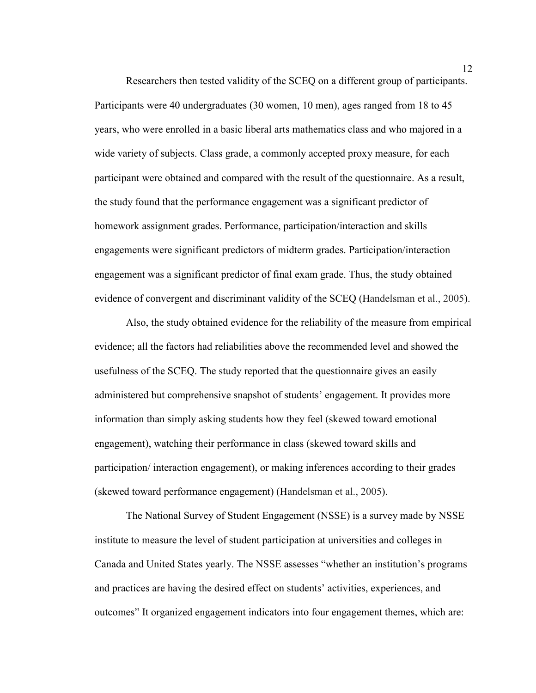Researchers then tested validity of the SCEQ on a different group of participants. Participants were 40 undergraduates (30 women, 10 men), ages ranged from 18 to 45 years, who were enrolled in a basic liberal arts mathematics class and who majored in a wide variety of subjects. Class grade, a commonly accepted proxy measure, for each participant were obtained and compared with the result of the questionnaire. As a result, the study found that the performance engagement was a significant predictor of homework assignment grades. Performance, participation/interaction and skills engagements were significant predictors of midterm grades. Participation/interaction engagement was a significant predictor of final exam grade. Thus, the study obtained evidence of convergent and discriminant validity of the SCEQ (Handelsman et al., 2005).

Also, the study obtained evidence for the reliability of the measure from empirical evidence; all the factors had reliabilities above the recommended level and showed the usefulness of the SCEQ. The study reported that the questionnaire gives an easily administered but comprehensive snapshot of students' engagement. It provides more information than simply asking students how they feel (skewed toward emotional engagement), watching their performance in class (skewed toward skills and participation/ interaction engagement), or making inferences according to their grades (skewed toward performance engagement) (Handelsman et al., 2005).

The National Survey of Student Engagement (NSSE) is a survey made by NSSE institute to measure the level of student participation at universities and colleges in Canada and United States yearly. The NSSE assesses "whether an institution's programs and practices are having the desired effect on students' activities, experiences, and outcomes" It organized engagement indicators into four engagement themes, which are: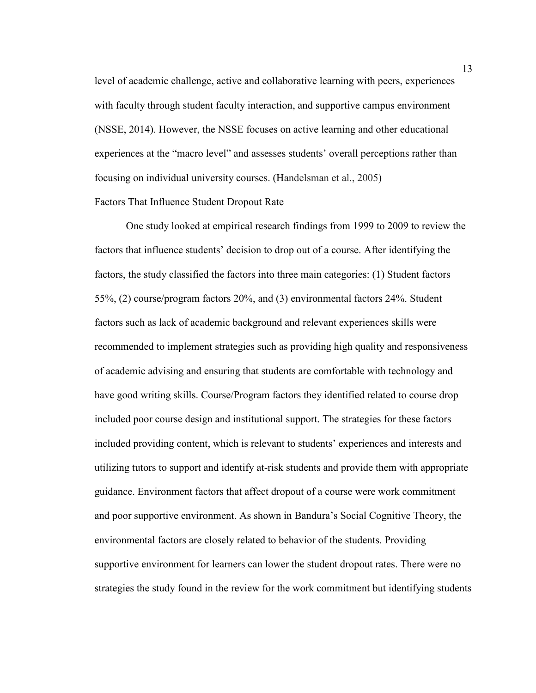level of academic challenge, active and collaborative learning with peers, experiences with faculty through student faculty interaction, and supportive campus environment (NSSE, 2014). However, the NSSE focuses on active learning and other educational experiences at the "macro level" and assesses students' overall perceptions rather than focusing on individual university courses. (Handelsman et al., 2005) Factors That Influence Student Dropout Rate

One study looked at empirical research findings from 1999 to 2009 to review the factors that influence students' decision to drop out of a course. After identifying the factors, the study classified the factors into three main categories: (1) Student factors 55%, (2) course/program factors 20%, and (3) environmental factors 24%. Student factors such as lack of academic background and relevant experiences skills were recommended to implement strategies such as providing high quality and responsiveness of academic advising and ensuring that students are comfortable with technology and have good writing skills. Course/Program factors they identified related to course drop included poor course design and institutional support. The strategies for these factors included providing content, which is relevant to students' experiences and interests and utilizing tutors to support and identify at-risk students and provide them with appropriate guidance. Environment factors that affect dropout of a course were work commitment and poor supportive environment. As shown in Bandura's Social Cognitive Theory, the environmental factors are closely related to behavior of the students. Providing supportive environment for learners can lower the student dropout rates. There were no strategies the study found in the review for the work commitment but identifying students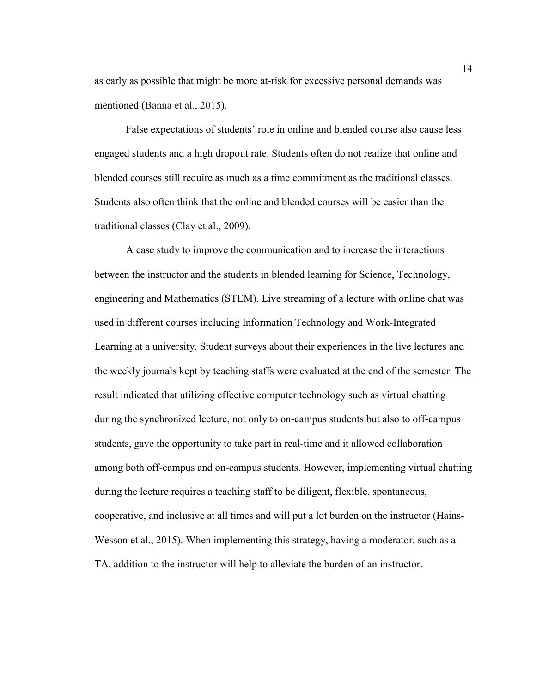as early as possible that might be more at-risk for excessive personal demands was mentioned (Banna et al., 2015).

False expectations of students' role in online and blended course also cause less engaged students and a high dropout rate. Students often do not realize that online and blended courses still require as much as a time commitment as the traditional classes. Students also often think that the online and blended courses will be easier than the traditional classes (Clay et al., 2009).

A case study to improve the communication and to increase the interactions between the instructor and the students in blended learning for Science, Technology, engineering and Mathematics (STEM). Live streaming of a lecture with online chat was used in different courses including Information Technology and Work-Integrated Learning at a university. Student surveys about their experiences in the live lectures and the weekly journals kept by teaching staffs were evaluated at the end of the semester. The result indicated that utilizing effective computer technology such as virtual chatting during the synchronized lecture, not only to on-campus students but also to off-campus students, gave the opportunity to take part in real-time and it allowed collaboration among both off-campus and on-campus students. However, implementing virtual chatting during the lecture requires a teaching staff to be diligent, flexible, spontaneous, cooperative, and inclusive at all times and will put a lot burden on the instructor (Hains-Wesson et al., 2015). When implementing this strategy, having a moderator, such as a TA, addition to the instructor will help to alleviate the burden of an instructor.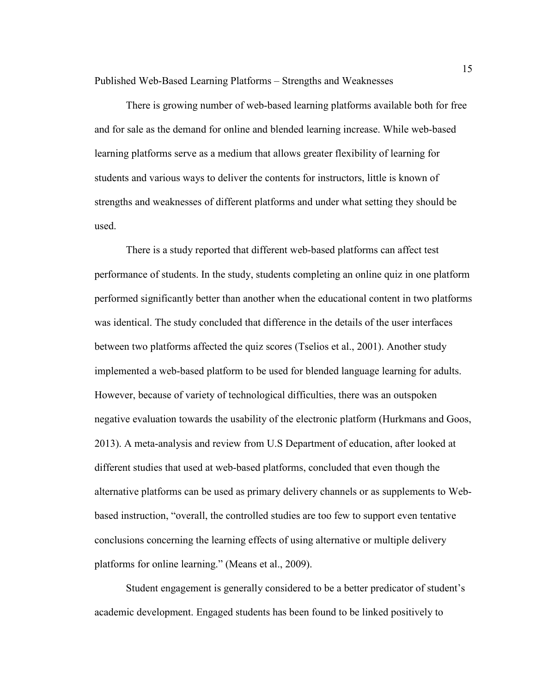Published Web-Based Learning Platforms – Strengths and Weaknesses

There is growing number of web-based learning platforms available both for free and for sale as the demand for online and blended learning increase. While web-based learning platforms serve as a medium that allows greater flexibility of learning for students and various ways to deliver the contents for instructors, little is known of strengths and weaknesses of different platforms and under what setting they should be used.

There is a study reported that different web-based platforms can affect test performance of students. In the study, students completing an online quiz in one platform performed significantly better than another when the educational content in two platforms was identical. The study concluded that difference in the details of the user interfaces between two platforms affected the quiz scores (Tselios et al., 2001). Another study implemented a web-based platform to be used for blended language learning for adults. However, because of variety of technological difficulties, there was an outspoken negative evaluation towards the usability of the electronic platform (Hurkmans and Goos, 2013). A meta-analysis and review from U.S Department of education, after looked at different studies that used at web-based platforms, concluded that even though the alternative platforms can be used as primary delivery channels or as supplements to Webbased instruction, "overall, the controlled studies are too few to support even tentative conclusions concerning the learning effects of using alternative or multiple delivery platforms for online learning." (Means et al., 2009).

Student engagement is generally considered to be a better predicator of student's academic development. Engaged students has been found to be linked positively to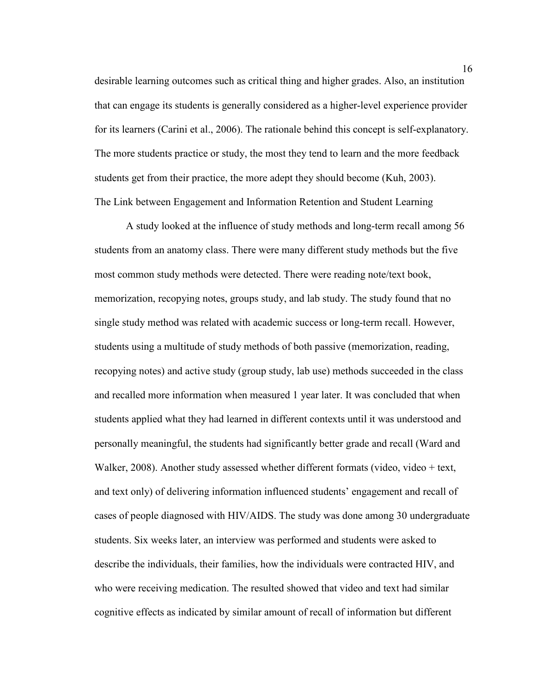desirable learning outcomes such as critical thing and higher grades. Also, an institution that can engage its students is generally considered as a higher-level experience provider for its learners (Carini et al., 2006). The rationale behind this concept is self-explanatory. The more students practice or study, the most they tend to learn and the more feedback students get from their practice, the more adept they should become (Kuh, 2003). The Link between Engagement and Information Retention and Student Learning

A study looked at the influence of study methods and long-term recall among 56 students from an anatomy class. There were many different study methods but the five most common study methods were detected. There were reading note/text book, memorization, recopying notes, groups study, and lab study. The study found that no single study method was related with academic success or long-term recall. However, students using a multitude of study methods of both passive (memorization, reading, recopying notes) and active study (group study, lab use) methods succeeded in the class and recalled more information when measured 1 year later. It was concluded that when students applied what they had learned in different contexts until it was understood and personally meaningful, the students had significantly better grade and recall (Ward and Walker, 2008). Another study assessed whether different formats (video, video + text, and text only) of delivering information influenced students' engagement and recall of cases of people diagnosed with HIV/AIDS. The study was done among 30 undergraduate students. Six weeks later, an interview was performed and students were asked to describe the individuals, their families, how the individuals were contracted HIV, and who were receiving medication. The resulted showed that video and text had similar cognitive effects as indicated by similar amount of recall of information but different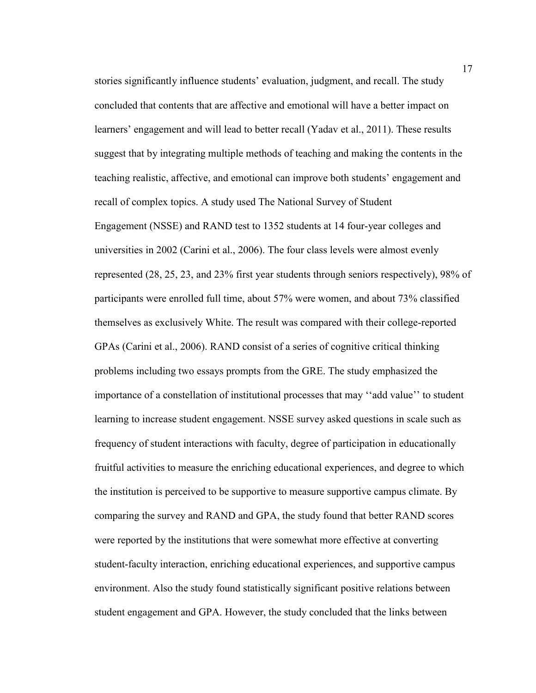stories significantly influence students' evaluation, judgment, and recall. The study concluded that contents that are affective and emotional will have a better impact on learners' engagement and will lead to better recall (Yadav et al., 2011). These results suggest that by integrating multiple methods of teaching and making the contents in the teaching realistic, affective, and emotional can improve both students' engagement and recall of complex topics. A study used The National Survey of Student Engagement (NSSE) and RAND test to 1352 students at 14 four-year colleges and universities in 2002 (Carini et al., 2006). The four class levels were almost evenly represented (28, 25, 23, and 23% first year students through seniors respectively), 98% of participants were enrolled full time, about 57% were women, and about 73% classified themselves as exclusively White. The result was compared with their college-reported GPAs (Carini et al., 2006). RAND consist of a series of cognitive critical thinking problems including two essays prompts from the GRE. The study emphasized the importance of a constellation of institutional processes that may ''add value'' to student learning to increase student engagement. NSSE survey asked questions in scale such as frequency of student interactions with faculty, degree of participation in educationally fruitful activities to measure the enriching educational experiences, and degree to which the institution is perceived to be supportive to measure supportive campus climate. By comparing the survey and RAND and GPA, the study found that better RAND scores were reported by the institutions that were somewhat more effective at converting student-faculty interaction, enriching educational experiences, and supportive campus environment. Also the study found statistically significant positive relations between student engagement and GPA. However, the study concluded that the links between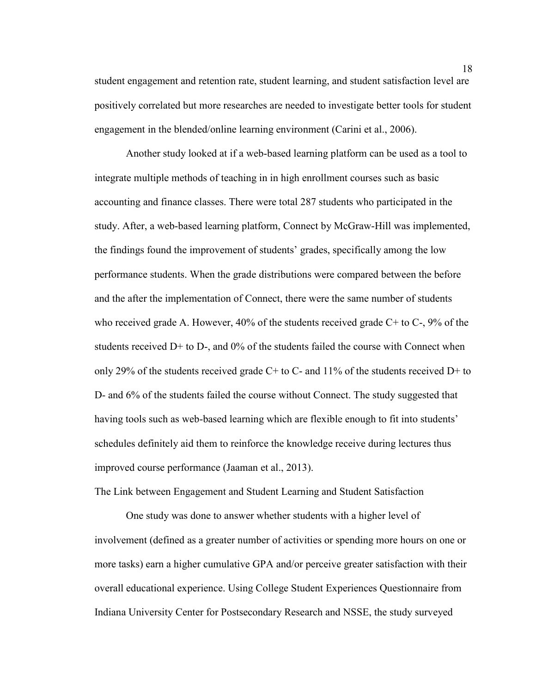student engagement and retention rate, student learning, and student satisfaction level are positively correlated but more researches are needed to investigate better tools for student engagement in the blended/online learning environment (Carini et al., 2006).

Another study looked at if a web-based learning platform can be used as a tool to integrate multiple methods of teaching in in high enrollment courses such as basic accounting and finance classes. There were total 287 students who participated in the study. After, a web-based learning platform, Connect by McGraw-Hill was implemented, the findings found the improvement of students' grades, specifically among the low performance students. When the grade distributions were compared between the before and the after the implementation of Connect, there were the same number of students who received grade A. However, 40% of the students received grade C+ to C-, 9% of the students received D+ to D-, and 0% of the students failed the course with Connect when only 29% of the students received grade  $C+$  to  $C-$  and 11% of the students received  $D+$  to D- and 6% of the students failed the course without Connect. The study suggested that having tools such as web-based learning which are flexible enough to fit into students' schedules definitely aid them to reinforce the knowledge receive during lectures thus improved course performance (Jaaman et al., 2013).

The Link between Engagement and Student Learning and Student Satisfaction

One study was done to answer whether students with a higher level of involvement (defined as a greater number of activities or spending more hours on one or more tasks) earn a higher cumulative GPA and/or perceive greater satisfaction with their overall educational experience. Using College Student Experiences Questionnaire from Indiana University Center for Postsecondary Research and NSSE, the study surveyed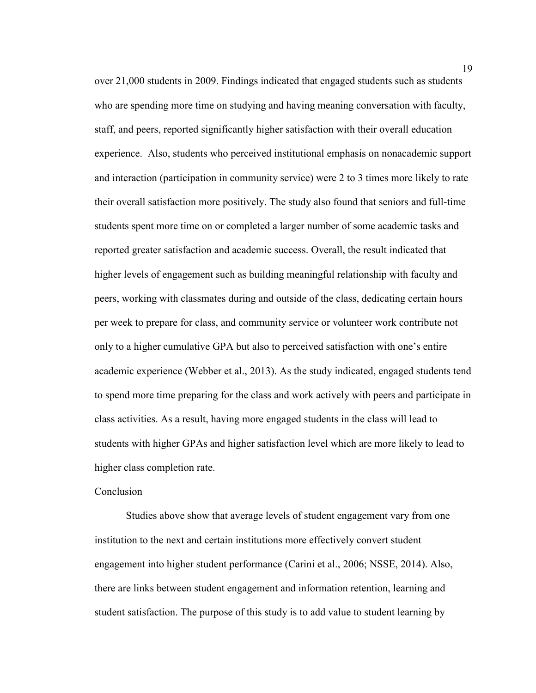over 21,000 students in 2009. Findings indicated that engaged students such as students who are spending more time on studying and having meaning conversation with faculty, staff, and peers, reported significantly higher satisfaction with their overall education experience. Also, students who perceived institutional emphasis on nonacademic support and interaction (participation in community service) were 2 to 3 times more likely to rate their overall satisfaction more positively. The study also found that seniors and full-time students spent more time on or completed a larger number of some academic tasks and reported greater satisfaction and academic success. Overall, the result indicated that higher levels of engagement such as building meaningful relationship with faculty and peers, working with classmates during and outside of the class, dedicating certain hours per week to prepare for class, and community service or volunteer work contribute not only to a higher cumulative GPA but also to perceived satisfaction with one's entire academic experience (Webber et al., 2013). As the study indicated, engaged students tend to spend more time preparing for the class and work actively with peers and participate in class activities. As a result, having more engaged students in the class will lead to students with higher GPAs and higher satisfaction level which are more likely to lead to higher class completion rate.

### Conclusion

Studies above show that average levels of student engagement vary from one institution to the next and certain institutions more effectively convert student engagement into higher student performance (Carini et al., 2006; NSSE, 2014). Also, there are links between student engagement and information retention, learning and student satisfaction. The purpose of this study is to add value to student learning by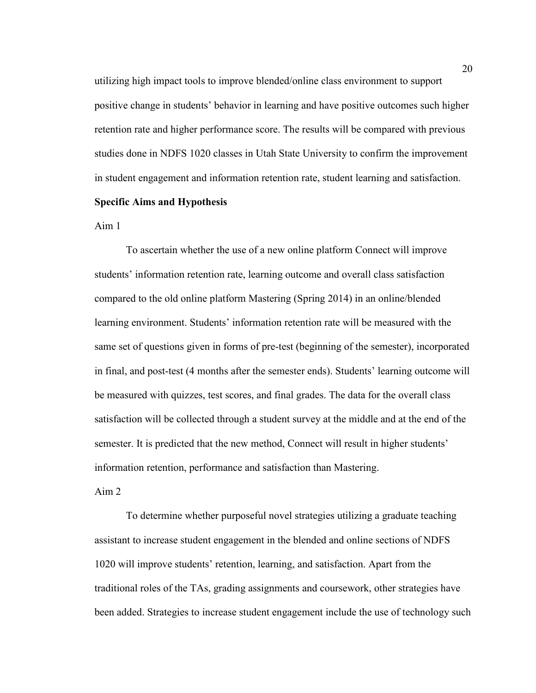utilizing high impact tools to improve blended/online class environment to support positive change in students' behavior in learning and have positive outcomes such higher retention rate and higher performance score. The results will be compared with previous studies done in NDFS 1020 classes in Utah State University to confirm the improvement in student engagement and information retention rate, student learning and satisfaction.

#### **Specific Aims and Hypothesis**

Aim 1

To ascertain whether the use of a new online platform Connect will improve students' information retention rate, learning outcome and overall class satisfaction compared to the old online platform Mastering (Spring 2014) in an online/blended learning environment. Students' information retention rate will be measured with the same set of questions given in forms of pre-test (beginning of the semester), incorporated in final, and post-test (4 months after the semester ends). Students' learning outcome will be measured with quizzes, test scores, and final grades. The data for the overall class satisfaction will be collected through a student survey at the middle and at the end of the semester. It is predicted that the new method, Connect will result in higher students' information retention, performance and satisfaction than Mastering.

Aim 2

To determine whether purposeful novel strategies utilizing a graduate teaching assistant to increase student engagement in the blended and online sections of NDFS 1020 will improve students' retention, learning, and satisfaction. Apart from the traditional roles of the TAs, grading assignments and coursework, other strategies have been added. Strategies to increase student engagement include the use of technology such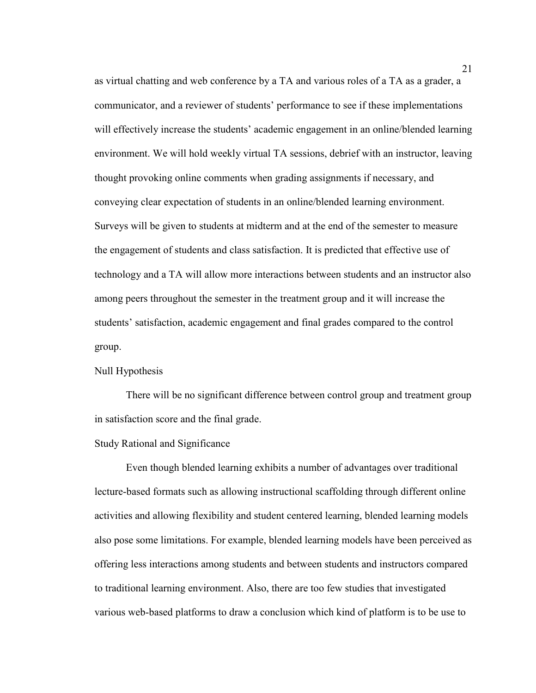as virtual chatting and web conference by a TA and various roles of a TA as a grader, a communicator, and a reviewer of students' performance to see if these implementations will effectively increase the students' academic engagement in an online/blended learning environment. We will hold weekly virtual TA sessions, debrief with an instructor, leaving thought provoking online comments when grading assignments if necessary, and conveying clear expectation of students in an online/blended learning environment. Surveys will be given to students at midterm and at the end of the semester to measure the engagement of students and class satisfaction. It is predicted that effective use of technology and a TA will allow more interactions between students and an instructor also among peers throughout the semester in the treatment group and it will increase the students' satisfaction, academic engagement and final grades compared to the control group.

#### Null Hypothesis

There will be no significant difference between control group and treatment group in satisfaction score and the final grade.

#### Study Rational and Significance

Even though blended learning exhibits a number of advantages over traditional lecture-based formats such as allowing instructional scaffolding through different online activities and allowing flexibility and student centered learning, blended learning models also pose some limitations. For example, blended learning models have been perceived as offering less interactions among students and between students and instructors compared to traditional learning environment. Also, there are too few studies that investigated various web-based platforms to draw a conclusion which kind of platform is to be use to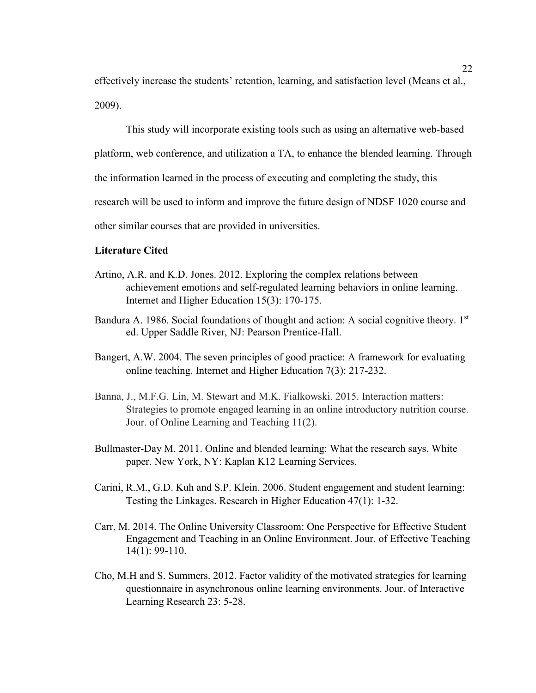effectively increase the students' retention, learning, and satisfaction level (Means et al., 2009).

This study will incorporate existing tools such as using an alternative web-based platform, web conference, and utilization a TA, to enhance the blended learning. Through the information learned in the process of executing and completing the study, this research will be used to inform and improve the future design of NDSF 1020 course and other similar courses that are provided in universities.

#### **Literature Cited**

- Artino, A.R. and K.D. Jones. 2012. Exploring the complex relations between achievement emotions and self-regulated learning behaviors in online learning. Internet and Higher Education 15(3): 170-175.
- Bandura A. 1986. Social foundations of thought and action: A social cognitive theory. 1<sup>st</sup> ed. Upper Saddle River, NJ: Pearson Prentice-Hall.
- Bangert, A.W. 2004. The seven principles of good practice: A framework for evaluating online teaching. Internet and Higher Education 7(3): 217-232.
- Banna, J., M.F.G. Lin, M. Stewart and M.K. Fialkowski. 2015. Interaction matters: Strategies to promote engaged learning in an online introductory nutrition course. Jour. of Online Learning and Teaching 11(2).
- Bullmaster-Day M. 2011. Online and blended learning: What the research says. White paper. New York, NY: Kaplan K12 Learning Services.
- Carini, R.M., G.D. Kuh and S.P. Klein. 2006. Student engagement and student learning: Testing the Linkages. Research in Higher Education 47(1): 1-32.
- Carr, M. 2014. The Online University Classroom: One Perspective for Effective Student Engagement and Teaching in an Online Environment. Jour. of Effective Teaching 14(1): 99-110.
- Cho, M.H and S. Summers. 2012. Factor validity of the motivated strategies for learning questionnaire in asynchronous online learning environments. Jour. of Interactive Learning Research 23: 5-28.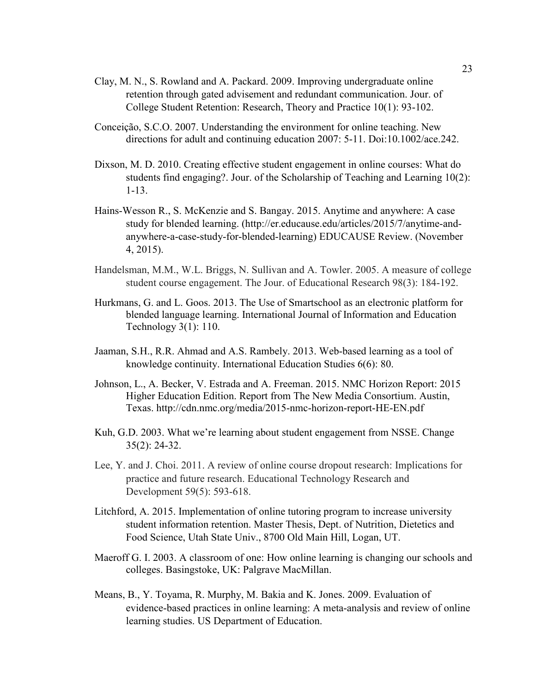- Clay, M. N., S. Rowland and A. Packard. 2009. Improving undergraduate online retention through gated advisement and redundant communication. Jour. of College Student Retention: Research, Theory and Practice 10(1): 93-102.
- Conceição, S.C.O. 2007. Understanding the environment for online teaching. New directions for adult and continuing education 2007: 5-11. Doi:10.1002/ace.242.
- Dixson, M. D. 2010. Creating effective student engagement in online courses: What do students find engaging?. Jour. of the Scholarship of Teaching and Learning 10(2): 1-13.
- Hains-Wesson R., S. McKenzie and S. Bangay. 2015. Anytime and anywhere: A case study for blended learning. (http://er.educause.edu/articles/2015/7/anytime-andanywhere-a-case-study-for-blended-learning) EDUCAUSE Review. (November 4, 2015).
- Handelsman, M.M., W.L. Briggs, N. Sullivan and A. Towler. 2005. A measure of college student course engagement. The Jour. of Educational Research 98(3): 184-192.
- Hurkmans, G. and L. Goos. 2013. The Use of Smartschool as an electronic platform for blended language learning. International Journal of Information and Education Technology 3(1): 110.
- Jaaman, S.H., R.R. Ahmad and A.S. Rambely. 2013. Web-based learning as a tool of knowledge continuity. International Education Studies 6(6): 80.
- Johnson, L., A. Becker, V. Estrada and A. Freeman. 2015. NMC Horizon Report: 2015 Higher Education Edition. Report from The New Media Consortium. Austin, Texas. http://cdn.nmc.org/media/2015-nmc-horizon-report-HE-EN.pdf
- Kuh, G.D. 2003. What we're learning about student engagement from NSSE. Change 35(2): 24-32.
- Lee, Y. and J. Choi. 2011. A review of online course dropout research: Implications for practice and future research. Educational Technology Research and Development 59(5): 593-618.
- Litchford, A. 2015. Implementation of online tutoring program to increase university student information retention. Master Thesis, Dept. of Nutrition, Dietetics and Food Science, Utah State Univ., 8700 Old Main Hill, Logan, UT.
- Maeroff G. I. 2003. A classroom of one: How online learning is changing our schools and colleges. Basingstoke, UK: Palgrave MacMillan.
- Means, B., Y. Toyama, R. Murphy, M. Bakia and K. Jones. 2009. Evaluation of evidence-based practices in online learning: A meta-analysis and review of online learning studies. US Department of Education.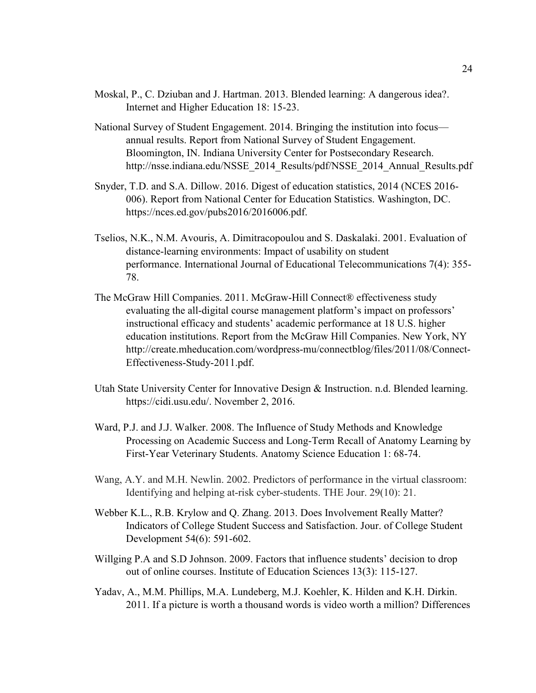- Moskal, P., C. Dziuban and J. Hartman. 2013. Blended learning: A dangerous idea?. Internet and Higher Education 18: 15-23.
- National Survey of Student Engagement. 2014. Bringing the institution into focus annual results. Report from National Survey of Student Engagement. Bloomington, IN. Indiana University Center for Postsecondary Research. http://nsse.indiana.edu/NSSE\_2014\_Results/pdf/NSSE\_2014\_Annual\_Results.pdf
- Snyder, T.D. and S.A. Dillow. 2016. Digest of education statistics, 2014 (NCES 2016- 006). Report from National Center for Education Statistics. Washington, DC. https://nces.ed.gov/pubs2016/2016006.pdf.
- Tselios, N.K., N.M. Avouris, A. Dimitracopoulou and S. Daskalaki. 2001. Evaluation of distance-learning environments: Impact of usability on student performance. International Journal of Educational Telecommunications 7(4): 355- 78.
- The McGraw Hill Companies. 2011. McGraw-Hill Connect® effectiveness study evaluating the all-digital course management platform's impact on professors' instructional efficacy and students' academic performance at 18 U.S. higher education institutions. Report from the McGraw Hill Companies. New York, NY http://create.mheducation.com/wordpress-mu/connectblog/files/2011/08/Connect-Effectiveness-Study-2011.pdf.
- Utah State University Center for Innovative Design & Instruction. n.d. Blended learning. https://cidi.usu.edu/. November 2, 2016.
- Ward, P.J. and J.J. Walker. 2008. The Influence of Study Methods and Knowledge Processing on Academic Success and Long-Term Recall of Anatomy Learning by First-Year Veterinary Students. Anatomy Science Education 1: 68-74.
- Wang, A.Y. and M.H. Newlin. 2002. Predictors of performance in the virtual classroom: Identifying and helping at-risk cyber-students. THE Jour. 29(10): 21.
- Webber K.L., R.B. Krylow and Q. Zhang. 2013. Does Involvement Really Matter? Indicators of College Student Success and Satisfaction. Jour. of College Student Development 54(6): 591-602.
- Willging P.A and S.D Johnson. 2009. Factors that influence students' decision to drop out of online courses. Institute of Education Sciences 13(3): 115-127.
- Yadav, A., M.M. Phillips, M.A. Lundeberg, M.J. Koehler, K. Hilden and K.H. Dirkin. 2011. If a picture is worth a thousand words is video worth a million? Differences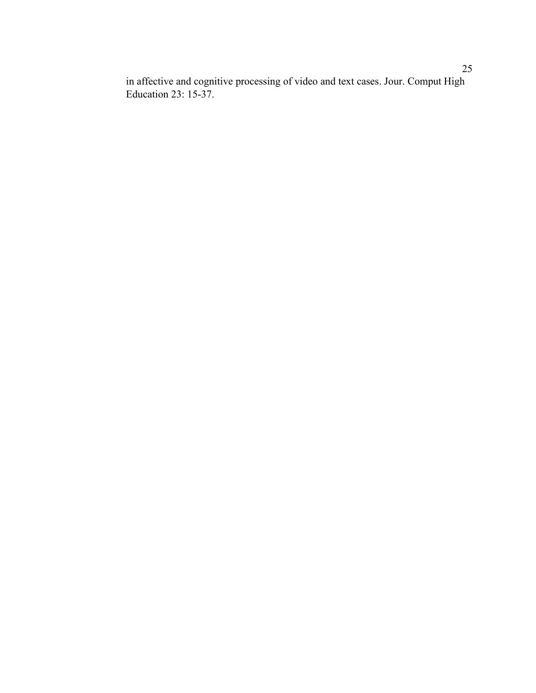in affective and cognitive processing of video and text cases. Jour. Comput High Education 23: 15-37.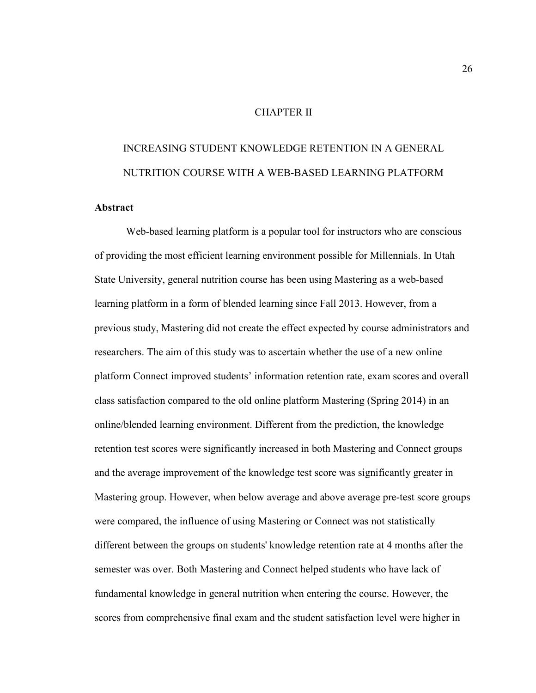#### CHAPTER II

# INCREASING STUDENT KNOWLEDGE RETENTION IN A GENERAL NUTRITION COURSE WITH A WEB-BASED LEARNING PLATFORM

# **Abstract**

Web-based learning platform is a popular tool for instructors who are conscious of providing the most efficient learning environment possible for Millennials. In Utah State University, general nutrition course has been using Mastering as a web-based learning platform in a form of blended learning since Fall 2013. However, from a previous study, Mastering did not create the effect expected by course administrators and researchers. The aim of this study was to ascertain whether the use of a new online platform Connect improved students' information retention rate, exam scores and overall class satisfaction compared to the old online platform Mastering (Spring 2014) in an online/blended learning environment. Different from the prediction, the knowledge retention test scores were significantly increased in both Mastering and Connect groups and the average improvement of the knowledge test score was significantly greater in Mastering group. However, when below average and above average pre-test score groups were compared, the influence of using Mastering or Connect was not statistically different between the groups on students' knowledge retention rate at 4 months after the semester was over. Both Mastering and Connect helped students who have lack of fundamental knowledge in general nutrition when entering the course. However, the scores from comprehensive final exam and the student satisfaction level were higher in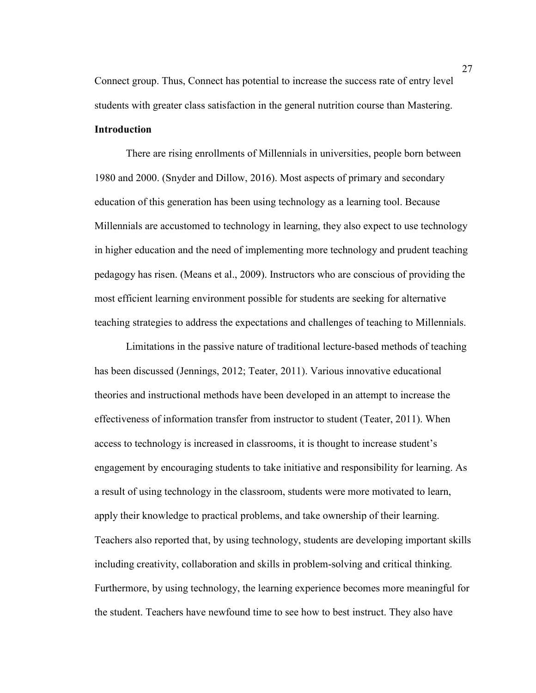Connect group. Thus, Connect has potential to increase the success rate of entry level students with greater class satisfaction in the general nutrition course than Mastering. **Introduction** 

There are rising enrollments of Millennials in universities, people born between 1980 and 2000. (Snyder and Dillow, 2016). Most aspects of primary and secondary education of this generation has been using technology as a learning tool. Because Millennials are accustomed to technology in learning, they also expect to use technology in higher education and the need of implementing more technology and prudent teaching pedagogy has risen. (Means et al., 2009). Instructors who are conscious of providing the most efficient learning environment possible for students are seeking for alternative teaching strategies to address the expectations and challenges of teaching to Millennials.

Limitations in the passive nature of traditional lecture-based methods of teaching has been discussed (Jennings, 2012; Teater, 2011). Various innovative educational theories and instructional methods have been developed in an attempt to increase the effectiveness of information transfer from instructor to student (Teater, 2011). When access to technology is increased in classrooms, it is thought to increase student's engagement by encouraging students to take initiative and responsibility for learning. As a result of using technology in the classroom, students were more motivated to learn, apply their knowledge to practical problems, and take ownership of their learning. Teachers also reported that, by using technology, students are developing important skills including creativity, collaboration and skills in problem-solving and critical thinking. Furthermore, by using technology, the learning experience becomes more meaningful for the student. Teachers have newfound time to see how to best instruct. They also have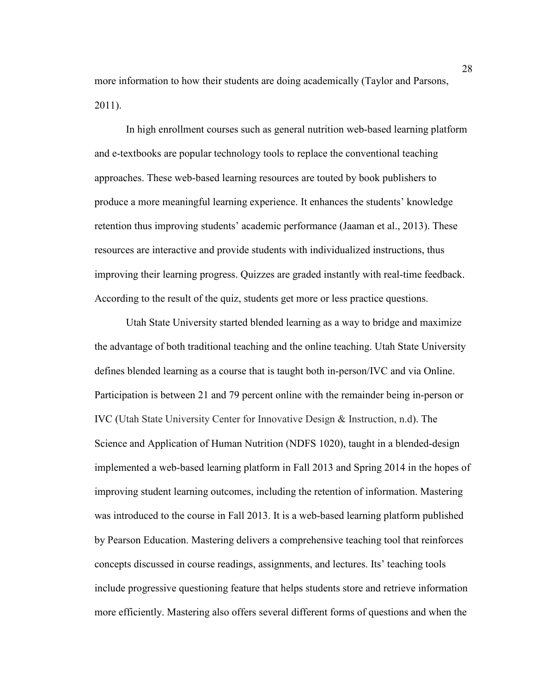more information to how their students are doing academically (Taylor and Parsons, 2011).

In high enrollment courses such as general nutrition web-based learning platform and e-textbooks are popular technology tools to replace the conventional teaching approaches. These web-based learning resources are touted by book publishers to produce a more meaningful learning experience. It enhances the students' knowledge retention thus improving students' academic performance (Jaaman et al., 2013). These resources are interactive and provide students with individualized instructions, thus improving their learning progress. Quizzes are graded instantly with real-time feedback. According to the result of the quiz, students get more or less practice questions.

Utah State University started blended learning as a way to bridge and maximize the advantage of both traditional teaching and the online teaching. Utah State University defines blended learning as a course that is taught both in-person/IVC and via Online. Participation is between 21 and 79 percent online with the remainder being in-person or IVC (Utah State University Center for Innovative Design & Instruction, n.d). The Science and Application of Human Nutrition (NDFS 1020), taught in a blended-design implemented a web-based learning platform in Fall 2013 and Spring 2014 in the hopes of improving student learning outcomes, including the retention of information. Mastering was introduced to the course in Fall 2013. It is a web-based learning platform published by Pearson Education. Mastering delivers a comprehensive teaching tool that reinforces concepts discussed in course readings, assignments, and lectures. Its' teaching tools include progressive questioning feature that helps students store and retrieve information more efficiently. Mastering also offers several different forms of questions and when the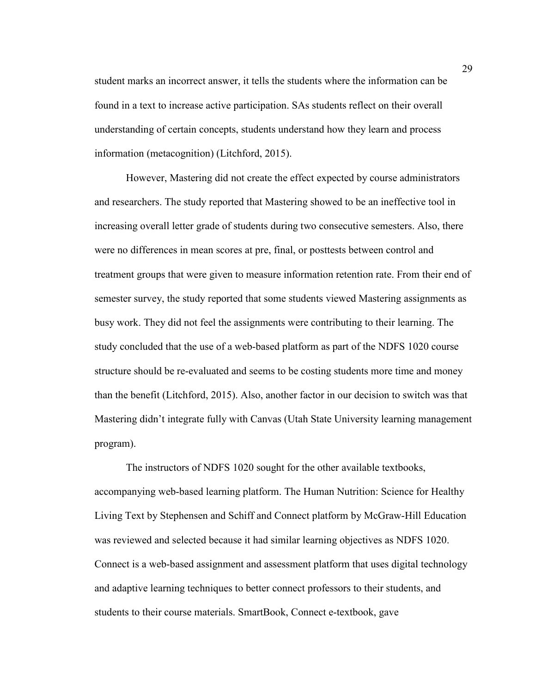student marks an incorrect answer, it tells the students where the information can be found in a text to increase active participation. SAs students reflect on their overall understanding of certain concepts, students understand how they learn and process information (metacognition) (Litchford, 2015).

However, Mastering did not create the effect expected by course administrators and researchers. The study reported that Mastering showed to be an ineffective tool in increasing overall letter grade of students during two consecutive semesters. Also, there were no differences in mean scores at pre, final, or posttests between control and treatment groups that were given to measure information retention rate. From their end of semester survey, the study reported that some students viewed Mastering assignments as busy work. They did not feel the assignments were contributing to their learning. The study concluded that the use of a web-based platform as part of the NDFS 1020 course structure should be re-evaluated and seems to be costing students more time and money than the benefit (Litchford, 2015). Also, another factor in our decision to switch was that Mastering didn't integrate fully with Canvas (Utah State University learning management program).

The instructors of NDFS 1020 sought for the other available textbooks, accompanying web-based learning platform. The Human Nutrition: Science for Healthy Living Text by Stephensen and Schiff and Connect platform by McGraw-Hill Education was reviewed and selected because it had similar learning objectives as NDFS 1020. Connect is a web-based assignment and assessment platform that uses digital technology and adaptive learning techniques to better connect professors to their students, and students to their course materials. SmartBook, Connect e-textbook, gave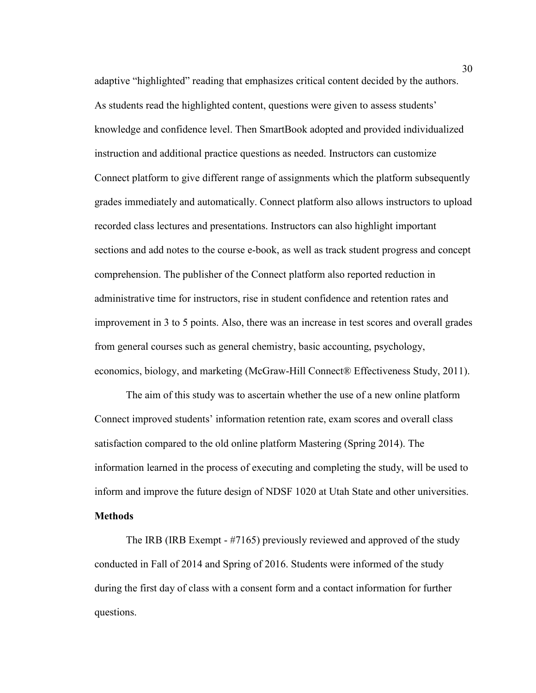adaptive "highlighted" reading that emphasizes critical content decided by the authors. As students read the highlighted content, questions were given to assess students' knowledge and confidence level. Then SmartBook adopted and provided individualized instruction and additional practice questions as needed. Instructors can customize Connect platform to give different range of assignments which the platform subsequently grades immediately and automatically. Connect platform also allows instructors to upload recorded class lectures and presentations. Instructors can also highlight important sections and add notes to the course e-book, as well as track student progress and concept comprehension. The publisher of the Connect platform also reported reduction in administrative time for instructors, rise in student confidence and retention rates and improvement in 3 to 5 points. Also, there was an increase in test scores and overall grades from general courses such as general chemistry, basic accounting, psychology, economics, biology, and marketing (McGraw-Hill Connect® Effectiveness Study, 2011).

The aim of this study was to ascertain whether the use of a new online platform Connect improved students' information retention rate, exam scores and overall class satisfaction compared to the old online platform Mastering (Spring 2014). The information learned in the process of executing and completing the study, will be used to inform and improve the future design of NDSF 1020 at Utah State and other universities.

# **Methods**

The IRB (IRB Exempt - #7165) previously reviewed and approved of the study conducted in Fall of 2014 and Spring of 2016. Students were informed of the study during the first day of class with a consent form and a contact information for further questions.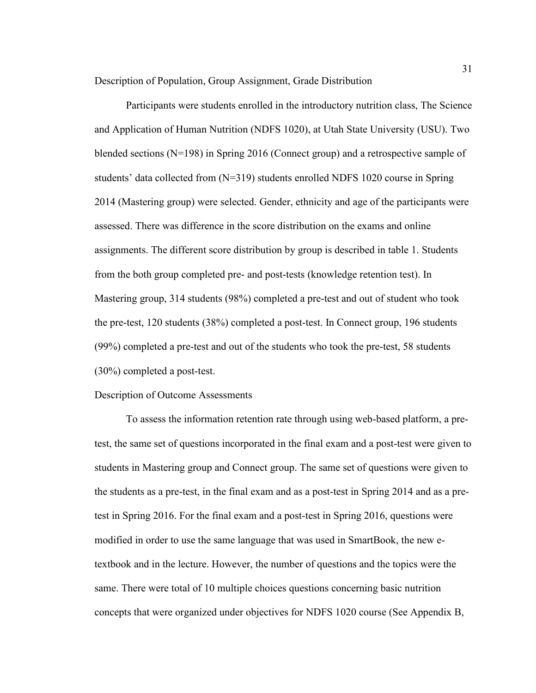Description of Population, Group Assignment, Grade Distribution

Participants were students enrolled in the introductory nutrition class, The Science and Application of Human Nutrition (NDFS 1020), at Utah State University (USU). Two blended sections (N=198) in Spring 2016 (Connect group) and a retrospective sample of students' data collected from (N=319) students enrolled NDFS 1020 course in Spring 2014 (Mastering group) were selected. Gender, ethnicity and age of the participants were assessed. There was difference in the score distribution on the exams and online assignments. The different score distribution by group is described in table 1. Students from the both group completed pre- and post-tests (knowledge retention test). In Mastering group, 314 students (98%) completed a pre-test and out of student who took the pre-test, 120 students (38%) completed a post-test. In Connect group, 196 students (99%) completed a pre-test and out of the students who took the pre-test, 58 students (30%) completed a post-test.

#### Description of Outcome Assessments

To assess the information retention rate through using web-based platform, a pretest, the same set of questions incorporated in the final exam and a post-test were given to students in Mastering group and Connect group. The same set of questions were given to the students as a pre-test, in the final exam and as a post-test in Spring 2014 and as a pretest in Spring 2016. For the final exam and a post-test in Spring 2016, questions were modified in order to use the same language that was used in SmartBook, the new etextbook and in the lecture. However, the number of questions and the topics were the same. There were total of 10 multiple choices questions concerning basic nutrition concepts that were organized under objectives for NDFS 1020 course (See Appendix B,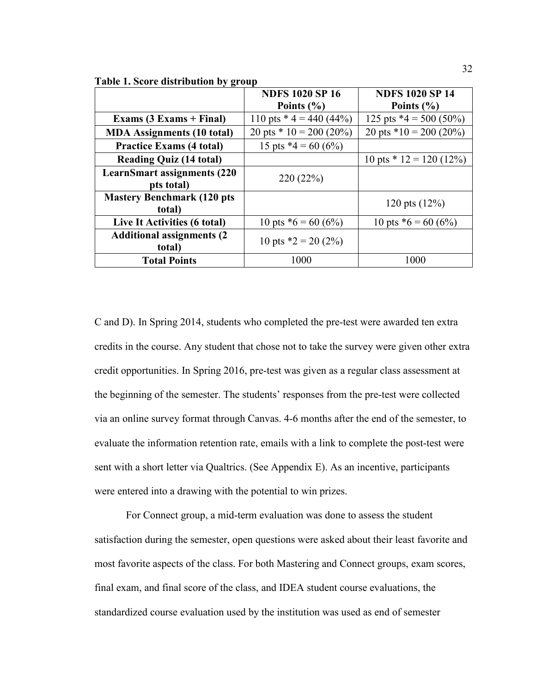**Table 1. Score distribution by group** 

|                                                   | <b>NDFS 1020 SP 16</b><br>Points $(\% )$ | <b>NDFS 1020 SP 14</b><br>Points $(\% )$ |
|---------------------------------------------------|------------------------------------------|------------------------------------------|
| Exams $(3 Exams + Final)$                         | 110 pts $*$ 4 = 440 (44%)                | 125 pts $*4 = 500 (50\%)$                |
| <b>MDA</b> Assignments (10 total)                 | 20 pts $*$ 10 = 200 (20%)                | 20 pts $*10 = 200 (20\%)$                |
| <b>Practice Exams (4 total)</b>                   | 15 pts $*4 = 60 (6%)$                    |                                          |
| <b>Reading Quiz (14 total)</b>                    |                                          | 10 pts $*$ 12 = 120 (12%)                |
| <b>LearnSmart assignments (220)</b><br>pts total) | 220(22%)                                 |                                          |
| <b>Mastery Benchmark (120 pts</b><br>total)       |                                          | 120 pts $(12\%)$                         |
| Live It Activities (6 total)                      | 10 pts $*6 = 60 (6%)$                    | 10 pts $*6 = 60 (6%)$                    |
| <b>Additional assignments (2)</b><br>total)       | 10 pts $*2 = 20(2\%)$                    |                                          |
| <b>Total Points</b>                               | 1000                                     | 1000                                     |

C and D). In Spring 2014, students who completed the pre-test were awarded ten extra credits in the course. Any student that chose not to take the survey were given other extra credit opportunities. In Spring 2016, pre-test was given as a regular class assessment at the beginning of the semester. The students' responses from the pre-test were collected via an online survey format through Canvas. 4-6 months after the end of the semester, to evaluate the information retention rate, emails with a link to complete the post-test were sent with a short letter via Qualtrics. (See Appendix E). As an incentive, participants were entered into a drawing with the potential to win prizes.

For Connect group, a mid-term evaluation was done to assess the student satisfaction during the semester, open questions were asked about their least favorite and most favorite aspects of the class. For both Mastering and Connect groups, exam scores, final exam, and final score of the class, and IDEA student course evaluations, the standardized course evaluation used by the institution was used as end of semester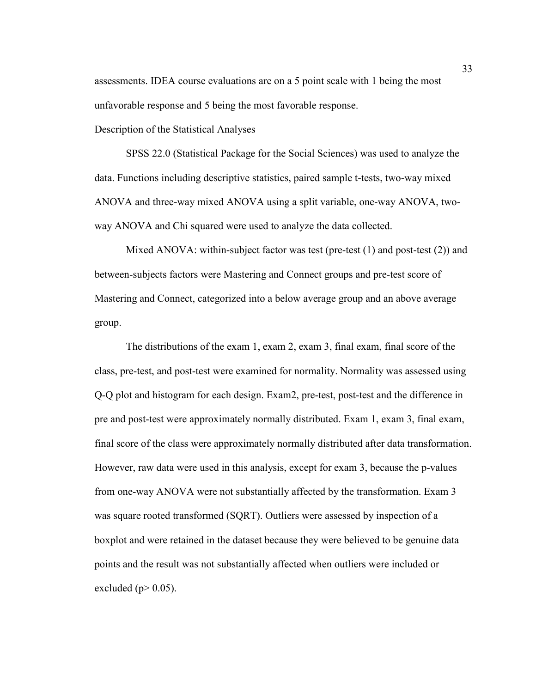assessments. IDEA course evaluations are on a 5 point scale with 1 being the most unfavorable response and 5 being the most favorable response.

Description of the Statistical Analyses

SPSS 22.0 (Statistical Package for the Social Sciences) was used to analyze the data. Functions including descriptive statistics, paired sample t-tests, two-way mixed ANOVA and three-way mixed ANOVA using a split variable, one-way ANOVA, twoway ANOVA and Chi squared were used to analyze the data collected.

Mixed ANOVA: within-subject factor was test (pre-test (1) and post-test (2)) and between-subjects factors were Mastering and Connect groups and pre-test score of Mastering and Connect, categorized into a below average group and an above average group.

The distributions of the exam 1, exam 2, exam 3, final exam, final score of the class, pre-test, and post-test were examined for normality. Normality was assessed using Q-Q plot and histogram for each design. Exam2, pre-test, post-test and the difference in pre and post-test were approximately normally distributed. Exam 1, exam 3, final exam, final score of the class were approximately normally distributed after data transformation. However, raw data were used in this analysis, except for exam 3, because the p-values from one-way ANOVA were not substantially affected by the transformation. Exam 3 was square rooted transformed (SQRT). Outliers were assessed by inspection of a boxplot and were retained in the dataset because they were believed to be genuine data points and the result was not substantially affected when outliers were included or excluded ( $p$  $>$  0.05).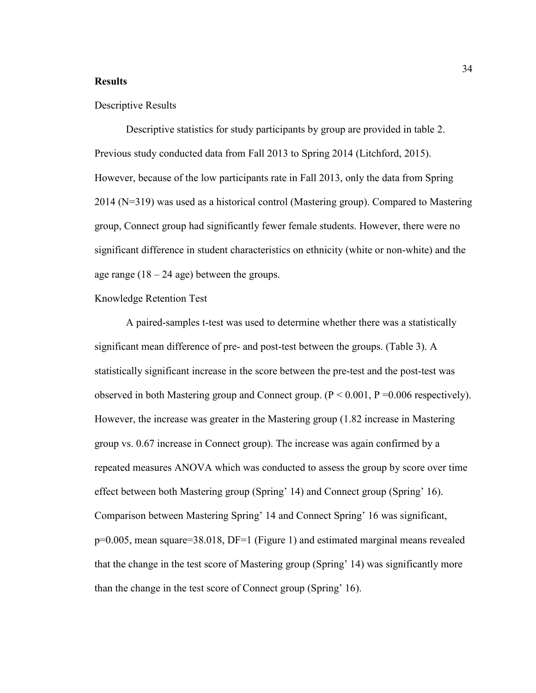#### **Results**

#### Descriptive Results

Descriptive statistics for study participants by group are provided in table 2. Previous study conducted data from Fall 2013 to Spring 2014 (Litchford, 2015). However, because of the low participants rate in Fall 2013, only the data from Spring 2014 (N=319) was used as a historical control (Mastering group). Compared to Mastering group, Connect group had significantly fewer female students. However, there were no significant difference in student characteristics on ethnicity (white or non-white) and the age range  $(18 - 24$  age) between the groups.

# Knowledge Retention Test

A paired-samples t-test was used to determine whether there was a statistically significant mean difference of pre- and post-test between the groups. (Table 3). A statistically significant increase in the score between the pre-test and the post-test was observed in both Mastering group and Connect group.  $(P < 0.001, P = 0.006$  respectively). However, the increase was greater in the Mastering group (1.82 increase in Mastering group vs. 0.67 increase in Connect group). The increase was again confirmed by a repeated measures ANOVA which was conducted to assess the group by score over time effect between both Mastering group (Spring' 14) and Connect group (Spring' 16). Comparison between Mastering Spring' 14 and Connect Spring' 16 was significant, p=0.005, mean square=38.018, DF=1 (Figure 1) and estimated marginal means revealed that the change in the test score of Mastering group (Spring' 14) was significantly more than the change in the test score of Connect group (Spring' 16).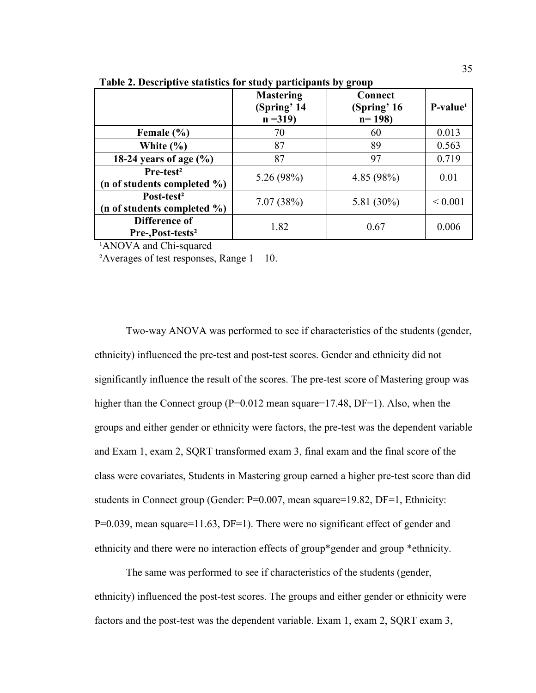|                                                       | <b>Mastering</b><br>(Spring' 14<br>$n = 319$ | Connect<br>(Spring' 16<br>$n = 198$ | $P-value1$  |
|-------------------------------------------------------|----------------------------------------------|-------------------------------------|-------------|
| Female $(\% )$                                        | 70                                           | 60                                  | 0.013       |
| White $(\% )$                                         | 87                                           | 89                                  | 0.563       |
| 18-24 years of age $(\% )$                            | 87                                           | 97                                  | 0.719       |
| Pre-test <sup>2</sup><br>(n of students completed %)  | 5.26(98%)                                    | 4.85(98%)                           | 0.01        |
| Post-test <sup>2</sup><br>(n of students completed %) | 7.07(38%)                                    | 5.81 (30%)                          | ${}< 0.001$ |
| Difference of<br>Pre-,Post-tests <sup>2</sup>         | 1.82                                         | 0.67                                | 0.006       |

**Table 2. Descriptive statistics for study participants by group** 

<sup>1</sup>ANOVA and Chi-squared

<sup>2</sup>Averages of test responses, Range  $1 - 10$ .

Two-way ANOVA was performed to see if characteristics of the students (gender, ethnicity) influenced the pre-test and post-test scores. Gender and ethnicity did not significantly influence the result of the scores. The pre-test score of Mastering group was higher than the Connect group (P=0.012 mean square=17.48, DF=1). Also, when the groups and either gender or ethnicity were factors, the pre-test was the dependent variable and Exam 1, exam 2, SQRT transformed exam 3, final exam and the final score of the class were covariates, Students in Mastering group earned a higher pre-test score than did students in Connect group (Gender: P=0.007, mean square=19.82, DF=1, Ethnicity: P=0.039, mean square=11.63, DF=1). There were no significant effect of gender and ethnicity and there were no interaction effects of group\*gender and group \*ethnicity.

The same was performed to see if characteristics of the students (gender, ethnicity) influenced the post-test scores. The groups and either gender or ethnicity were factors and the post-test was the dependent variable. Exam 1, exam 2, SQRT exam 3,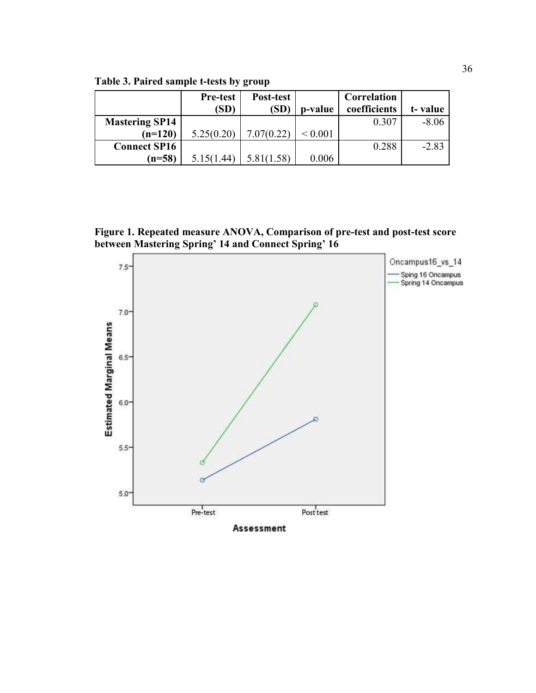**Table 3. Paired sample t-tests by group** 

|                       | <b>Pre-test</b> | Post-test  |              | Correlation  |         |
|-----------------------|-----------------|------------|--------------|--------------|---------|
|                       | (SD)            | (SD)       | p-value      | coefficients | t-value |
| <b>Mastering SP14</b> |                 |            |              | 0.307        | $-8.06$ |
| $(n=120)$             | 5.25(0.20)      | 7.07(0.22) | ${}_{0.001}$ |              |         |
| <b>Connect SP16</b>   |                 |            |              | 0.288        | $-2.83$ |
| $(n=58)$              | 5.15(1.44)      | 5.81(1.58) | 0.006        |              |         |

**Figure 1. Repeated measure ANOVA, Comparison of pre-test and post-test score between Mastering Spring' 14 and Connect Spring' 16**

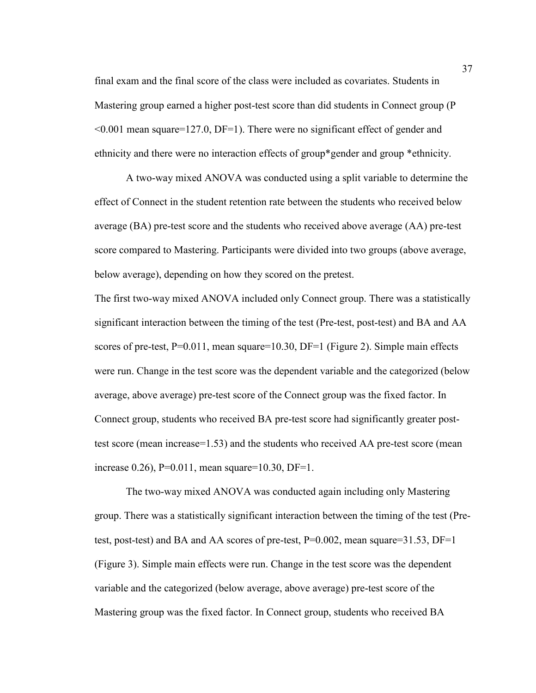final exam and the final score of the class were included as covariates. Students in Mastering group earned a higher post-test score than did students in Connect group (P <0.001 mean square=127.0, DF=1). There were no significant effect of gender and ethnicity and there were no interaction effects of group\*gender and group \*ethnicity.

A two-way mixed ANOVA was conducted using a split variable to determine the effect of Connect in the student retention rate between the students who received below average (BA) pre-test score and the students who received above average (AA) pre-test score compared to Mastering. Participants were divided into two groups (above average, below average), depending on how they scored on the pretest.

The first two-way mixed ANOVA included only Connect group. There was a statistically significant interaction between the timing of the test (Pre-test, post-test) and BA and AA scores of pre-test, P=0.011, mean square=10.30, DF=1 (Figure 2). Simple main effects were run. Change in the test score was the dependent variable and the categorized (below average, above average) pre-test score of the Connect group was the fixed factor. In Connect group, students who received BA pre-test score had significantly greater posttest score (mean increase=1.53) and the students who received AA pre-test score (mean increase 0.26),  $P=0.011$ , mean square=10.30, DF=1.

The two-way mixed ANOVA was conducted again including only Mastering group. There was a statistically significant interaction between the timing of the test (Pretest, post-test) and BA and AA scores of pre-test,  $P=0.002$ , mean square=31.53,  $DF=1$ (Figure 3). Simple main effects were run. Change in the test score was the dependent variable and the categorized (below average, above average) pre-test score of the Mastering group was the fixed factor. In Connect group, students who received BA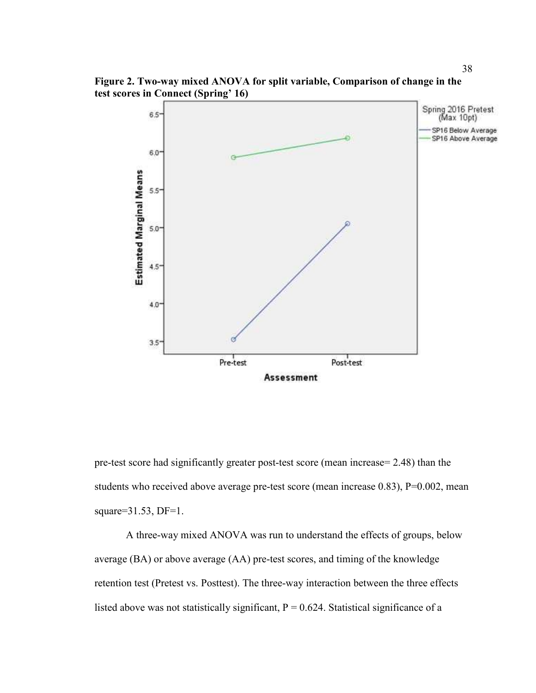**Figure 2. Two-way mixed ANOVA for split variable, Comparison of change in the test scores in Connect (Spring' 16)** 



pre-test score had significantly greater post-test score (mean increase= 2.48) than the students who received above average pre-test score (mean increase 0.83), P=0.002, mean square= $31.53$ , DF= $1$ .

A three-way mixed ANOVA was run to understand the effects of groups, below average (BA) or above average (AA) pre-test scores, and timing of the knowledge retention test (Pretest vs. Posttest). The three-way interaction between the three effects listed above was not statistically significant,  $P = 0.624$ . Statistical significance of a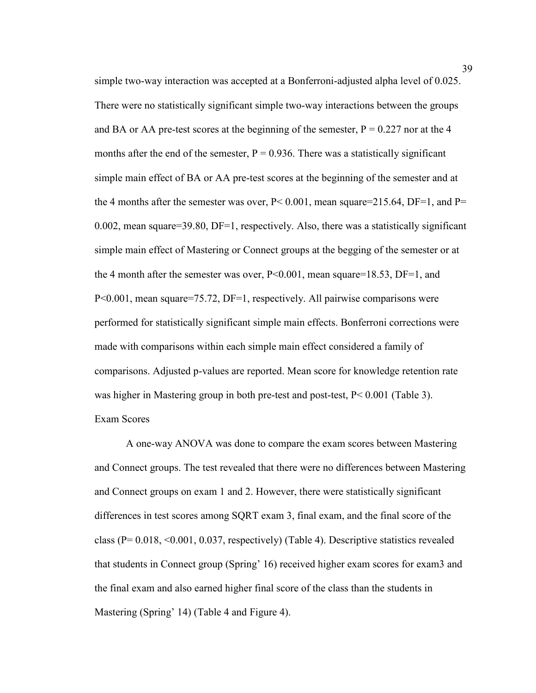simple two-way interaction was accepted at a Bonferroni-adjusted alpha level of 0.025. There were no statistically significant simple two-way interactions between the groups and BA or AA pre-test scores at the beginning of the semester,  $P = 0.227$  nor at the 4 months after the end of the semester,  $P = 0.936$ . There was a statistically significant simple main effect of BA or AA pre-test scores at the beginning of the semester and at the 4 months after the semester was over,  $P < 0.001$ , mean square=215.64, DF=1, and P= 0.002, mean square=39.80, DF=1, respectively. Also, there was a statistically significant simple main effect of Mastering or Connect groups at the begging of the semester or at the 4 month after the semester was over, P<0.001, mean square=18.53, DF=1, and P<0.001, mean square=75.72, DF=1, respectively. All pairwise comparisons were performed for statistically significant simple main effects. Bonferroni corrections were made with comparisons within each simple main effect considered a family of comparisons. Adjusted p-values are reported. Mean score for knowledge retention rate was higher in Mastering group in both pre-test and post-test, P< 0.001 (Table 3). Exam Scores

A one-way ANOVA was done to compare the exam scores between Mastering and Connect groups. The test revealed that there were no differences between Mastering and Connect groups on exam 1 and 2. However, there were statistically significant differences in test scores among SQRT exam 3, final exam, and the final score of the class  $(P= 0.018, \le 0.001, 0.037,$  respectively) (Table 4). Descriptive statistics revealed that students in Connect group (Spring' 16) received higher exam scores for exam3 and the final exam and also earned higher final score of the class than the students in Mastering (Spring' 14) (Table 4 and Figure 4).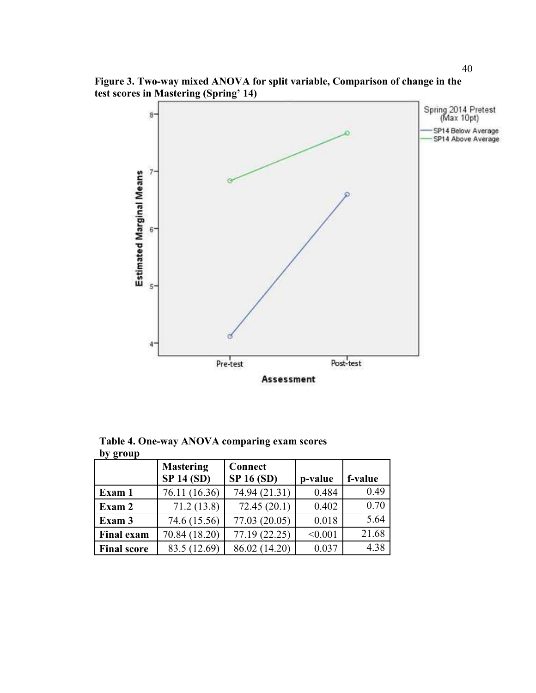Spring 2014 Pretest<br>(Max 10pt) 8. SP14 Below Average SP14 Above Average  $7 -$ **Estimated Marginal Means** 6.  $5 -$ 4 Pre-test Post-test



Assessment

| ັ່                 | <b>Mastering</b><br><b>SP 14 (SD)</b> | <b>Connect</b><br><b>SP 16 (SD)</b> | p-value | f-value |
|--------------------|---------------------------------------|-------------------------------------|---------|---------|
| Exam 1             | 76.11 (16.36)                         | 74.94 (21.31)                       | 0.484   | 0.49    |
| Exam 2             | 71.2(13.8)                            | 72.45(20.1)                         | 0.402   | 0.70    |
| Exam 3             | 74.6 (15.56)                          | 77.03 (20.05)                       | 0.018   | 5.64    |
| <b>Final exam</b>  | 70.84 (18.20)                         | 77.19 (22.25)                       | < 0.001 | 21.68   |
| <b>Final score</b> | 83.5 (12.69)                          | 86.02 (14.20)                       | 0.037   | 4.38    |

**Table 4. One-way ANOVA comparing exam scores by group**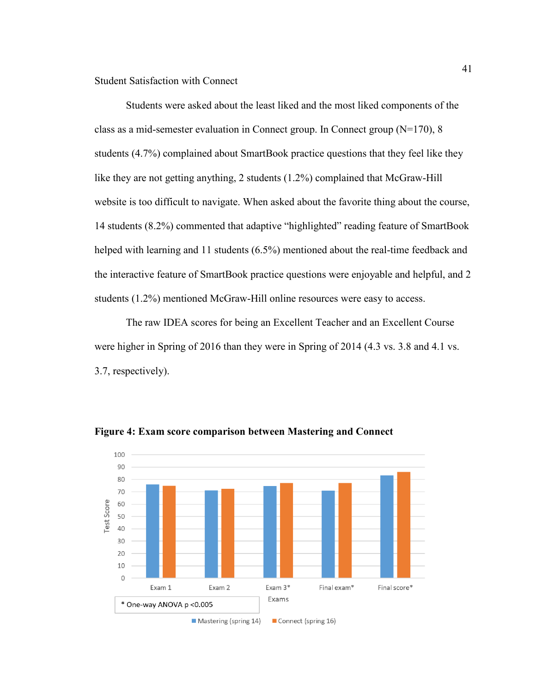Student Satisfaction with Connect

Students were asked about the least liked and the most liked components of the class as a mid-semester evaluation in Connect group. In Connect group (N=170), 8 students (4.7%) complained about SmartBook practice questions that they feel like they like they are not getting anything, 2 students (1.2%) complained that McGraw-Hill website is too difficult to navigate. When asked about the favorite thing about the course, 14 students (8.2%) commented that adaptive "highlighted" reading feature of SmartBook helped with learning and 11 students (6.5%) mentioned about the real-time feedback and the interactive feature of SmartBook practice questions were enjoyable and helpful, and 2 students (1.2%) mentioned McGraw-Hill online resources were easy to access.

The raw IDEA scores for being an Excellent Teacher and an Excellent Course were higher in Spring of 2016 than they were in Spring of 2014 (4.3 vs. 3.8 and 4.1 vs. 3.7, respectively).



**Figure 4: Exam score comparison between Mastering and Connect**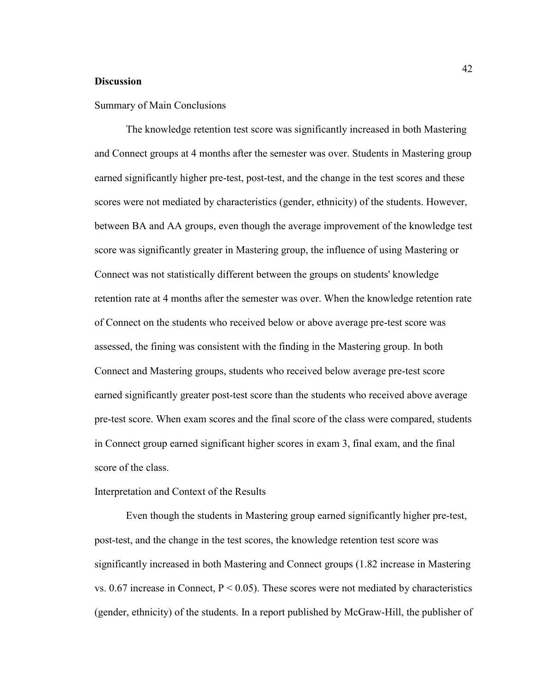#### **Discussion**

#### Summary of Main Conclusions

The knowledge retention test score was significantly increased in both Mastering and Connect groups at 4 months after the semester was over. Students in Mastering group earned significantly higher pre-test, post-test, and the change in the test scores and these scores were not mediated by characteristics (gender, ethnicity) of the students. However, between BA and AA groups, even though the average improvement of the knowledge test score was significantly greater in Mastering group, the influence of using Mastering or Connect was not statistically different between the groups on students' knowledge retention rate at 4 months after the semester was over. When the knowledge retention rate of Connect on the students who received below or above average pre-test score was assessed, the fining was consistent with the finding in the Mastering group. In both Connect and Mastering groups, students who received below average pre-test score earned significantly greater post-test score than the students who received above average pre-test score. When exam scores and the final score of the class were compared, students in Connect group earned significant higher scores in exam 3, final exam, and the final score of the class.

#### Interpretation and Context of the Results

Even though the students in Mastering group earned significantly higher pre-test, post-test, and the change in the test scores, the knowledge retention test score was significantly increased in both Mastering and Connect groups (1.82 increase in Mastering vs. 0.67 increase in Connect,  $P < 0.05$ ). These scores were not mediated by characteristics (gender, ethnicity) of the students. In a report published by McGraw-Hill, the publisher of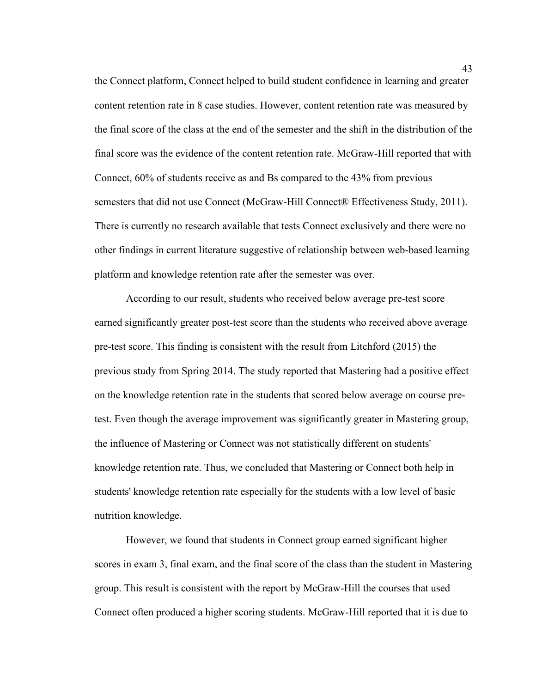the Connect platform, Connect helped to build student confidence in learning and greater content retention rate in 8 case studies. However, content retention rate was measured by the final score of the class at the end of the semester and the shift in the distribution of the final score was the evidence of the content retention rate. McGraw-Hill reported that with Connect, 60% of students receive as and Bs compared to the 43% from previous semesters that did not use Connect (McGraw-Hill Connect® Effectiveness Study, 2011). There is currently no research available that tests Connect exclusively and there were no other findings in current literature suggestive of relationship between web-based learning platform and knowledge retention rate after the semester was over.

According to our result, students who received below average pre-test score earned significantly greater post-test score than the students who received above average pre-test score. This finding is consistent with the result from Litchford (2015) the previous study from Spring 2014. The study reported that Mastering had a positive effect on the knowledge retention rate in the students that scored below average on course pretest. Even though the average improvement was significantly greater in Mastering group, the influence of Mastering or Connect was not statistically different on students' knowledge retention rate. Thus, we concluded that Mastering or Connect both help in students' knowledge retention rate especially for the students with a low level of basic nutrition knowledge.

However, we found that students in Connect group earned significant higher scores in exam 3, final exam, and the final score of the class than the student in Mastering group. This result is consistent with the report by McGraw-Hill the courses that used Connect often produced a higher scoring students. McGraw-Hill reported that it is due to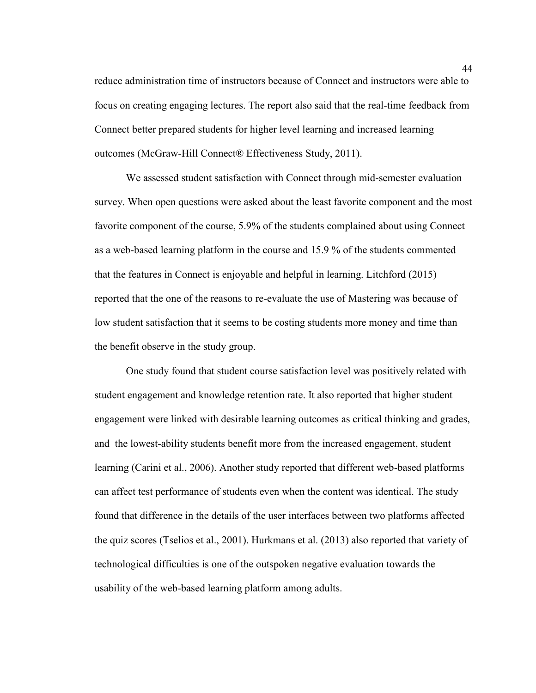reduce administration time of instructors because of Connect and instructors were able to focus on creating engaging lectures. The report also said that the real-time feedback from Connect better prepared students for higher level learning and increased learning outcomes (McGraw-Hill Connect® Effectiveness Study, 2011).

We assessed student satisfaction with Connect through mid-semester evaluation survey. When open questions were asked about the least favorite component and the most favorite component of the course, 5.9% of the students complained about using Connect as a web-based learning platform in the course and 15.9 % of the students commented that the features in Connect is enjoyable and helpful in learning. Litchford (2015) reported that the one of the reasons to re-evaluate the use of Mastering was because of low student satisfaction that it seems to be costing students more money and time than the benefit observe in the study group.

One study found that student course satisfaction level was positively related with student engagement and knowledge retention rate. It also reported that higher student engagement were linked with desirable learning outcomes as critical thinking and grades, and the lowest-ability students benefit more from the increased engagement, student learning (Carini et al., 2006). Another study reported that different web-based platforms can affect test performance of students even when the content was identical. The study found that difference in the details of the user interfaces between two platforms affected the quiz scores (Tselios et al., 2001). Hurkmans et al. (2013) also reported that variety of technological difficulties is one of the outspoken negative evaluation towards the usability of the web-based learning platform among adults.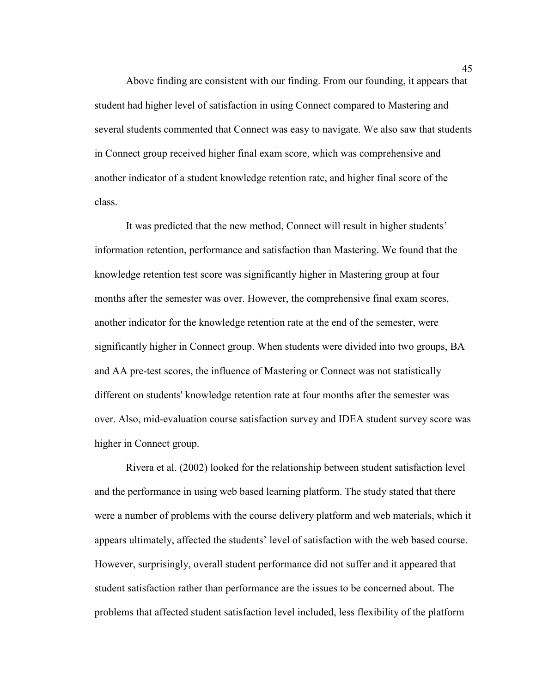Above finding are consistent with our finding. From our founding, it appears that student had higher level of satisfaction in using Connect compared to Mastering and several students commented that Connect was easy to navigate. We also saw that students in Connect group received higher final exam score, which was comprehensive and another indicator of a student knowledge retention rate, and higher final score of the class.

It was predicted that the new method, Connect will result in higher students' information retention, performance and satisfaction than Mastering. We found that the knowledge retention test score was significantly higher in Mastering group at four months after the semester was over. However, the comprehensive final exam scores, another indicator for the knowledge retention rate at the end of the semester, were significantly higher in Connect group. When students were divided into two groups, BA and AA pre-test scores, the influence of Mastering or Connect was not statistically different on students' knowledge retention rate at four months after the semester was over. Also, mid-evaluation course satisfaction survey and IDEA student survey score was higher in Connect group.

Rivera et al. (2002) looked for the relationship between student satisfaction level and the performance in using web based learning platform. The study stated that there were a number of problems with the course delivery platform and web materials, which it appears ultimately, affected the students' level of satisfaction with the web based course. However, surprisingly, overall student performance did not suffer and it appeared that student satisfaction rather than performance are the issues to be concerned about. The problems that affected student satisfaction level included, less flexibility of the platform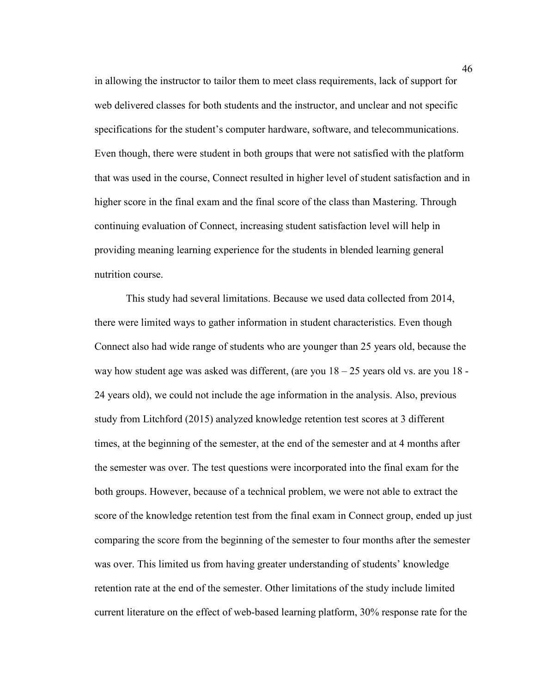in allowing the instructor to tailor them to meet class requirements, lack of support for web delivered classes for both students and the instructor, and unclear and not specific specifications for the student's computer hardware, software, and telecommunications. Even though, there were student in both groups that were not satisfied with the platform that was used in the course, Connect resulted in higher level of student satisfaction and in higher score in the final exam and the final score of the class than Mastering. Through continuing evaluation of Connect, increasing student satisfaction level will help in providing meaning learning experience for the students in blended learning general nutrition course.

This study had several limitations. Because we used data collected from 2014, there were limited ways to gather information in student characteristics. Even though Connect also had wide range of students who are younger than 25 years old, because the way how student age was asked was different, (are you 18 – 25 years old vs. are you 18 - 24 years old), we could not include the age information in the analysis. Also, previous study from Litchford (2015) analyzed knowledge retention test scores at 3 different times, at the beginning of the semester, at the end of the semester and at 4 months after the semester was over. The test questions were incorporated into the final exam for the both groups. However, because of a technical problem, we were not able to extract the score of the knowledge retention test from the final exam in Connect group, ended up just comparing the score from the beginning of the semester to four months after the semester was over. This limited us from having greater understanding of students' knowledge retention rate at the end of the semester. Other limitations of the study include limited current literature on the effect of web-based learning platform, 30% response rate for the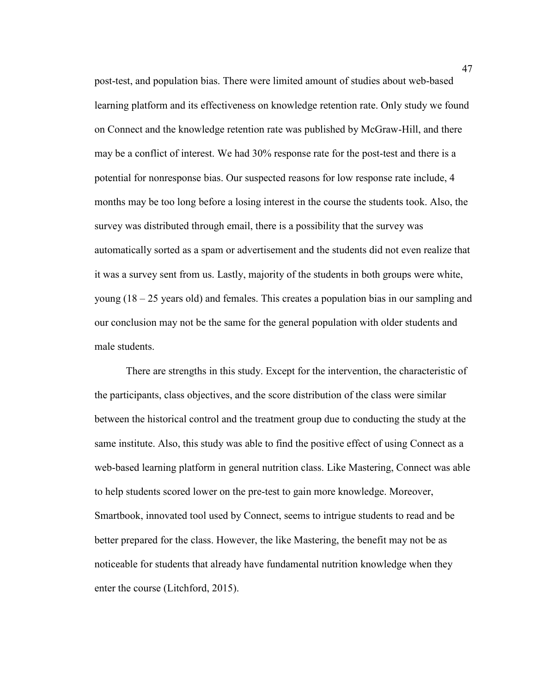post-test, and population bias. There were limited amount of studies about web-based learning platform and its effectiveness on knowledge retention rate. Only study we found on Connect and the knowledge retention rate was published by McGraw-Hill, and there may be a conflict of interest. We had 30% response rate for the post-test and there is a potential for nonresponse bias. Our suspected reasons for low response rate include, 4 months may be too long before a losing interest in the course the students took. Also, the survey was distributed through email, there is a possibility that the survey was automatically sorted as a spam or advertisement and the students did not even realize that it was a survey sent from us. Lastly, majority of the students in both groups were white, young (18 – 25 years old) and females. This creates a population bias in our sampling and our conclusion may not be the same for the general population with older students and male students.

There are strengths in this study. Except for the intervention, the characteristic of the participants, class objectives, and the score distribution of the class were similar between the historical control and the treatment group due to conducting the study at the same institute. Also, this study was able to find the positive effect of using Connect as a web-based learning platform in general nutrition class. Like Mastering, Connect was able to help students scored lower on the pre-test to gain more knowledge. Moreover, Smartbook, innovated tool used by Connect, seems to intrigue students to read and be better prepared for the class. However, the like Mastering, the benefit may not be as noticeable for students that already have fundamental nutrition knowledge when they enter the course (Litchford, 2015).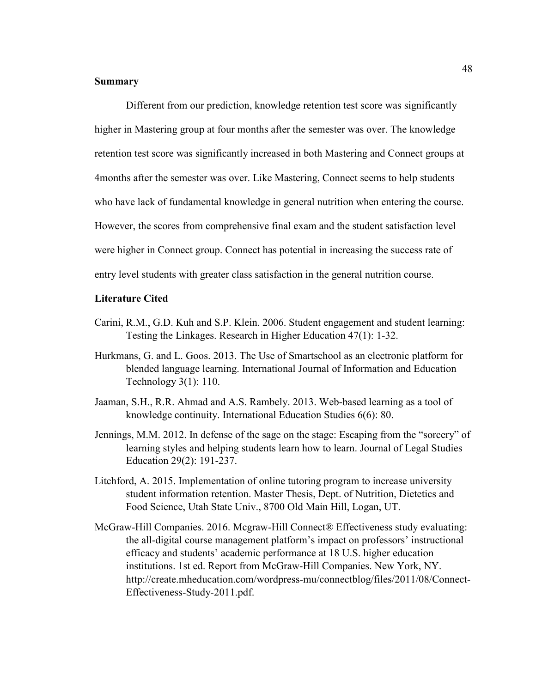# **Summary**

Different from our prediction, knowledge retention test score was significantly higher in Mastering group at four months after the semester was over. The knowledge retention test score was significantly increased in both Mastering and Connect groups at 4months after the semester was over. Like Mastering, Connect seems to help students who have lack of fundamental knowledge in general nutrition when entering the course. However, the scores from comprehensive final exam and the student satisfaction level were higher in Connect group. Connect has potential in increasing the success rate of entry level students with greater class satisfaction in the general nutrition course.

#### **Literature Cited**

- Carini, R.M., G.D. Kuh and S.P. Klein. 2006. Student engagement and student learning: Testing the Linkages. Research in Higher Education 47(1): 1-32.
- Hurkmans, G. and L. Goos. 2013. The Use of Smartschool as an electronic platform for blended language learning. International Journal of Information and Education Technology 3(1): 110.
- Jaaman, S.H., R.R. Ahmad and A.S. Rambely. 2013. Web-based learning as a tool of knowledge continuity. International Education Studies 6(6): 80.
- Jennings, M.M. 2012. In defense of the sage on the stage: Escaping from the "sorcery" of learning styles and helping students learn how to learn. Journal of Legal Studies Education 29(2): 191-237.
- Litchford, A. 2015. Implementation of online tutoring program to increase university student information retention. Master Thesis, Dept. of Nutrition, Dietetics and Food Science, Utah State Univ., 8700 Old Main Hill, Logan, UT.
- McGraw-Hill Companies. 2016. Mcgraw-Hill Connect® Effectiveness study evaluating: the all-digital course management platform's impact on professors' instructional efficacy and students' academic performance at 18 U.S. higher education institutions. 1st ed. Report from McGraw-Hill Companies. New York, NY. http://create.mheducation.com/wordpress-mu/connectblog/files/2011/08/Connect-Effectiveness-Study-2011.pdf.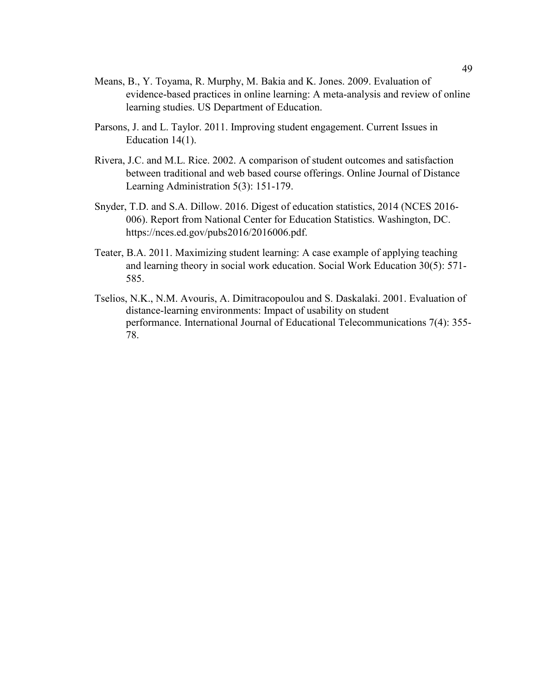- Means, B., Y. Toyama, R. Murphy, M. Bakia and K. Jones. 2009. Evaluation of evidence-based practices in online learning: A meta-analysis and review of online learning studies. US Department of Education.
- Parsons, J. and L. Taylor. 2011. Improving student engagement. Current Issues in Education 14(1).
- Rivera, J.C. and M.L. Rice. 2002. A comparison of student outcomes and satisfaction between traditional and web based course offerings. Online Journal of Distance Learning Administration 5(3): 151-179.
- Snyder, T.D. and S.A. Dillow. 2016. Digest of education statistics, 2014 (NCES 2016- 006). Report from National Center for Education Statistics. Washington, DC. https://nces.ed.gov/pubs2016/2016006.pdf.
- Teater, B.A. 2011. Maximizing student learning: A case example of applying teaching and learning theory in social work education. Social Work Education 30(5): 571- 585.
- Tselios, N.K., N.M. Avouris, A. Dimitracopoulou and S. Daskalaki. 2001. Evaluation of distance-learning environments: Impact of usability on student performance. International Journal of Educational Telecommunications 7(4): 355- 78.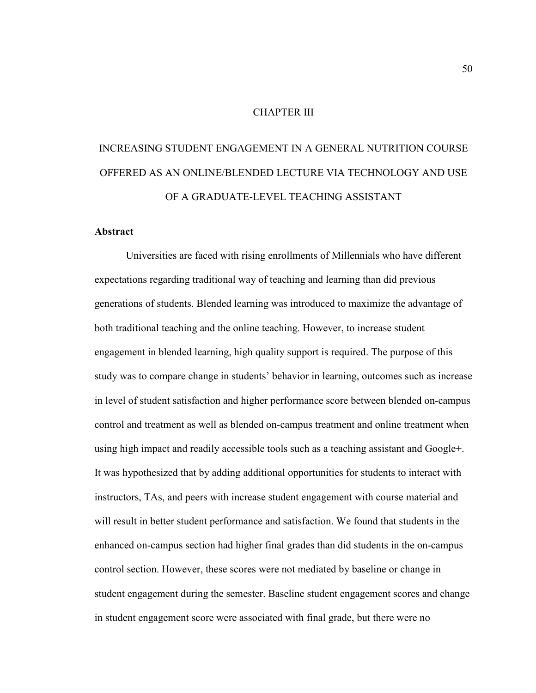#### CHAPTER III

# INCREASING STUDENT ENGAGEMENT IN A GENERAL NUTRITION COURSE OFFERED AS AN ONLINE/BLENDED LECTURE VIA TECHNOLOGY AND USE OF A GRADUATE-LEVEL TEACHING ASSISTANT

# **Abstract**

Universities are faced with rising enrollments of Millennials who have different expectations regarding traditional way of teaching and learning than did previous generations of students. Blended learning was introduced to maximize the advantage of both traditional teaching and the online teaching. However, to increase student engagement in blended learning, high quality support is required. The purpose of this study was to compare change in students' behavior in learning, outcomes such as increase in level of student satisfaction and higher performance score between blended on-campus control and treatment as well as blended on-campus treatment and online treatment when using high impact and readily accessible tools such as a teaching assistant and Google+. It was hypothesized that by adding additional opportunities for students to interact with instructors, TAs, and peers with increase student engagement with course material and will result in better student performance and satisfaction. We found that students in the enhanced on-campus section had higher final grades than did students in the on-campus control section. However, these scores were not mediated by baseline or change in student engagement during the semester. Baseline student engagement scores and change in student engagement score were associated with final grade, but there were no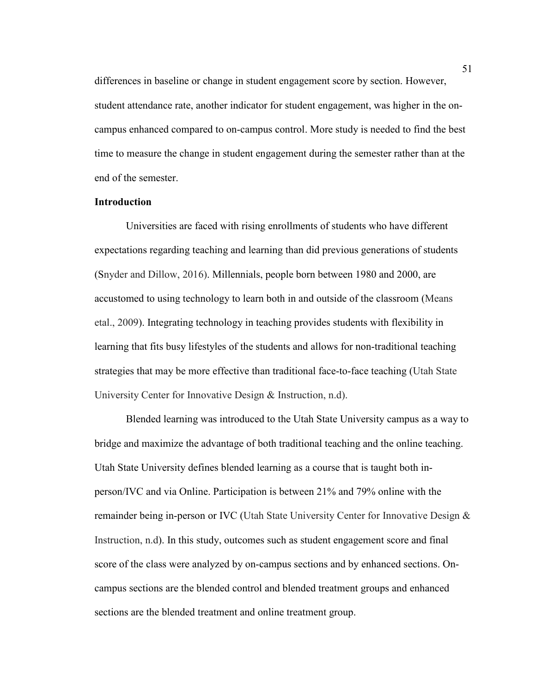differences in baseline or change in student engagement score by section. However, student attendance rate, another indicator for student engagement, was higher in the oncampus enhanced compared to on-campus control. More study is needed to find the best time to measure the change in student engagement during the semester rather than at the end of the semester.

# **Introduction**

Universities are faced with rising enrollments of students who have different expectations regarding teaching and learning than did previous generations of students (Snyder and Dillow, 2016). Millennials, people born between 1980 and 2000, are accustomed to using technology to learn both in and outside of the classroom (Means etal., 2009). Integrating technology in teaching provides students with flexibility in learning that fits busy lifestyles of the students and allows for non-traditional teaching strategies that may be more effective than traditional face-to-face teaching (Utah State University Center for Innovative Design & Instruction, n.d).

Blended learning was introduced to the Utah State University campus as a way to bridge and maximize the advantage of both traditional teaching and the online teaching. Utah State University defines blended learning as a course that is taught both inperson/IVC and via Online. Participation is between 21% and 79% online with the remainder being in-person or IVC (Utah State University Center for Innovative Design & Instruction, n.d). In this study, outcomes such as student engagement score and final score of the class were analyzed by on-campus sections and by enhanced sections. Oncampus sections are the blended control and blended treatment groups and enhanced sections are the blended treatment and online treatment group.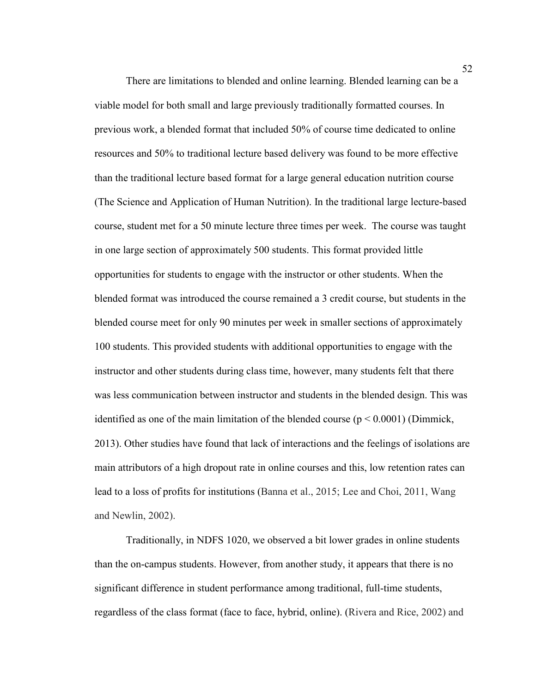There are limitations to blended and online learning. Blended learning can be a viable model for both small and large previously traditionally formatted courses. In previous work, a blended format that included 50% of course time dedicated to online resources and 50% to traditional lecture based delivery was found to be more effective than the traditional lecture based format for a large general education nutrition course (The Science and Application of Human Nutrition). In the traditional large lecture-based course, student met for a 50 minute lecture three times per week. The course was taught in one large section of approximately 500 students. This format provided little opportunities for students to engage with the instructor or other students. When the blended format was introduced the course remained a 3 credit course, but students in the blended course meet for only 90 minutes per week in smaller sections of approximately 100 students. This provided students with additional opportunities to engage with the instructor and other students during class time, however, many students felt that there was less communication between instructor and students in the blended design. This was identified as one of the main limitation of the blended course ( $p \le 0.0001$ ) (Dimmick, 2013). Other studies have found that lack of interactions and the feelings of isolations are main attributors of a high dropout rate in online courses and this, low retention rates can lead to a loss of profits for institutions (Banna et al., 2015; Lee and Choi, 2011, Wang and Newlin, 2002).

Traditionally, in NDFS 1020, we observed a bit lower grades in online students than the on-campus students. However, from another study, it appears that there is no significant difference in student performance among traditional, full-time students, regardless of the class format (face to face, hybrid, online). (Rivera and Rice, 2002) and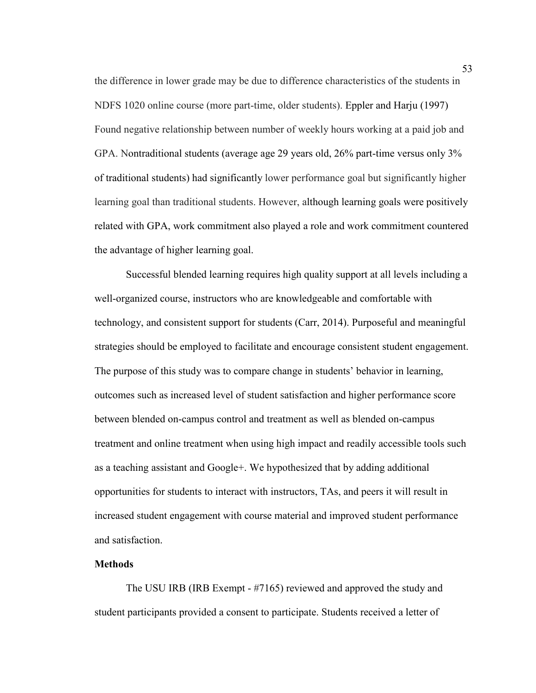the difference in lower grade may be due to difference characteristics of the students in NDFS 1020 online course (more part-time, older students). Eppler and Harju (1997) Found negative relationship between number of weekly hours working at a paid job and GPA. Nontraditional students (average age 29 years old, 26% part-time versus only 3% of traditional students) had significantly lower performance goal but significantly higher learning goal than traditional students. However, although learning goals were positively related with GPA, work commitment also played a role and work commitment countered the advantage of higher learning goal.

Successful blended learning requires high quality support at all levels including a well-organized course, instructors who are knowledgeable and comfortable with technology, and consistent support for students (Carr, 2014). Purposeful and meaningful strategies should be employed to facilitate and encourage consistent student engagement. The purpose of this study was to compare change in students' behavior in learning, outcomes such as increased level of student satisfaction and higher performance score between blended on-campus control and treatment as well as blended on-campus treatment and online treatment when using high impact and readily accessible tools such as a teaching assistant and Google+. We hypothesized that by adding additional opportunities for students to interact with instructors, TAs, and peers it will result in increased student engagement with course material and improved student performance and satisfaction.

## **Methods**

The USU IRB (IRB Exempt - #7165) reviewed and approved the study and student participants provided a consent to participate. Students received a letter of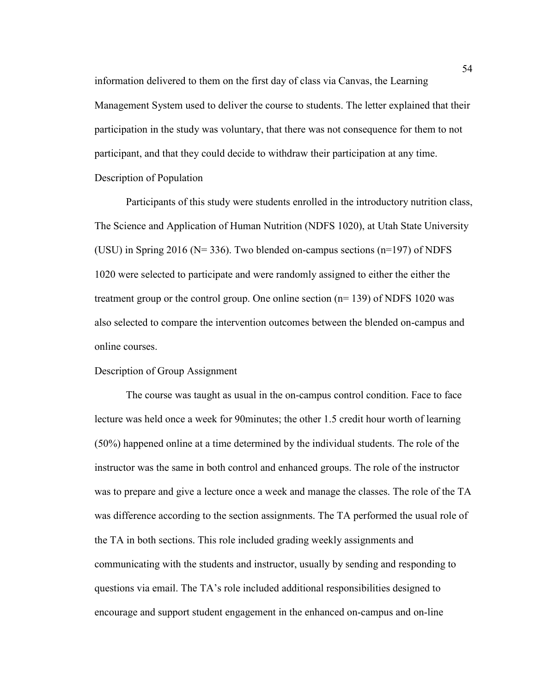information delivered to them on the first day of class via Canvas, the Learning Management System used to deliver the course to students. The letter explained that their participation in the study was voluntary, that there was not consequence for them to not participant, and that they could decide to withdraw their participation at any time. Description of Population

Participants of this study were students enrolled in the introductory nutrition class, The Science and Application of Human Nutrition (NDFS 1020), at Utah State University (USU) in Spring 2016 (N= 336). Two blended on-campus sections (n=197) of NDFS 1020 were selected to participate and were randomly assigned to either the either the treatment group or the control group. One online section (n= 139) of NDFS 1020 was also selected to compare the intervention outcomes between the blended on-campus and online courses.

#### Description of Group Assignment

The course was taught as usual in the on-campus control condition. Face to face lecture was held once a week for 90minutes; the other 1.5 credit hour worth of learning (50%) happened online at a time determined by the individual students. The role of the instructor was the same in both control and enhanced groups. The role of the instructor was to prepare and give a lecture once a week and manage the classes. The role of the TA was difference according to the section assignments. The TA performed the usual role of the TA in both sections. This role included grading weekly assignments and communicating with the students and instructor, usually by sending and responding to questions via email. The TA's role included additional responsibilities designed to encourage and support student engagement in the enhanced on-campus and on-line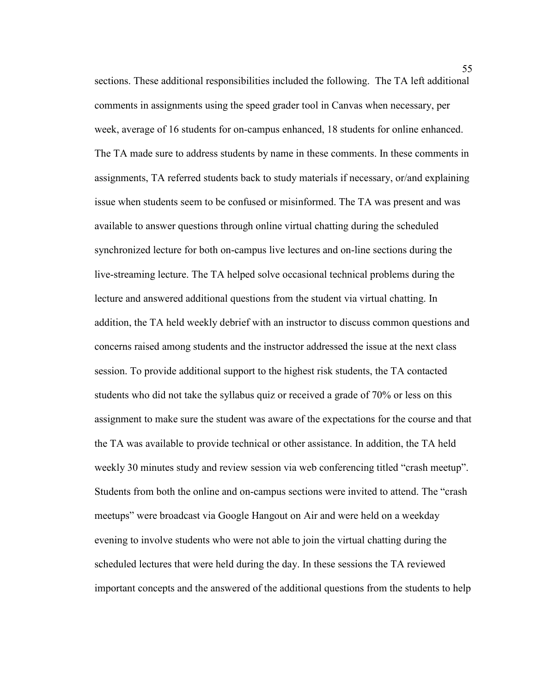sections. These additional responsibilities included the following. The TA left additional comments in assignments using the speed grader tool in Canvas when necessary, per week, average of 16 students for on-campus enhanced, 18 students for online enhanced. The TA made sure to address students by name in these comments. In these comments in assignments, TA referred students back to study materials if necessary, or/and explaining issue when students seem to be confused or misinformed. The TA was present and was available to answer questions through online virtual chatting during the scheduled synchronized lecture for both on-campus live lectures and on-line sections during the live-streaming lecture. The TA helped solve occasional technical problems during the lecture and answered additional questions from the student via virtual chatting. In addition, the TA held weekly debrief with an instructor to discuss common questions and concerns raised among students and the instructor addressed the issue at the next class session. To provide additional support to the highest risk students, the TA contacted students who did not take the syllabus quiz or received a grade of 70% or less on this assignment to make sure the student was aware of the expectations for the course and that the TA was available to provide technical or other assistance. In addition, the TA held weekly 30 minutes study and review session via web conferencing titled "crash meetup". Students from both the online and on-campus sections were invited to attend. The "crash meetups" were broadcast via Google Hangout on Air and were held on a weekday evening to involve students who were not able to join the virtual chatting during the scheduled lectures that were held during the day. In these sessions the TA reviewed important concepts and the answered of the additional questions from the students to help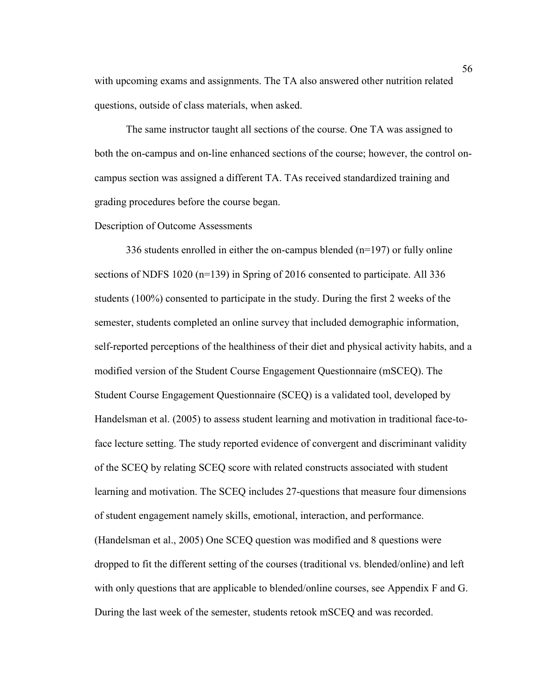with upcoming exams and assignments. The TA also answered other nutrition related questions, outside of class materials, when asked.

The same instructor taught all sections of the course. One TA was assigned to both the on-campus and on-line enhanced sections of the course; however, the control oncampus section was assigned a different TA. TAs received standardized training and grading procedures before the course began.

#### Description of Outcome Assessments

336 students enrolled in either the on-campus blended (n=197) or fully online sections of NDFS 1020 (n=139) in Spring of 2016 consented to participate. All 336 students (100%) consented to participate in the study. During the first 2 weeks of the semester, students completed an online survey that included demographic information, self-reported perceptions of the healthiness of their diet and physical activity habits, and a modified version of the Student Course Engagement Questionnaire (mSCEQ). The Student Course Engagement Questionnaire (SCEQ) is a validated tool, developed by Handelsman et al. (2005) to assess student learning and motivation in traditional face-toface lecture setting. The study reported evidence of convergent and discriminant validity of the SCEQ by relating SCEQ score with related constructs associated with student learning and motivation. The SCEQ includes 27-questions that measure four dimensions of student engagement namely skills, emotional, interaction, and performance. (Handelsman et al., 2005) One SCEQ question was modified and 8 questions were dropped to fit the different setting of the courses (traditional vs. blended/online) and left with only questions that are applicable to blended/online courses, see Appendix F and G. During the last week of the semester, students retook mSCEQ and was recorded.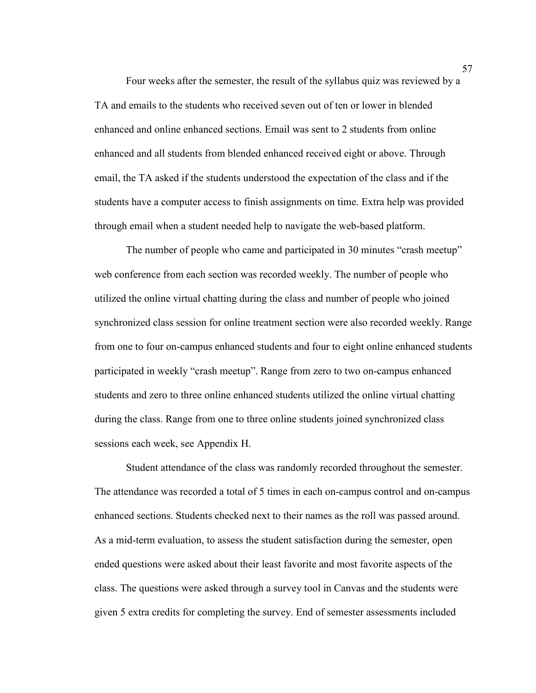Four weeks after the semester, the result of the syllabus quiz was reviewed by a TA and emails to the students who received seven out of ten or lower in blended enhanced and online enhanced sections. Email was sent to 2 students from online enhanced and all students from blended enhanced received eight or above. Through email, the TA asked if the students understood the expectation of the class and if the students have a computer access to finish assignments on time. Extra help was provided through email when a student needed help to navigate the web-based platform.

The number of people who came and participated in 30 minutes "crash meetup" web conference from each section was recorded weekly. The number of people who utilized the online virtual chatting during the class and number of people who joined synchronized class session for online treatment section were also recorded weekly. Range from one to four on-campus enhanced students and four to eight online enhanced students participated in weekly "crash meetup". Range from zero to two on-campus enhanced students and zero to three online enhanced students utilized the online virtual chatting during the class. Range from one to three online students joined synchronized class sessions each week, see Appendix H.

Student attendance of the class was randomly recorded throughout the semester. The attendance was recorded a total of 5 times in each on-campus control and on-campus enhanced sections. Students checked next to their names as the roll was passed around. As a mid-term evaluation, to assess the student satisfaction during the semester, open ended questions were asked about their least favorite and most favorite aspects of the class. The questions were asked through a survey tool in Canvas and the students were given 5 extra credits for completing the survey. End of semester assessments included

57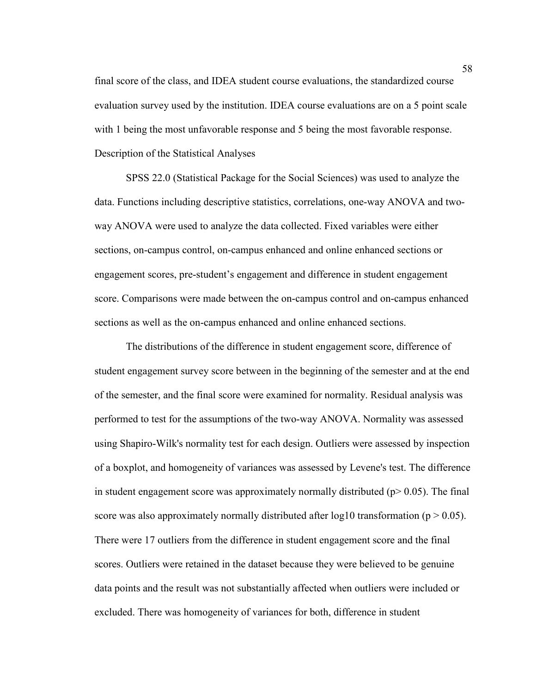final score of the class, and IDEA student course evaluations, the standardized course evaluation survey used by the institution. IDEA course evaluations are on a 5 point scale with 1 being the most unfavorable response and 5 being the most favorable response. Description of the Statistical Analyses

SPSS 22.0 (Statistical Package for the Social Sciences) was used to analyze the data. Functions including descriptive statistics, correlations, one-way ANOVA and twoway ANOVA were used to analyze the data collected. Fixed variables were either sections, on-campus control, on-campus enhanced and online enhanced sections or engagement scores, pre-student's engagement and difference in student engagement score. Comparisons were made between the on-campus control and on-campus enhanced sections as well as the on-campus enhanced and online enhanced sections.

The distributions of the difference in student engagement score, difference of student engagement survey score between in the beginning of the semester and at the end of the semester, and the final score were examined for normality. Residual analysis was performed to test for the assumptions of the two-way ANOVA. Normality was assessed using Shapiro-Wilk's normality test for each design. Outliers were assessed by inspection of a boxplot, and homogeneity of variances was assessed by Levene's test. The difference in student engagement score was approximately normally distributed ( $p$  > 0.05). The final score was also approximately normally distributed after  $log 10$  transformation ( $p > 0.05$ ). There were 17 outliers from the difference in student engagement score and the final scores. Outliers were retained in the dataset because they were believed to be genuine data points and the result was not substantially affected when outliers were included or excluded. There was homogeneity of variances for both, difference in student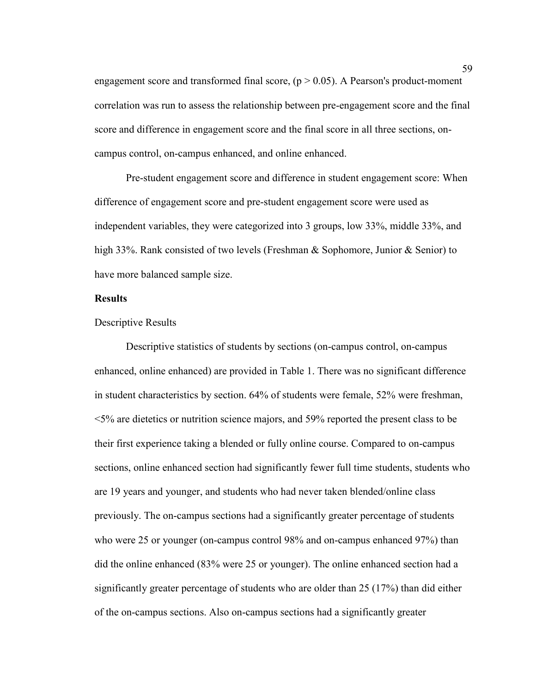engagement score and transformed final score,  $(p > 0.05)$ . A Pearson's product-moment correlation was run to assess the relationship between pre-engagement score and the final score and difference in engagement score and the final score in all three sections, oncampus control, on-campus enhanced, and online enhanced.

Pre-student engagement score and difference in student engagement score: When difference of engagement score and pre-student engagement score were used as independent variables, they were categorized into 3 groups, low 33%, middle 33%, and high 33%. Rank consisted of two levels (Freshman & Sophomore, Junior & Senior) to have more balanced sample size.

#### **Results**

#### Descriptive Results

Descriptive statistics of students by sections (on-campus control, on-campus enhanced, online enhanced) are provided in Table 1. There was no significant difference in student characteristics by section. 64% of students were female, 52% were freshman, <5% are dietetics or nutrition science majors, and 59% reported the present class to be their first experience taking a blended or fully online course. Compared to on-campus sections, online enhanced section had significantly fewer full time students, students who are 19 years and younger, and students who had never taken blended/online class previously. The on-campus sections had a significantly greater percentage of students who were 25 or younger (on-campus control 98% and on-campus enhanced 97%) than did the online enhanced (83% were 25 or younger). The online enhanced section had a significantly greater percentage of students who are older than 25 (17%) than did either of the on-campus sections. Also on-campus sections had a significantly greater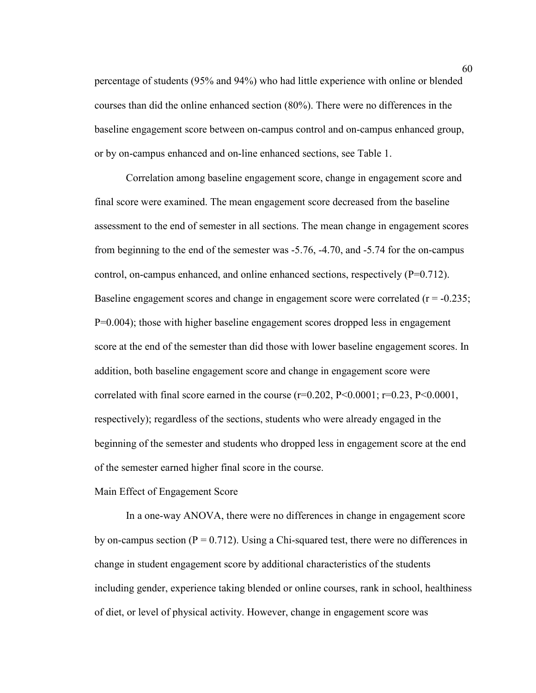percentage of students (95% and 94%) who had little experience with online or blended courses than did the online enhanced section (80%). There were no differences in the baseline engagement score between on-campus control and on-campus enhanced group, or by on-campus enhanced and on-line enhanced sections, see Table 1.

Correlation among baseline engagement score, change in engagement score and final score were examined. The mean engagement score decreased from the baseline assessment to the end of semester in all sections. The mean change in engagement scores from beginning to the end of the semester was -5.76, -4.70, and -5.74 for the on-campus control, on-campus enhanced, and online enhanced sections, respectively (P=0.712). Baseline engagement scores and change in engagement score were correlated  $(r = -0.235)$ ; P=0.004); those with higher baseline engagement scores dropped less in engagement score at the end of the semester than did those with lower baseline engagement scores. In addition, both baseline engagement score and change in engagement score were correlated with final score earned in the course  $(r=0.202, P<0.0001; r=0.23, P<0.0001,$ respectively); regardless of the sections, students who were already engaged in the beginning of the semester and students who dropped less in engagement score at the end of the semester earned higher final score in the course.

## Main Effect of Engagement Score

In a one-way ANOVA, there were no differences in change in engagement score by on-campus section ( $P = 0.712$ ). Using a Chi-squared test, there were no differences in change in student engagement score by additional characteristics of the students including gender, experience taking blended or online courses, rank in school, healthiness of diet, or level of physical activity. However, change in engagement score was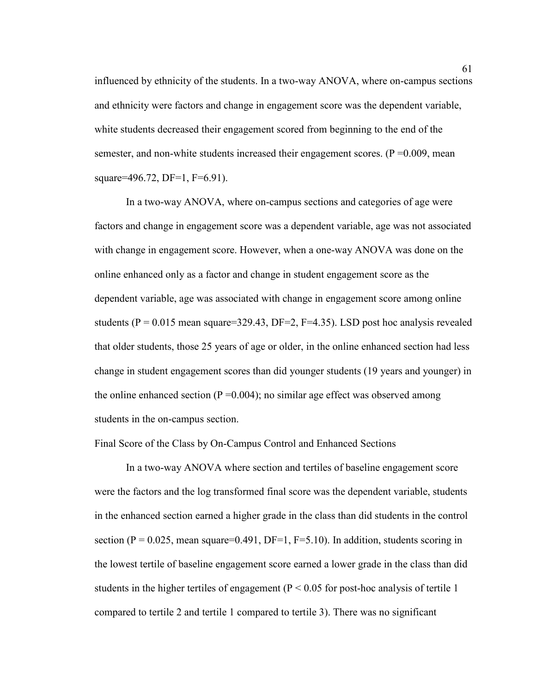influenced by ethnicity of the students. In a two-way ANOVA, where on-campus sections and ethnicity were factors and change in engagement score was the dependent variable, white students decreased their engagement scored from beginning to the end of the semester, and non-white students increased their engagement scores.  $(P = 0.009)$ , mean square=496.72, DF=1, F=6.91).

In a two-way ANOVA, where on-campus sections and categories of age were factors and change in engagement score was a dependent variable, age was not associated with change in engagement score. However, when a one-way ANOVA was done on the online enhanced only as a factor and change in student engagement score as the dependent variable, age was associated with change in engagement score among online students ( $P = 0.015$  mean square=329.43, DF=2, F=4.35). LSD post hoc analysis revealed that older students, those 25 years of age or older, in the online enhanced section had less change in student engagement scores than did younger students (19 years and younger) in the online enhanced section ( $P = 0.004$ ); no similar age effect was observed among students in the on-campus section.

## Final Score of the Class by On-Campus Control and Enhanced Sections

In a two-way ANOVA where section and tertiles of baseline engagement score were the factors and the log transformed final score was the dependent variable, students in the enhanced section earned a higher grade in the class than did students in the control section ( $P = 0.025$ , mean square=0.491, DF=1, F=5.10). In addition, students scoring in the lowest tertile of baseline engagement score earned a lower grade in the class than did students in the higher tertiles of engagement ( $P < 0.05$  for post-hoc analysis of tertile 1 compared to tertile 2 and tertile 1 compared to tertile 3). There was no significant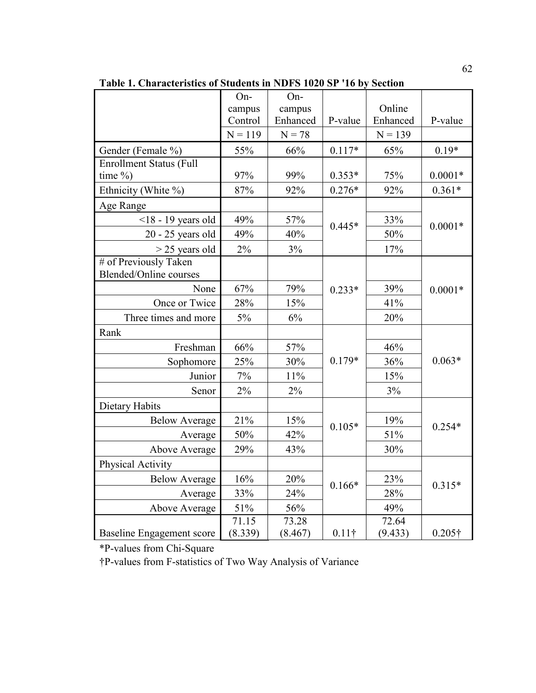|                                | On-       | On-      |               |           |                |
|--------------------------------|-----------|----------|---------------|-----------|----------------|
|                                | campus    | campus   |               | Online    |                |
|                                | Control   | Enhanced | P-value       | Enhanced  | P-value        |
|                                | $N = 119$ | $N = 78$ |               | $N = 139$ |                |
| Gender (Female %)              | 55%       | 66%      | $0.117*$      | 65%       | $0.19*$        |
| <b>Enrollment Status (Full</b> |           |          |               |           |                |
| time $\%$ )                    | 97%       | 99%      | $0.353*$      | 75%       | $0.0001*$      |
| Ethnicity (White %)            | 87%       | 92%      | $0.276*$      | 92%       | $0.361*$       |
| Age Range                      |           |          |               |           |                |
| $<$ 18 - 19 years old          | 49%       | 57%      | $0.445*$      | 33%       | $0.0001*$      |
| $20 - 25$ years old            | 49%       | 40%      |               | 50%       |                |
| $>$ 25 years old               | 2%        | 3%       |               | 17%       |                |
| # of Previously Taken          |           |          |               |           |                |
| <b>Blended/Online courses</b>  |           |          |               |           |                |
| None                           | 67%       | 79%      | $0.233*$      | 39%       | $0.0001*$      |
| Once or Twice                  | 28%       | 15%      |               | 41%       |                |
| Three times and more           | 5%        | 6%       |               | 20%       |                |
| Rank                           |           |          |               |           |                |
| Freshman                       | 66%       | 57%      |               | 46%       |                |
| Sophomore                      | 25%       | 30%      | $0.179*$      | 36%       | $0.063*$       |
| Junior                         | 7%        | 11%      |               | 15%       |                |
| Senor                          | 2%        | $2\%$    |               | 3%        |                |
| <b>Dietary Habits</b>          |           |          |               |           |                |
| <b>Below Average</b>           | 21%       | 15%      | $0.105*$      | 19%       |                |
| Average                        | 50%       | 42%      |               | 51%       | $0.254*$       |
| Above Average                  | 29%       | 43%      |               | 30%       |                |
| Physical Activity              |           |          |               |           |                |
| <b>Below Average</b>           | 16%       | 20%      |               | 23%       |                |
| Average                        | 33%       | 24%      | $0.166*$      | 28%       | $0.315*$       |
| Above Average                  | $51\%$    | 56%      |               | 49%       |                |
|                                | 71.15     | 73.28    |               | 72.64     |                |
| Baseline Engagement score      | (8.339)   | (8.467)  | $0.11\dagger$ | (9.433)   | $0.205\dagger$ |

**Table 1. Characteristics of Students in NDFS 1020 SP '16 by Section** 

\*P-values from Chi-Square

†P-values from F-statistics of Two Way Analysis of Variance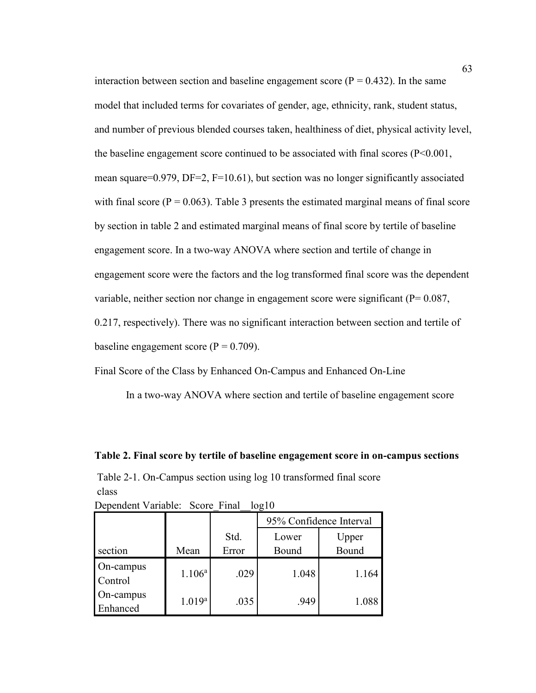interaction between section and baseline engagement score ( $P = 0.432$ ). In the same model that included terms for covariates of gender, age, ethnicity, rank, student status, and number of previous blended courses taken, healthiness of diet, physical activity level, the baseline engagement score continued to be associated with final scores (P<0.001, mean square=0.979, DF=2, F=10.61), but section was no longer significantly associated with final score ( $P = 0.063$ ). Table 3 presents the estimated marginal means of final score by section in table 2 and estimated marginal means of final score by tertile of baseline engagement score. In a two-way ANOVA where section and tertile of change in engagement score were the factors and the log transformed final score was the dependent variable, neither section nor change in engagement score were significant (P= 0.087, 0.217, respectively). There was no significant interaction between section and tertile of baseline engagement score ( $P = 0.709$ ).

Final Score of the Class by Enhanced On-Campus and Enhanced On-Line

In a two-way ANOVA where section and tertile of baseline engagement score

### **Table 2. Final score by tertile of baseline engagement score in on-campus sections**

Table 2-1. On-Campus section using log 10 transformed final score class Dependent Variable: Score Final log10

|                       |             |               | 95% Confidence Interval |                |  |
|-----------------------|-------------|---------------|-------------------------|----------------|--|
| section               | Mean        | Std.<br>Error | Lower<br>Bound          | Upper<br>Bound |  |
| On-campus<br>Control  | $1.106^a$   | .029          | 1.048                   | 1.164          |  |
| On-campus<br>Enhanced | $1.019^{a}$ | .035          | .949                    | 1.088          |  |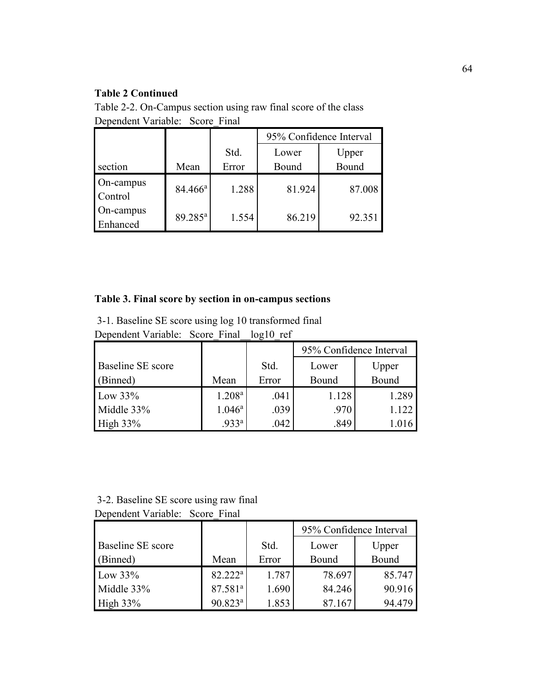# **Table 2 Continued**

Table 2-2. On-Campus section using raw final score of the class Dependent Variable: Score\_Final

|                       |                     |       | 95% Confidence Interval |        |  |
|-----------------------|---------------------|-------|-------------------------|--------|--|
|                       |                     | Std.  | Upper<br>Lower          |        |  |
| section               | Mean                | Error | Bound                   | Bound  |  |
| On-campus<br>Control  | $84.466^{\rm a}$    | 1.288 | 81.924                  | 87.008 |  |
| On-campus<br>Enhanced | 89.285 <sup>a</sup> | 1.554 | 86.219                  | 92.351 |  |

# **Table 3. Final score by section in on-campus sections**

3-1. Baseline SE score using log 10 transformed final Dependent Variable: Score\_Final\_\_log10\_ref

|                          |                    |       | 95% Confidence Interval |       |  |  |
|--------------------------|--------------------|-------|-------------------------|-------|--|--|
| <b>Baseline SE</b> score |                    | Std.  | Upper<br>Lower          |       |  |  |
| (Binned)                 | Mean               | Error | Bound                   | Bound |  |  |
| Low $33\%$               | 1.208 <sup>a</sup> | .041  | 1.128                   | 1.289 |  |  |
| Middle 33%               | $1.046^{\rm a}$    | .039  | .970                    | 1.122 |  |  |
| High $33\%$              | .933 <sup>a</sup>  | .042  | .849                    |       |  |  |

3-2. Baseline SE score using raw final Dependent Variable: Score\_Final

|                          |                     |       | 95% Confidence Interval |        |  |  |
|--------------------------|---------------------|-------|-------------------------|--------|--|--|
| <b>Baseline SE</b> score |                     | Std.  | Lower<br>Upper          |        |  |  |
| (Binned)                 | Mean                | Error | Bound                   | Bound  |  |  |
| Low $33\%$               | $82.222^a$          | 1.787 | 78.697                  | 85.747 |  |  |
| Middle 33%               | 87.581 <sup>a</sup> | 1.690 | 84.246                  | 90.916 |  |  |
| High $33\%$              | $90.823^a$          | 1.853 | 87.167                  | 94.479 |  |  |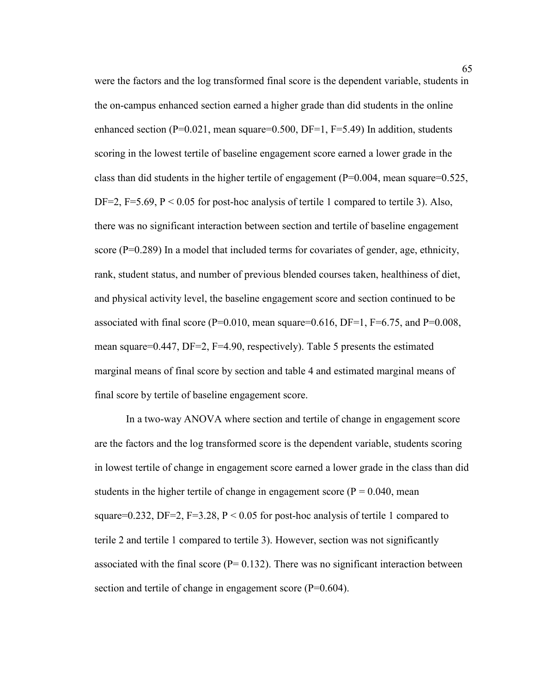were the factors and the log transformed final score is the dependent variable, students in the on-campus enhanced section earned a higher grade than did students in the online enhanced section ( $P=0.021$ , mean square=0.500, DF=1, F=5.49) In addition, students scoring in the lowest tertile of baseline engagement score earned a lower grade in the class than did students in the higher tertile of engagement ( $P=0.004$ , mean square=0.525, DF=2, F=5.69,  $P < 0.05$  for post-hoc analysis of tertile 1 compared to tertile 3). Also, there was no significant interaction between section and tertile of baseline engagement score (P=0.289) In a model that included terms for covariates of gender, age, ethnicity, rank, student status, and number of previous blended courses taken, healthiness of diet, and physical activity level, the baseline engagement score and section continued to be associated with final score ( $P=0.010$ , mean square=0.616, DF=1, F=6.75, and P=0.008, mean square=0.447, DF=2, F=4.90, respectively). Table 5 presents the estimated marginal means of final score by section and table 4 and estimated marginal means of final score by tertile of baseline engagement score.

In a two-way ANOVA where section and tertile of change in engagement score are the factors and the log transformed score is the dependent variable, students scoring in lowest tertile of change in engagement score earned a lower grade in the class than did students in the higher tertile of change in engagement score ( $P = 0.040$ , mean square=0.232, DF=2, F=3.28,  $P < 0.05$  for post-hoc analysis of tertile 1 compared to terile 2 and tertile 1 compared to tertile 3). However, section was not significantly associated with the final score ( $P= 0.132$ ). There was no significant interaction between section and tertile of change in engagement score (P=0.604).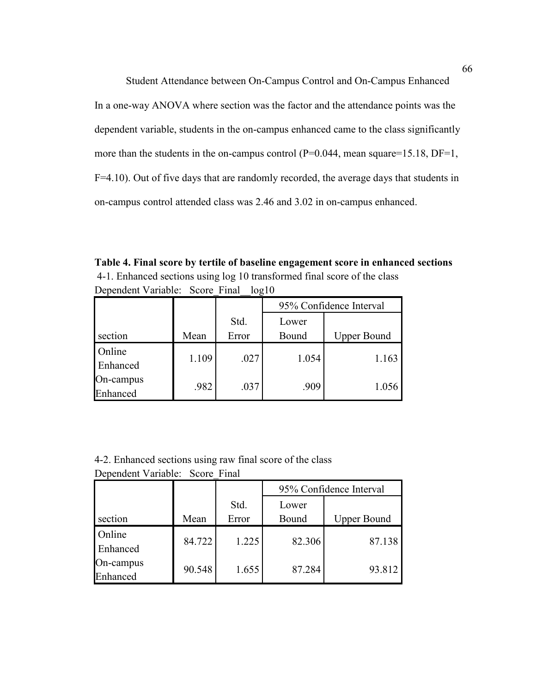Student Attendance between On-Campus Control and On-Campus Enhanced In a one-way ANOVA where section was the factor and the attendance points was the dependent variable, students in the on-campus enhanced came to the class significantly more than the students in the on-campus control  $(P=0.044, \text{mean square}=15.18, DF=1,$ F=4.10). Out of five days that are randomly recorded, the average days that students in on-campus control attended class was 2.46 and 3.02 in on-campus enhanced.

**Table 4. Final score by tertile of baseline engagement score in enhanced sections**  4-1. Enhanced sections using log 10 transformed final score of the class Dependent Variable: Score Final log10

|                           |       |       | 95% Confidence Interval |                    |  |  |
|---------------------------|-------|-------|-------------------------|--------------------|--|--|
|                           |       | Std.  | Lower                   |                    |  |  |
| section                   | Mean  | Error | Bound                   | <b>Upper Bound</b> |  |  |
| <b>Online</b><br>Enhanced | 1.109 | .027  | 1.054                   | 1.163              |  |  |
| On-campus<br>nhanced      | .982  | .037  | .909                    | 1.056              |  |  |

4-2. Enhanced sections using raw final score of the class

|  | Dependent Variable: Score_Final |  |  |  |
|--|---------------------------------|--|--|--|
|--|---------------------------------|--|--|--|

|           |        |       | 95% Confidence Interval |                    |  |  |
|-----------|--------|-------|-------------------------|--------------------|--|--|
|           |        | Std.  | Lower                   |                    |  |  |
| section   | Mean   | Error | Bound                   | <b>Upper Bound</b> |  |  |
| Online    | 84.722 | 1.225 | 82.306                  | 87.138             |  |  |
| Enhanced  |        |       |                         |                    |  |  |
| On-campus | 90.548 | 1.655 | 87.284                  | 93.812             |  |  |
| Enhanced  |        |       |                         |                    |  |  |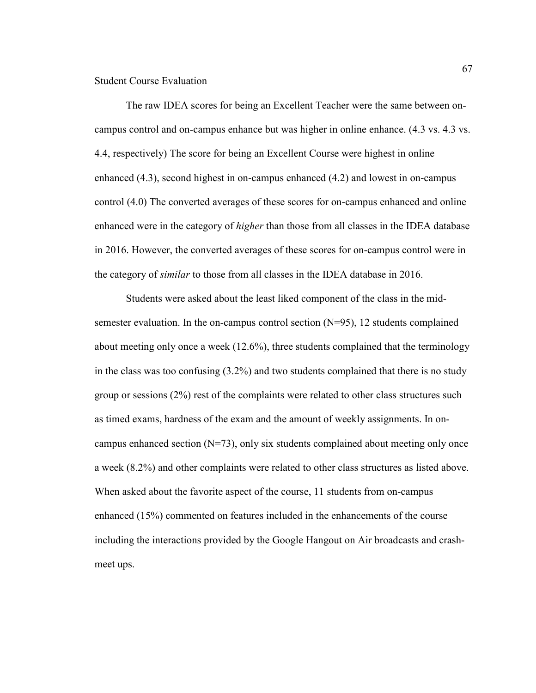Student Course Evaluation

The raw IDEA scores for being an Excellent Teacher were the same between oncampus control and on-campus enhance but was higher in online enhance. (4.3 vs. 4.3 vs. 4.4, respectively) The score for being an Excellent Course were highest in online enhanced (4.3), second highest in on-campus enhanced (4.2) and lowest in on-campus control (4.0) The converted averages of these scores for on-campus enhanced and online enhanced were in the category of *higher* than those from all classes in the IDEA database in 2016. However, the converted averages of these scores for on-campus control were in the category of *similar* to those from all classes in the IDEA database in 2016.

Students were asked about the least liked component of the class in the midsemester evaluation. In the on-campus control section (N=95), 12 students complained about meeting only once a week (12.6%), three students complained that the terminology in the class was too confusing (3.2%) and two students complained that there is no study group or sessions (2%) rest of the complaints were related to other class structures such as timed exams, hardness of the exam and the amount of weekly assignments. In oncampus enhanced section  $(N=73)$ , only six students complained about meeting only once a week (8.2%) and other complaints were related to other class structures as listed above. When asked about the favorite aspect of the course, 11 students from on-campus enhanced (15%) commented on features included in the enhancements of the course including the interactions provided by the Google Hangout on Air broadcasts and crashmeet ups.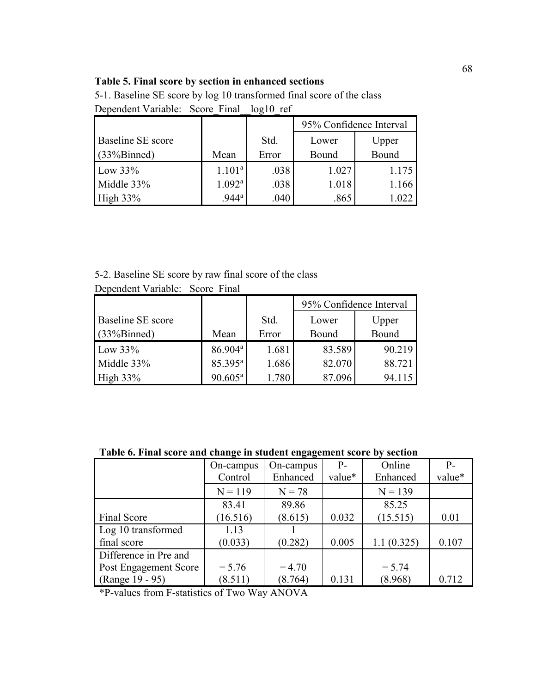# **Table 5. Final score by section in enhanced sections**

5-1. Baseline SE score by log 10 transformed final score of the class Dependent Variable: Score\_Final\_\_log10\_ref

|                          |                    |       | 95% Confidence Interval |       |  |  |
|--------------------------|--------------------|-------|-------------------------|-------|--|--|
| <b>Baseline SE</b> score |                    | Std.  | Upper<br>Lower          |       |  |  |
| (33%Binned)              | Mean               | Error | Bound                   | Bound |  |  |
| Low $33\%$               | 1.101 <sup>a</sup> | .038  | 1.027                   | 1.175 |  |  |
| Middle 33%               | $1.092^{\rm a}$    | .038  | 1.018                   | 1.166 |  |  |
| High $33\%$              | $.944^{\circ}$     | .040  | .865                    | . 022 |  |  |

5-2. Baseline SE score by raw final score of the class

|                          |                     |       | 95% Confidence Interval |        |  |  |
|--------------------------|---------------------|-------|-------------------------|--------|--|--|
| <b>Baseline SE</b> score |                     | Std.  | Upper<br>Lower          |        |  |  |
| (33%Binned)              | Mean                | Error | Bound                   | Bound  |  |  |
| Low $33\%$               | 86.904 <sup>a</sup> | 1.681 | 83.589                  | 90.219 |  |  |
| Middle 33%               | 85.395 <sup>a</sup> | 1.686 | 82.070                  | 88.721 |  |  |
| High $33\%$              | $90.605^a$          | 1.780 | 87.096                  | 94.115 |  |  |

Dependent Variable: Score\_Final

# **Table 6. Final score and change in student engagement score by section**

|                       | On-campus | On-campus | $P-$   | Online     | $P-$   |
|-----------------------|-----------|-----------|--------|------------|--------|
|                       | Control   | Enhanced  | value* | Enhanced   | value* |
|                       | $N = 119$ | $N = 78$  |        | $N = 139$  |        |
|                       | 83.41     | 89.86     |        | 85.25      |        |
| Final Score           | (16.516)  | (8.615)   | 0.032  | (15.515)   | 0.01   |
| Log 10 transformed    | 1.13      |           |        |            |        |
| final score           | (0.033)   | (0.282)   | 0.005  | 1.1(0.325) | 0.107  |
| Difference in Pre and |           |           |        |            |        |
| Post Engagement Score | $-5.76$   | $-4.70$   |        | $-5.74$    |        |
| (Range 19 - 95)       | (8.511)   | (8.764)   | 0.131  | (8.968)    | 0.712  |

\*P-values from F-statistics of Two Way ANOVA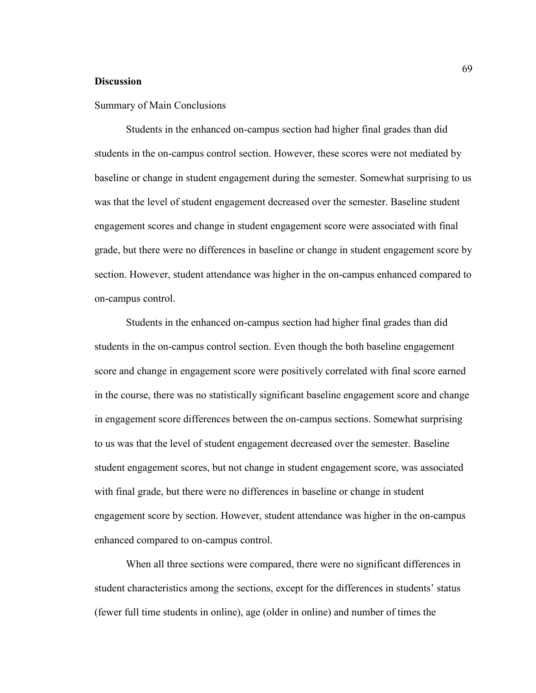### **Discussion**

### Summary of Main Conclusions

Students in the enhanced on-campus section had higher final grades than did students in the on-campus control section. However, these scores were not mediated by baseline or change in student engagement during the semester. Somewhat surprising to us was that the level of student engagement decreased over the semester. Baseline student engagement scores and change in student engagement score were associated with final grade, but there were no differences in baseline or change in student engagement score by section. However, student attendance was higher in the on-campus enhanced compared to on-campus control.

Students in the enhanced on-campus section had higher final grades than did students in the on-campus control section. Even though the both baseline engagement score and change in engagement score were positively correlated with final score earned in the course, there was no statistically significant baseline engagement score and change in engagement score differences between the on-campus sections. Somewhat surprising to us was that the level of student engagement decreased over the semester. Baseline student engagement scores, but not change in student engagement score, was associated with final grade, but there were no differences in baseline or change in student engagement score by section. However, student attendance was higher in the on-campus enhanced compared to on-campus control.

When all three sections were compared, there were no significant differences in student characteristics among the sections, except for the differences in students' status (fewer full time students in online), age (older in online) and number of times the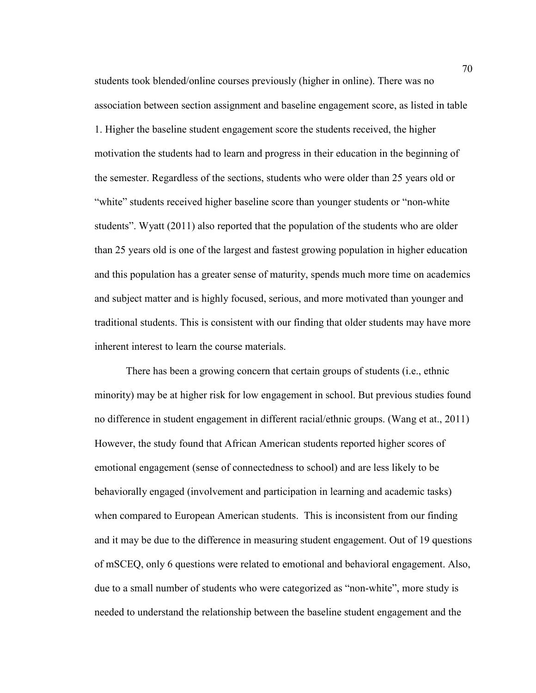students took blended/online courses previously (higher in online). There was no association between section assignment and baseline engagement score, as listed in table 1. Higher the baseline student engagement score the students received, the higher motivation the students had to learn and progress in their education in the beginning of the semester. Regardless of the sections, students who were older than 25 years old or "white" students received higher baseline score than younger students or "non-white" students". Wyatt (2011) also reported that the population of the students who are older than 25 years old is one of the largest and fastest growing population in higher education and this population has a greater sense of maturity, spends much more time on academics and subject matter and is highly focused, serious, and more motivated than younger and traditional students. This is consistent with our finding that older students may have more inherent interest to learn the course materials.

There has been a growing concern that certain groups of students (i.e., ethnic minority) may be at higher risk for low engagement in school. But previous studies found no difference in student engagement in different racial/ethnic groups. (Wang et at., 2011) However, the study found that African American students reported higher scores of emotional engagement (sense of connectedness to school) and are less likely to be behaviorally engaged (involvement and participation in learning and academic tasks) when compared to European American students. This is inconsistent from our finding and it may be due to the difference in measuring student engagement. Out of 19 questions of mSCEQ, only 6 questions were related to emotional and behavioral engagement. Also, due to a small number of students who were categorized as "non-white", more study is needed to understand the relationship between the baseline student engagement and the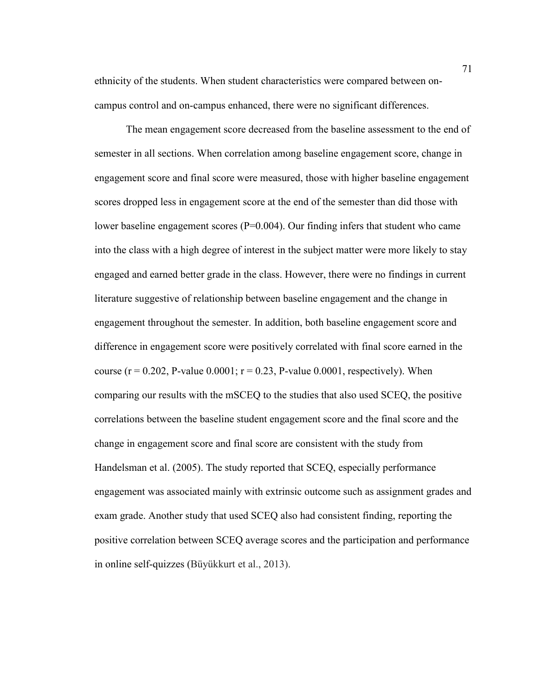ethnicity of the students. When student characteristics were compared between oncampus control and on-campus enhanced, there were no significant differences.

The mean engagement score decreased from the baseline assessment to the end of semester in all sections. When correlation among baseline engagement score, change in engagement score and final score were measured, those with higher baseline engagement scores dropped less in engagement score at the end of the semester than did those with lower baseline engagement scores (P=0.004). Our finding infers that student who came into the class with a high degree of interest in the subject matter were more likely to stay engaged and earned better grade in the class. However, there were no findings in current literature suggestive of relationship between baseline engagement and the change in engagement throughout the semester. In addition, both baseline engagement score and difference in engagement score were positively correlated with final score earned in the course ( $r = 0.202$ , P-value  $0.0001$ ;  $r = 0.23$ , P-value  $0.0001$ , respectively). When comparing our results with the mSCEQ to the studies that also used SCEQ, the positive correlations between the baseline student engagement score and the final score and the change in engagement score and final score are consistent with the study from Handelsman et al. (2005). The study reported that SCEQ, especially performance engagement was associated mainly with extrinsic outcome such as assignment grades and exam grade. Another study that used SCEQ also had consistent finding, reporting the positive correlation between SCEQ average scores and the participation and performance in online self-quizzes (Büyükkurt et al., 2013).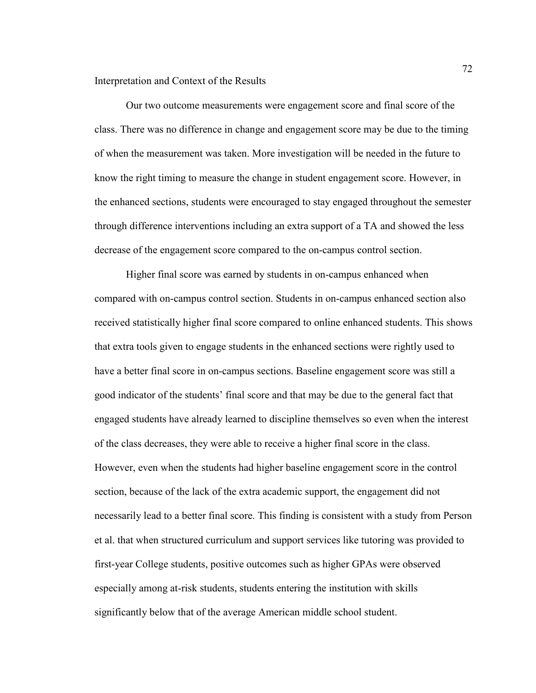Interpretation and Context of the Results

Our two outcome measurements were engagement score and final score of the class. There was no difference in change and engagement score may be due to the timing of when the measurement was taken. More investigation will be needed in the future to know the right timing to measure the change in student engagement score. However, in the enhanced sections, students were encouraged to stay engaged throughout the semester through difference interventions including an extra support of a TA and showed the less decrease of the engagement score compared to the on-campus control section.

Higher final score was earned by students in on-campus enhanced when compared with on-campus control section. Students in on-campus enhanced section also received statistically higher final score compared to online enhanced students. This shows that extra tools given to engage students in the enhanced sections were rightly used to have a better final score in on-campus sections. Baseline engagement score was still a good indicator of the students' final score and that may be due to the general fact that engaged students have already learned to discipline themselves so even when the interest of the class decreases, they were able to receive a higher final score in the class. However, even when the students had higher baseline engagement score in the control section, because of the lack of the extra academic support, the engagement did not necessarily lead to a better final score. This finding is consistent with a study from Person et al. that when structured curriculum and support services like tutoring was provided to first-year College students, positive outcomes such as higher GPAs were observed especially among at-risk students, students entering the institution with skills significantly below that of the average American middle school student.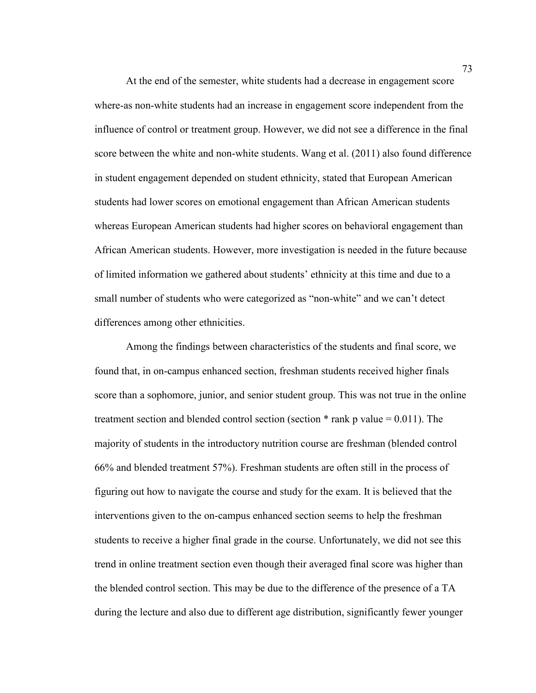At the end of the semester, white students had a decrease in engagement score where-as non-white students had an increase in engagement score independent from the influence of control or treatment group. However, we did not see a difference in the final score between the white and non-white students. Wang et al. (2011) also found difference in student engagement depended on student ethnicity, stated that European American students had lower scores on emotional engagement than African American students whereas European American students had higher scores on behavioral engagement than African American students. However, more investigation is needed in the future because of limited information we gathered about students' ethnicity at this time and due to a small number of students who were categorized as "non-white" and we can't detect differences among other ethnicities.

Among the findings between characteristics of the students and final score, we found that, in on-campus enhanced section, freshman students received higher finals score than a sophomore, junior, and senior student group. This was not true in the online treatment section and blended control section (section  $*$  rank p value = 0.011). The majority of students in the introductory nutrition course are freshman (blended control 66% and blended treatment 57%). Freshman students are often still in the process of figuring out how to navigate the course and study for the exam. It is believed that the interventions given to the on-campus enhanced section seems to help the freshman students to receive a higher final grade in the course. Unfortunately, we did not see this trend in online treatment section even though their averaged final score was higher than the blended control section. This may be due to the difference of the presence of a TA during the lecture and also due to different age distribution, significantly fewer younger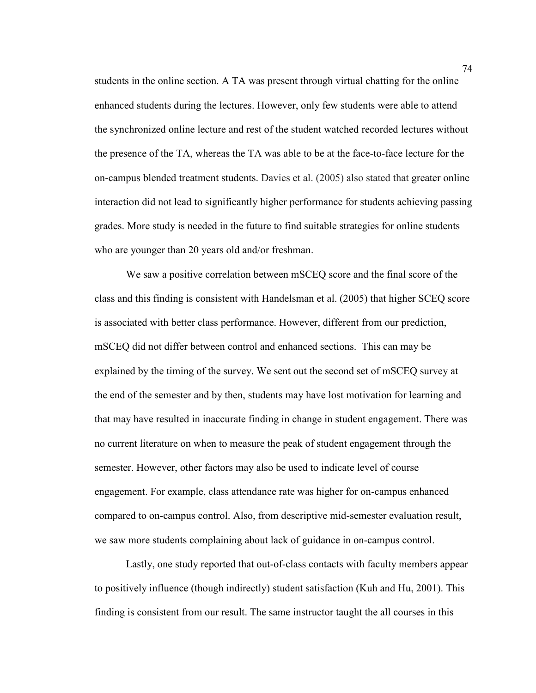students in the online section. A TA was present through virtual chatting for the online enhanced students during the lectures. However, only few students were able to attend the synchronized online lecture and rest of the student watched recorded lectures without the presence of the TA, whereas the TA was able to be at the face-to-face lecture for the on-campus blended treatment students. Davies et al. (2005) also stated that greater online interaction did not lead to significantly higher performance for students achieving passing grades. More study is needed in the future to find suitable strategies for online students who are younger than 20 years old and/or freshman.

We saw a positive correlation between mSCEQ score and the final score of the class and this finding is consistent with Handelsman et al. (2005) that higher SCEQ score is associated with better class performance. However, different from our prediction, mSCEQ did not differ between control and enhanced sections. This can may be explained by the timing of the survey. We sent out the second set of mSCEQ survey at the end of the semester and by then, students may have lost motivation for learning and that may have resulted in inaccurate finding in change in student engagement. There was no current literature on when to measure the peak of student engagement through the semester. However, other factors may also be used to indicate level of course engagement. For example, class attendance rate was higher for on-campus enhanced compared to on-campus control. Also, from descriptive mid-semester evaluation result, we saw more students complaining about lack of guidance in on-campus control.

Lastly, one study reported that out-of-class contacts with faculty members appear to positively influence (though indirectly) student satisfaction (Kuh and Hu, 2001). This finding is consistent from our result. The same instructor taught the all courses in this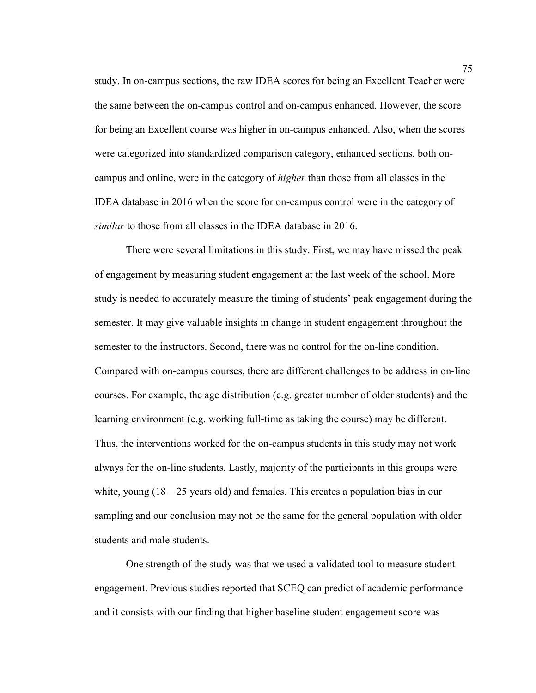study. In on-campus sections, the raw IDEA scores for being an Excellent Teacher were the same between the on-campus control and on-campus enhanced. However, the score for being an Excellent course was higher in on-campus enhanced. Also, when the scores were categorized into standardized comparison category, enhanced sections, both oncampus and online, were in the category of *higher* than those from all classes in the IDEA database in 2016 when the score for on-campus control were in the category of *similar* to those from all classes in the IDEA database in 2016.

There were several limitations in this study. First, we may have missed the peak of engagement by measuring student engagement at the last week of the school. More study is needed to accurately measure the timing of students' peak engagement during the semester. It may give valuable insights in change in student engagement throughout the semester to the instructors. Second, there was no control for the on-line condition. Compared with on-campus courses, there are different challenges to be address in on-line courses. For example, the age distribution (e.g. greater number of older students) and the learning environment (e.g. working full-time as taking the course) may be different. Thus, the interventions worked for the on-campus students in this study may not work always for the on-line students. Lastly, majority of the participants in this groups were white, young  $(18 - 25$  years old) and females. This creates a population bias in our sampling and our conclusion may not be the same for the general population with older students and male students.

One strength of the study was that we used a validated tool to measure student engagement. Previous studies reported that SCEQ can predict of academic performance and it consists with our finding that higher baseline student engagement score was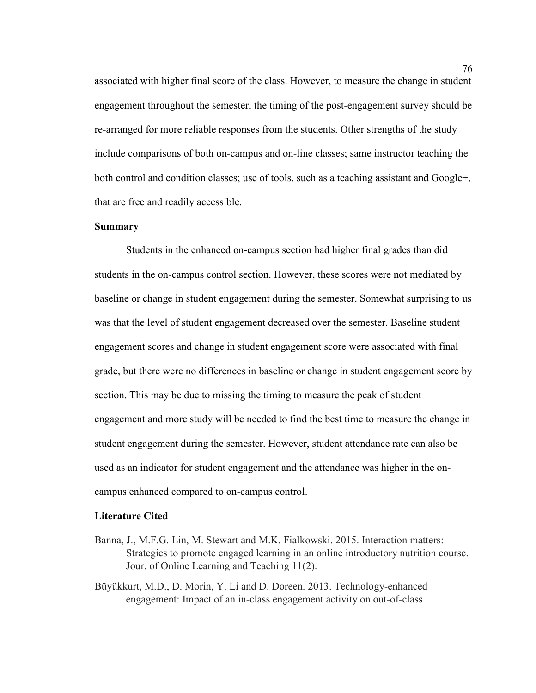associated with higher final score of the class. However, to measure the change in student engagement throughout the semester, the timing of the post-engagement survey should be re-arranged for more reliable responses from the students. Other strengths of the study include comparisons of both on-campus and on-line classes; same instructor teaching the both control and condition classes; use of tools, such as a teaching assistant and Google+, that are free and readily accessible.

## **Summary**

Students in the enhanced on-campus section had higher final grades than did students in the on-campus control section. However, these scores were not mediated by baseline or change in student engagement during the semester. Somewhat surprising to us was that the level of student engagement decreased over the semester. Baseline student engagement scores and change in student engagement score were associated with final grade, but there were no differences in baseline or change in student engagement score by section. This may be due to missing the timing to measure the peak of student engagement and more study will be needed to find the best time to measure the change in student engagement during the semester. However, student attendance rate can also be used as an indicator for student engagement and the attendance was higher in the oncampus enhanced compared to on-campus control.

#### **Literature Cited**

- Banna, J., M.F.G. Lin, M. Stewart and M.K. Fialkowski. 2015. Interaction matters: Strategies to promote engaged learning in an online introductory nutrition course. Jour. of Online Learning and Teaching 11(2).
- Büyükkurt, M.D., D. Morin, Y. Li and D. Doreen. 2013. Technology-enhanced engagement: Impact of an in-class engagement activity on out-of-class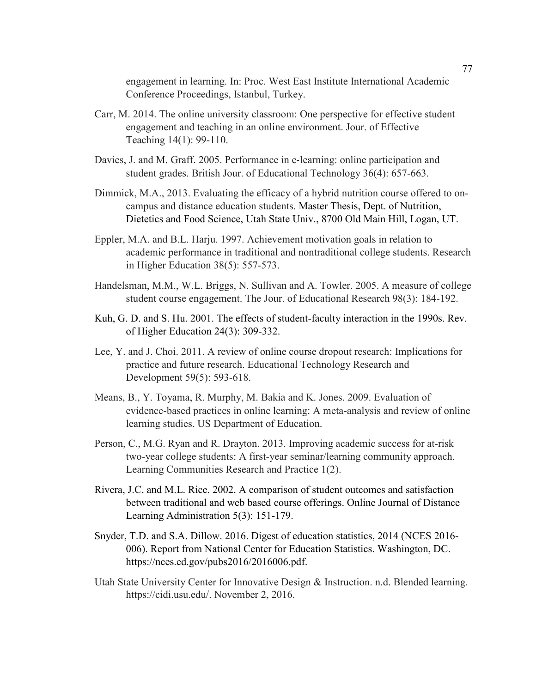engagement in learning. In: Proc. West East Institute International Academic Conference Proceedings, Istanbul, Turkey.

- Carr, M. 2014. The online university classroom: One perspective for effective student engagement and teaching in an online environment. Jour. of Effective Teaching 14(1): 99-110.
- Davies, J. and M. Graff. 2005. Performance in e-learning: online participation and student grades. British Jour. of Educational Technology 36(4): 657-663.
- Dimmick, M.A., 2013. Evaluating the efficacy of a hybrid nutrition course offered to oncampus and distance education students. Master Thesis, Dept. of Nutrition, Dietetics and Food Science, Utah State Univ., 8700 Old Main Hill, Logan, UT.
- Eppler, M.A. and B.L. Harju. 1997. Achievement motivation goals in relation to academic performance in traditional and nontraditional college students. Research in Higher Education 38(5): 557-573.
- Handelsman, M.M., W.L. Briggs, N. Sullivan and A. Towler. 2005. A measure of college student course engagement. The Jour. of Educational Research 98(3): 184-192.
- Kuh, G. D. and S. Hu. 2001. The effects of student-faculty interaction in the 1990s. Rev. of Higher Education 24(3): 309-332.
- Lee, Y. and J. Choi. 2011. A review of online course dropout research: Implications for practice and future research. Educational Technology Research and Development 59(5): 593-618.
- Means, B., Y. Toyama, R. Murphy, M. Bakia and K. Jones. 2009. Evaluation of evidence-based practices in online learning: A meta-analysis and review of online learning studies. US Department of Education.
- Person, C., M.G. Ryan and R. Drayton. 2013. Improving academic success for at-risk two-year college students: A first-year seminar/learning community approach. Learning Communities Research and Practice 1(2).
- Rivera, J.C. and M.L. Rice. 2002. A comparison of student outcomes and satisfaction between traditional and web based course offerings. Online Journal of Distance Learning Administration 5(3): 151-179.
- Snyder, T.D. and S.A. Dillow. 2016. Digest of education statistics, 2014 (NCES 2016- 006). Report from National Center for Education Statistics. Washington, DC. https://nces.ed.gov/pubs2016/2016006.pdf.
- Utah State University Center for Innovative Design & Instruction. n.d. Blended learning. https://cidi.usu.edu/. November 2, 2016.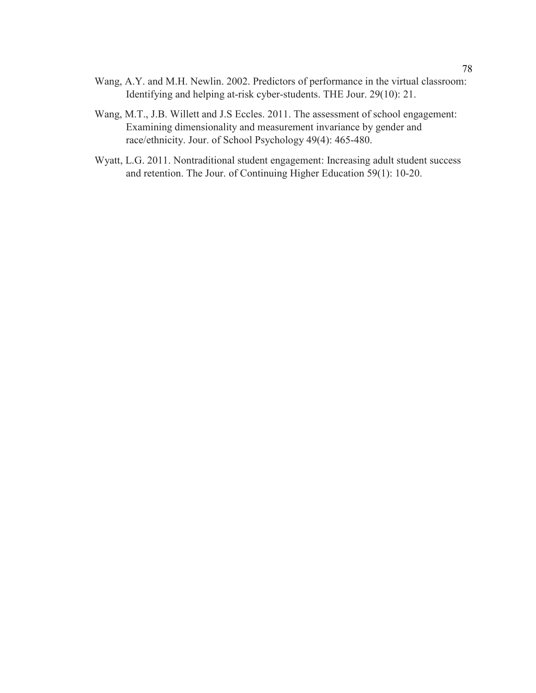- Wang, A.Y. and M.H. Newlin. 2002. Predictors of performance in the virtual classroom: Identifying and helping at-risk cyber-students. THE Jour. 29(10): 21.
- Wang, M.T., J.B. Willett and J.S Eccles. 2011. The assessment of school engagement: Examining dimensionality and measurement invariance by gender and race/ethnicity. Jour. of School Psychology 49(4): 465-480.
- Wyatt, L.G. 2011. Nontraditional student engagement: Increasing adult student success and retention. The Jour. of Continuing Higher Education 59(1): 10-20.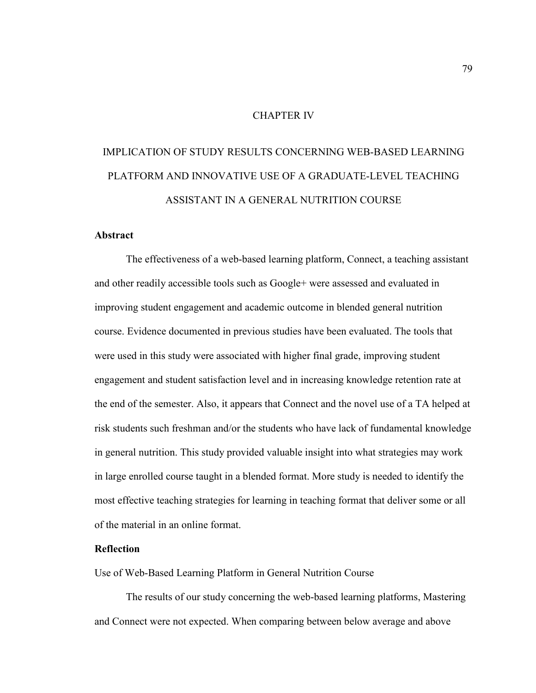## CHAPTER IV

# IMPLICATION OF STUDY RESULTS CONCERNING WEB-BASED LEARNING PLATFORM AND INNOVATIVE USE OF A GRADUATE-LEVEL TEACHING ASSISTANT IN A GENERAL NUTRITION COURSE

## **Abstract**

The effectiveness of a web-based learning platform, Connect, a teaching assistant and other readily accessible tools such as Google+ were assessed and evaluated in improving student engagement and academic outcome in blended general nutrition course. Evidence documented in previous studies have been evaluated. The tools that were used in this study were associated with higher final grade, improving student engagement and student satisfaction level and in increasing knowledge retention rate at the end of the semester. Also, it appears that Connect and the novel use of a TA helped at risk students such freshman and/or the students who have lack of fundamental knowledge in general nutrition. This study provided valuable insight into what strategies may work in large enrolled course taught in a blended format. More study is needed to identify the most effective teaching strategies for learning in teaching format that deliver some or all of the material in an online format.

# **Reflection**

Use of Web-Based Learning Platform in General Nutrition Course

The results of our study concerning the web-based learning platforms, Mastering and Connect were not expected. When comparing between below average and above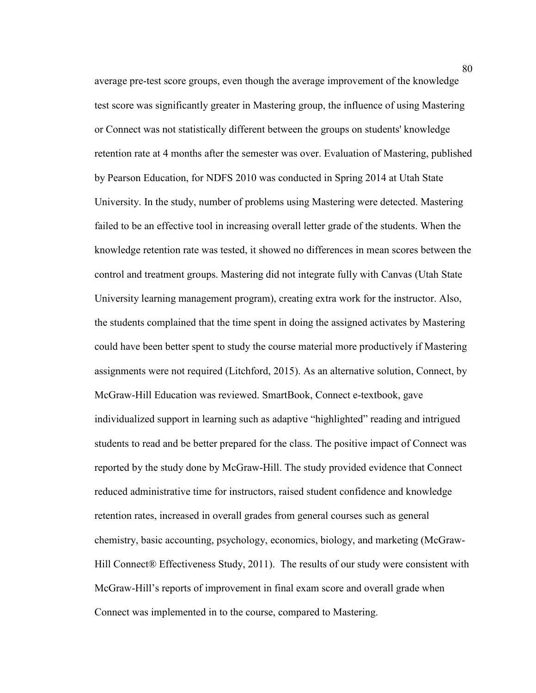average pre-test score groups, even though the average improvement of the knowledge test score was significantly greater in Mastering group, the influence of using Mastering or Connect was not statistically different between the groups on students' knowledge retention rate at 4 months after the semester was over. Evaluation of Mastering, published by Pearson Education, for NDFS 2010 was conducted in Spring 2014 at Utah State University. In the study, number of problems using Mastering were detected. Mastering failed to be an effective tool in increasing overall letter grade of the students. When the knowledge retention rate was tested, it showed no differences in mean scores between the control and treatment groups. Mastering did not integrate fully with Canvas (Utah State University learning management program), creating extra work for the instructor. Also, the students complained that the time spent in doing the assigned activates by Mastering could have been better spent to study the course material more productively if Mastering assignments were not required (Litchford, 2015). As an alternative solution, Connect, by McGraw-Hill Education was reviewed. SmartBook, Connect e-textbook, gave individualized support in learning such as adaptive "highlighted" reading and intrigued students to read and be better prepared for the class. The positive impact of Connect was reported by the study done by McGraw-Hill. The study provided evidence that Connect reduced administrative time for instructors, raised student confidence and knowledge retention rates, increased in overall grades from general courses such as general chemistry, basic accounting, psychology, economics, biology, and marketing (McGraw-Hill Connect<sup>®</sup> Effectiveness Study, 2011). The results of our study were consistent with McGraw-Hill's reports of improvement in final exam score and overall grade when Connect was implemented in to the course, compared to Mastering.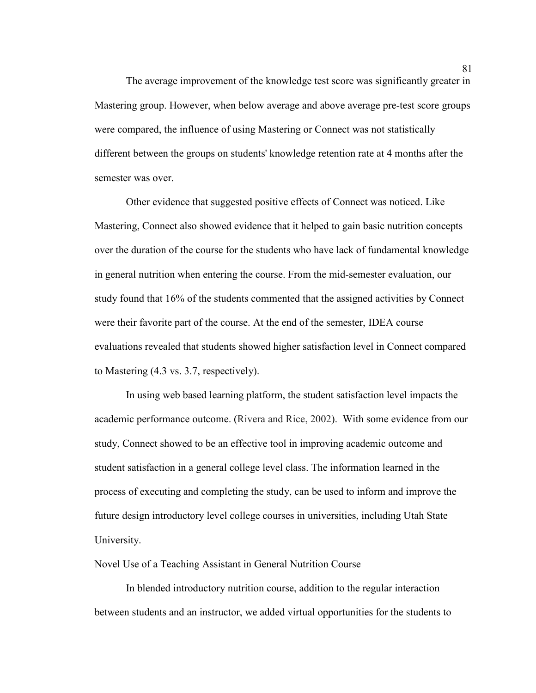The average improvement of the knowledge test score was significantly greater in Mastering group. However, when below average and above average pre-test score groups were compared, the influence of using Mastering or Connect was not statistically different between the groups on students' knowledge retention rate at 4 months after the semester was over.

Other evidence that suggested positive effects of Connect was noticed. Like Mastering, Connect also showed evidence that it helped to gain basic nutrition concepts over the duration of the course for the students who have lack of fundamental knowledge in general nutrition when entering the course. From the mid-semester evaluation, our study found that 16% of the students commented that the assigned activities by Connect were their favorite part of the course. At the end of the semester, IDEA course evaluations revealed that students showed higher satisfaction level in Connect compared to Mastering (4.3 vs. 3.7, respectively).

In using web based learning platform, the student satisfaction level impacts the academic performance outcome. (Rivera and Rice, 2002). With some evidence from our study, Connect showed to be an effective tool in improving academic outcome and student satisfaction in a general college level class. The information learned in the process of executing and completing the study, can be used to inform and improve the future design introductory level college courses in universities, including Utah State University.

Novel Use of a Teaching Assistant in General Nutrition Course

In blended introductory nutrition course, addition to the regular interaction between students and an instructor, we added virtual opportunities for the students to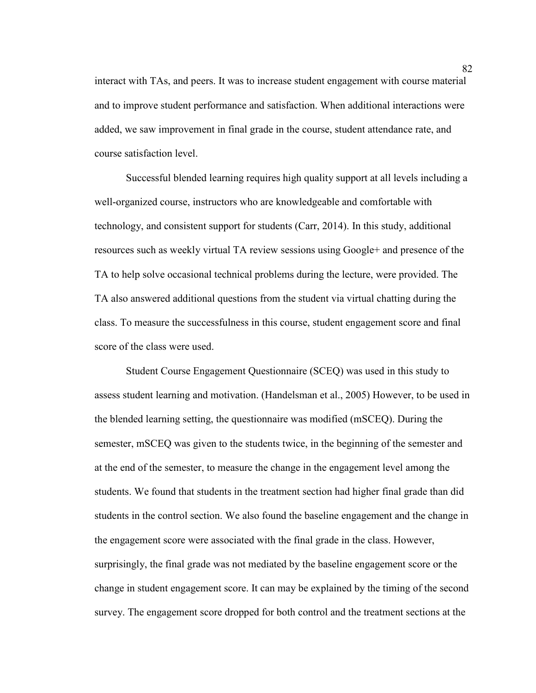interact with TAs, and peers. It was to increase student engagement with course material and to improve student performance and satisfaction. When additional interactions were added, we saw improvement in final grade in the course, student attendance rate, and course satisfaction level.

Successful blended learning requires high quality support at all levels including a well-organized course, instructors who are knowledgeable and comfortable with technology, and consistent support for students (Carr, 2014). In this study, additional resources such as weekly virtual TA review sessions using Google+ and presence of the TA to help solve occasional technical problems during the lecture, were provided. The TA also answered additional questions from the student via virtual chatting during the class. To measure the successfulness in this course, student engagement score and final score of the class were used.

Student Course Engagement Questionnaire (SCEQ) was used in this study to assess student learning and motivation. (Handelsman et al., 2005) However, to be used in the blended learning setting, the questionnaire was modified (mSCEQ). During the semester, mSCEQ was given to the students twice, in the beginning of the semester and at the end of the semester, to measure the change in the engagement level among the students. We found that students in the treatment section had higher final grade than did students in the control section. We also found the baseline engagement and the change in the engagement score were associated with the final grade in the class. However, surprisingly, the final grade was not mediated by the baseline engagement score or the change in student engagement score. It can may be explained by the timing of the second survey. The engagement score dropped for both control and the treatment sections at the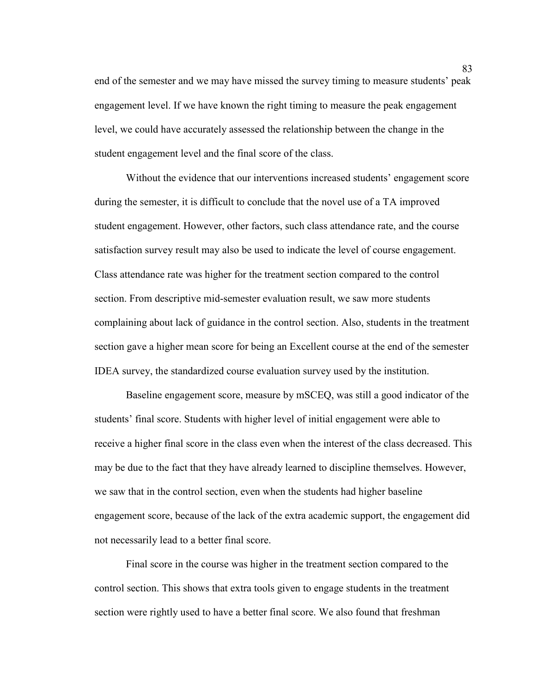end of the semester and we may have missed the survey timing to measure students' peak engagement level. If we have known the right timing to measure the peak engagement level, we could have accurately assessed the relationship between the change in the student engagement level and the final score of the class.

Without the evidence that our interventions increased students' engagement score during the semester, it is difficult to conclude that the novel use of a TA improved student engagement. However, other factors, such class attendance rate, and the course satisfaction survey result may also be used to indicate the level of course engagement. Class attendance rate was higher for the treatment section compared to the control section. From descriptive mid-semester evaluation result, we saw more students complaining about lack of guidance in the control section. Also, students in the treatment section gave a higher mean score for being an Excellent course at the end of the semester IDEA survey, the standardized course evaluation survey used by the institution.

Baseline engagement score, measure by mSCEQ, was still a good indicator of the students' final score. Students with higher level of initial engagement were able to receive a higher final score in the class even when the interest of the class decreased. This may be due to the fact that they have already learned to discipline themselves. However, we saw that in the control section, even when the students had higher baseline engagement score, because of the lack of the extra academic support, the engagement did not necessarily lead to a better final score.

Final score in the course was higher in the treatment section compared to the control section. This shows that extra tools given to engage students in the treatment section were rightly used to have a better final score. We also found that freshman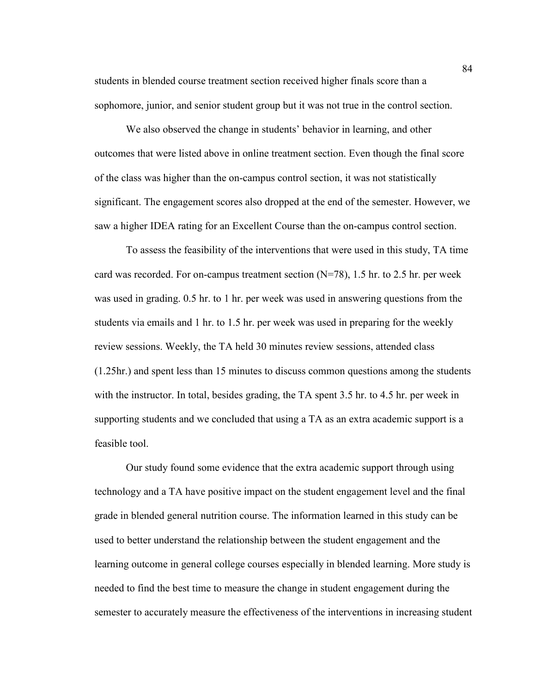students in blended course treatment section received higher finals score than a sophomore, junior, and senior student group but it was not true in the control section.

We also observed the change in students' behavior in learning, and other outcomes that were listed above in online treatment section. Even though the final score of the class was higher than the on-campus control section, it was not statistically significant. The engagement scores also dropped at the end of the semester. However, we saw a higher IDEA rating for an Excellent Course than the on-campus control section.

To assess the feasibility of the interventions that were used in this study, TA time card was recorded. For on-campus treatment section  $(N=78)$ , 1.5 hr. to 2.5 hr. per week was used in grading. 0.5 hr. to 1 hr. per week was used in answering questions from the students via emails and 1 hr. to 1.5 hr. per week was used in preparing for the weekly review sessions. Weekly, the TA held 30 minutes review sessions, attended class (1.25hr.) and spent less than 15 minutes to discuss common questions among the students with the instructor. In total, besides grading, the TA spent 3.5 hr. to 4.5 hr. per week in supporting students and we concluded that using a TA as an extra academic support is a feasible tool.

Our study found some evidence that the extra academic support through using technology and a TA have positive impact on the student engagement level and the final grade in blended general nutrition course. The information learned in this study can be used to better understand the relationship between the student engagement and the learning outcome in general college courses especially in blended learning. More study is needed to find the best time to measure the change in student engagement during the semester to accurately measure the effectiveness of the interventions in increasing student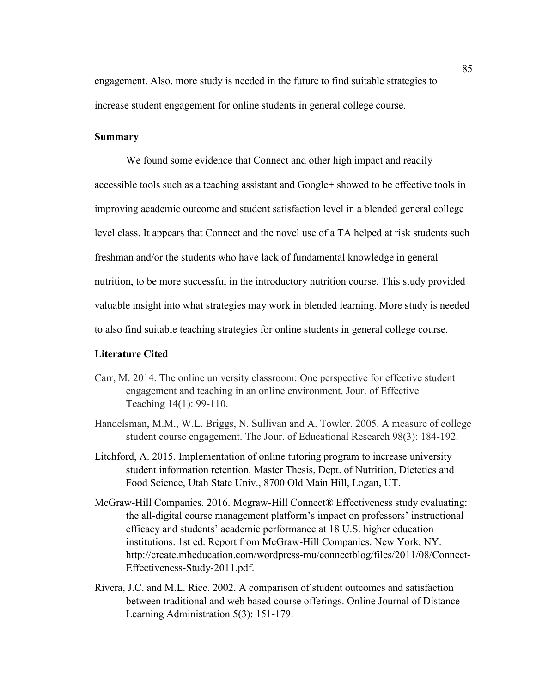engagement. Also, more study is needed in the future to find suitable strategies to increase student engagement for online students in general college course.

### **Summary**

We found some evidence that Connect and other high impact and readily accessible tools such as a teaching assistant and Google+ showed to be effective tools in improving academic outcome and student satisfaction level in a blended general college level class. It appears that Connect and the novel use of a TA helped at risk students such freshman and/or the students who have lack of fundamental knowledge in general nutrition, to be more successful in the introductory nutrition course. This study provided valuable insight into what strategies may work in blended learning. More study is needed to also find suitable teaching strategies for online students in general college course.

## **Literature Cited**

- Carr, M. 2014. The online university classroom: One perspective for effective student engagement and teaching in an online environment. Jour. of Effective Teaching 14(1): 99-110.
- Handelsman, M.M., W.L. Briggs, N. Sullivan and A. Towler. 2005. A measure of college student course engagement. The Jour. of Educational Research 98(3): 184-192.
- Litchford, A. 2015. Implementation of online tutoring program to increase university student information retention. Master Thesis, Dept. of Nutrition, Dietetics and Food Science, Utah State Univ., 8700 Old Main Hill, Logan, UT.
- McGraw-Hill Companies. 2016. Mcgraw-Hill Connect® Effectiveness study evaluating: the all-digital course management platform's impact on professors' instructional efficacy and students' academic performance at 18 U.S. higher education institutions. 1st ed. Report from McGraw-Hill Companies. New York, NY. http://create.mheducation.com/wordpress-mu/connectblog/files/2011/08/Connect-Effectiveness-Study-2011.pdf.
- Rivera, J.C. and M.L. Rice. 2002. A comparison of student outcomes and satisfaction between traditional and web based course offerings. Online Journal of Distance Learning Administration 5(3): 151-179.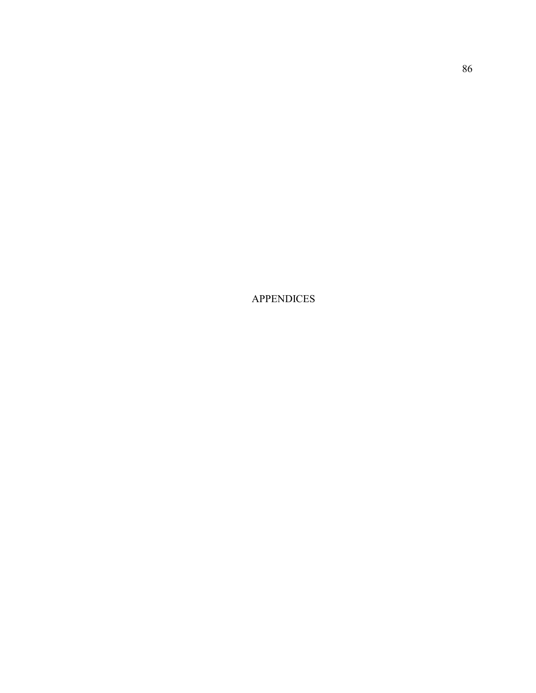APPENDICES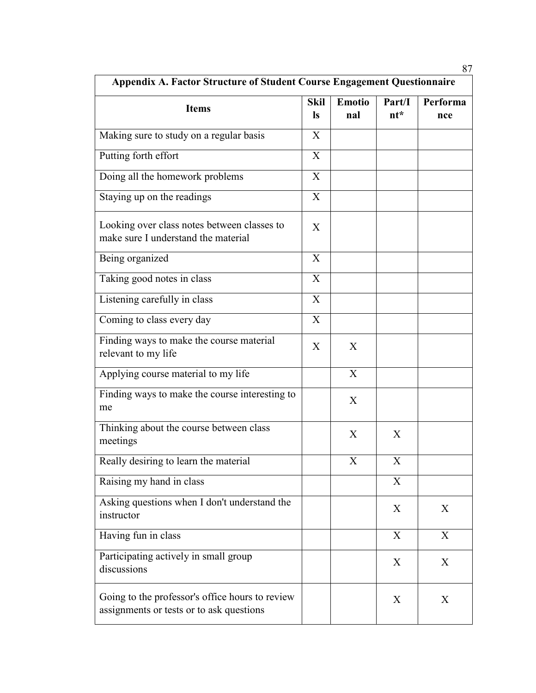| <b>Appendix A. Factor Structure of Student Course Engagement Questionnaire</b>              |                           |                      |                  |                 |  |
|---------------------------------------------------------------------------------------------|---------------------------|----------------------|------------------|-----------------|--|
| <b>Items</b>                                                                                | <b>Skil</b><br><b>ls</b>  | <b>Emotio</b><br>nal | Part/I<br>$nt^*$ | Performa<br>nce |  |
| Making sure to study on a regular basis                                                     | X                         |                      |                  |                 |  |
| Putting forth effort                                                                        | X                         |                      |                  |                 |  |
| Doing all the homework problems                                                             | X                         |                      |                  |                 |  |
| Staying up on the readings                                                                  | X                         |                      |                  |                 |  |
| Looking over class notes between classes to<br>make sure I understand the material          | X                         |                      |                  |                 |  |
| Being organized                                                                             | X                         |                      |                  |                 |  |
| Taking good notes in class                                                                  | $\boldsymbol{\mathrm{X}}$ |                      |                  |                 |  |
| Listening carefully in class                                                                | X                         |                      |                  |                 |  |
| Coming to class every day                                                                   | X                         |                      |                  |                 |  |
| Finding ways to make the course material<br>relevant to my life                             | X                         | X                    |                  |                 |  |
| Applying course material to my life                                                         |                           | X                    |                  |                 |  |
| Finding ways to make the course interesting to<br>me                                        |                           | X                    |                  |                 |  |
| Thinking about the course between class<br>meetings                                         |                           | X                    | X                |                 |  |
| Really desiring to learn the material                                                       |                           | X                    | X                |                 |  |
| Raising my hand in class                                                                    |                           |                      | X                |                 |  |
| Asking questions when I don't understand the<br>instructor                                  |                           |                      | X                | X               |  |
| Having fun in class                                                                         |                           |                      | X                | X               |  |
| Participating actively in small group<br>discussions                                        |                           |                      | X                | X               |  |
| Going to the professor's office hours to review<br>assignments or tests or to ask questions |                           |                      | X                | X               |  |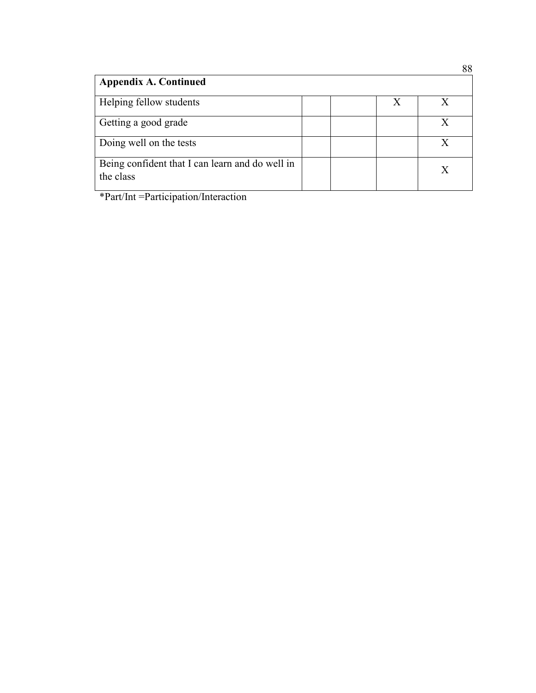|                                                              |  | vv |
|--------------------------------------------------------------|--|----|
| <b>Appendix A. Continued</b>                                 |  |    |
| Helping fellow students                                      |  |    |
| Getting a good grade                                         |  |    |
| Doing well on the tests                                      |  |    |
| Being confident that I can learn and do well in<br>the class |  | X  |

\*Part/Int =Participation/Interaction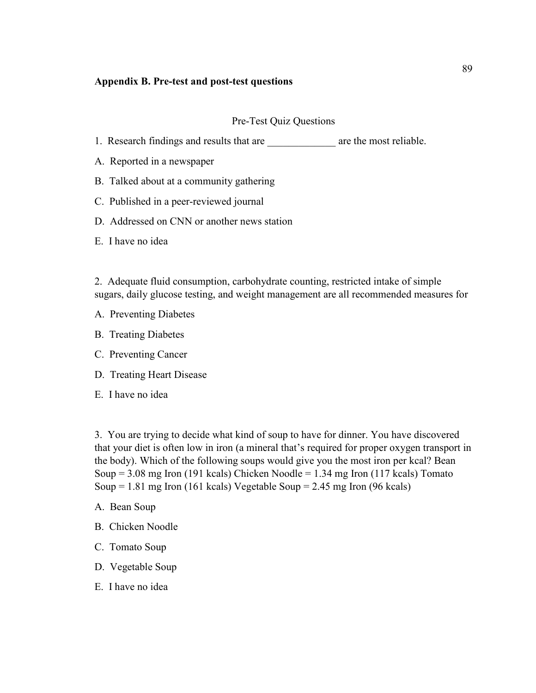## **Appendix B. Pre-test and post-test questions**

## Pre-Test Quiz Questions

- 1. Research findings and results that are  $\qquad$  are the most reliable.
- A. Reported in a newspaper
- B. Talked about at a community gathering
- C. Published in a peer-reviewed journal
- D. Addressed on CNN or another news station
- E. I have no idea

2. Adequate fluid consumption, carbohydrate counting, restricted intake of simple sugars, daily glucose testing, and weight management are all recommended measures for

- A. Preventing Diabetes
- B. Treating Diabetes
- C. Preventing Cancer
- D. Treating Heart Disease
- E. I have no idea

3. You are trying to decide what kind of soup to have for dinner. You have discovered that your diet is often low in iron (a mineral that's required for proper oxygen transport in the body). Which of the following soups would give you the most iron per kcal? Bean Soup  $= 3.08$  mg Iron (191 kcals) Chicken Noodle  $= 1.34$  mg Iron (117 kcals) Tomato Soup  $= 1.81$  mg Iron (161 kcals) Vegetable Soup  $= 2.45$  mg Iron (96 kcals)

- A. Bean Soup
- B. Chicken Noodle
- C. Tomato Soup
- D. Vegetable Soup
- E. I have no idea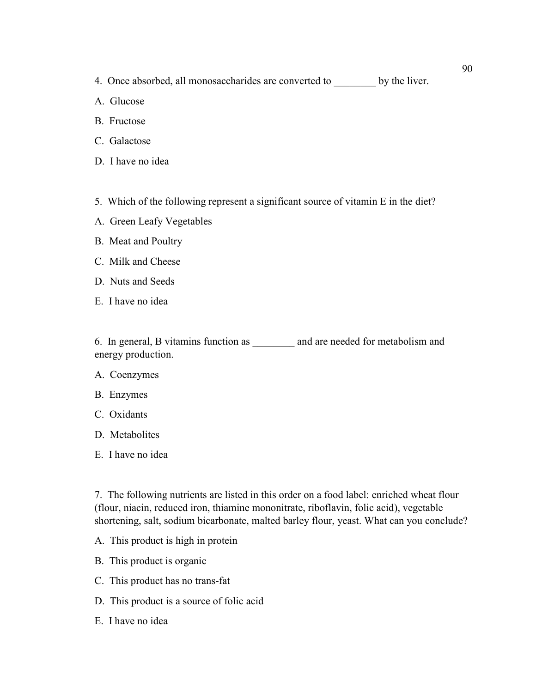4. Once absorbed, all monosaccharides are converted to \_\_\_\_\_\_\_\_ by the liver.

- A. Glucose
- B. Fructose
- C. Galactose
- D. I have no idea
- 5. Which of the following represent a significant source of vitamin E in the diet?
- A. Green Leafy Vegetables
- B. Meat and Poultry
- C. Milk and Cheese
- D. Nuts and Seeds
- E. I have no idea

6. In general, B vitamins function as \_\_\_\_\_\_\_\_ and are needed for metabolism and energy production.

- A. Coenzymes
- B. Enzymes
- C. Oxidants
- D. Metabolites
- E. I have no idea

7. The following nutrients are listed in this order on a food label: enriched wheat flour (flour, niacin, reduced iron, thiamine mononitrate, riboflavin, folic acid), vegetable shortening, salt, sodium bicarbonate, malted barley flour, yeast. What can you conclude?

- A. This product is high in protein
- B. This product is organic
- C. This product has no trans-fat
- D. This product is a source of folic acid
- E. I have no idea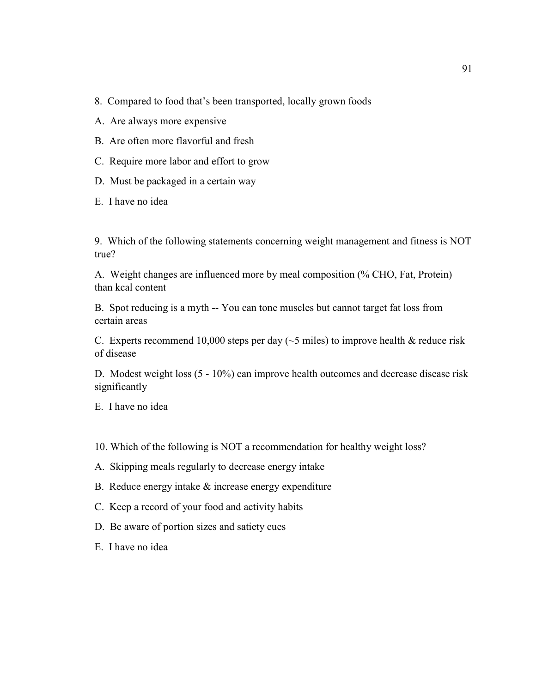- 8. Compared to food that's been transported, locally grown foods
- A. Are always more expensive
- B. Are often more flavorful and fresh
- C. Require more labor and effort to grow
- D. Must be packaged in a certain way
- E. I have no idea

9. Which of the following statements concerning weight management and fitness is NOT true?

A. Weight changes are influenced more by meal composition (% CHO, Fat, Protein) than kcal content

B. Spot reducing is a myth -- You can tone muscles but cannot target fat loss from certain areas

C. Experts recommend 10,000 steps per day ( $\sim$ 5 miles) to improve health & reduce risk of disease

D. Modest weight loss (5 - 10%) can improve health outcomes and decrease disease risk significantly

E. I have no idea

- 10. Which of the following is NOT a recommendation for healthy weight loss?
- A. Skipping meals regularly to decrease energy intake
- B. Reduce energy intake & increase energy expenditure
- C. Keep a record of your food and activity habits
- D. Be aware of portion sizes and satiety cues
- E. I have no idea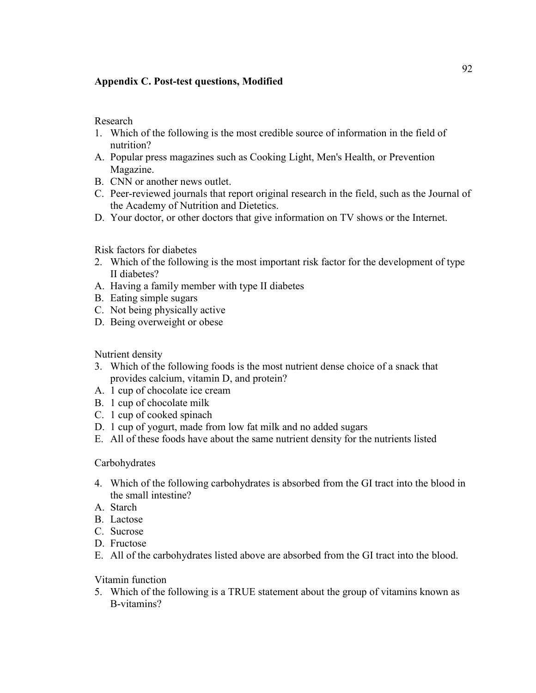# **Appendix C. Post-test questions, Modified**

Research

- 1. Which of the following is the most credible source of information in the field of nutrition?
- A. Popular press magazines such as Cooking Light, Men's Health, or Prevention Magazine.
- B. CNN or another news outlet.
- C. Peer-reviewed journals that report original research in the field, such as the Journal of the Academy of Nutrition and Dietetics.
- D. Your doctor, or other doctors that give information on TV shows or the Internet.

Risk factors for diabetes

- 2. Which of the following is the most important risk factor for the development of type II diabetes?
- A. Having a family member with type II diabetes
- B. Eating simple sugars
- C. Not being physically active
- D. Being overweight or obese

Nutrient density

- 3. Which of the following foods is the most nutrient dense choice of a snack that provides calcium, vitamin D, and protein?
- A. 1 cup of chocolate ice cream
- B. 1 cup of chocolate milk
- C. 1 cup of cooked spinach
- D. 1 cup of yogurt, made from low fat milk and no added sugars
- E. All of these foods have about the same nutrient density for the nutrients listed

# Carbohydrates

- 4. Which of the following carbohydrates is absorbed from the GI tract into the blood in the small intestine?
- A. Starch
- B. Lactose
- C. Sucrose
- D. Fructose
- E. All of the carbohydrates listed above are absorbed from the GI tract into the blood.

Vitamin function

5. Which of the following is a TRUE statement about the group of vitamins known as B-vitamins?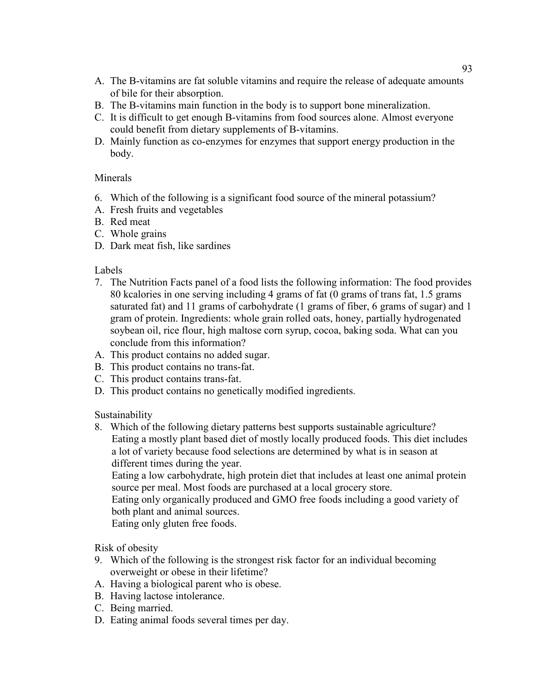- A. The B-vitamins are fat soluble vitamins and require the release of adequate amounts of bile for their absorption.
- B. The B-vitamins main function in the body is to support bone mineralization.
- C. It is difficult to get enough B-vitamins from food sources alone. Almost everyone could benefit from dietary supplements of B-vitamins.
- D. Mainly function as co-enzymes for enzymes that support energy production in the body.

# **Minerals**

- 6. Which of the following is a significant food source of the mineral potassium?
- A. Fresh fruits and vegetables
- B. Red meat
- C. Whole grains
- D. Dark meat fish, like sardines

## Labels

- 7. The Nutrition Facts panel of a food lists the following information: The food provides 80 kcalories in one serving including 4 grams of fat (0 grams of trans fat, 1.5 grams saturated fat) and 11 grams of carbohydrate (1 grams of fiber, 6 grams of sugar) and 1 gram of protein. Ingredients: whole grain rolled oats, honey, partially hydrogenated soybean oil, rice flour, high maltose corn syrup, cocoa, baking soda. What can you conclude from this information?
- A. This product contains no added sugar.
- B. This product contains no trans-fat.
- C. This product contains trans-fat.
- D. This product contains no genetically modified ingredients.

Sustainability

8. Which of the following dietary patterns best supports sustainable agriculture? Eating a mostly plant based diet of mostly locally produced foods. This diet includes a lot of variety because food selections are determined by what is in season at different times during the year.

Eating a low carbohydrate, high protein diet that includes at least one animal protein source per meal. Most foods are purchased at a local grocery store.

Eating only organically produced and GMO free foods including a good variety of both plant and animal sources.

Eating only gluten free foods.

Risk of obesity

- 9. Which of the following is the strongest risk factor for an individual becoming overweight or obese in their lifetime?
- A. Having a biological parent who is obese.
- B. Having lactose intolerance.
- C. Being married.
- D. Eating animal foods several times per day.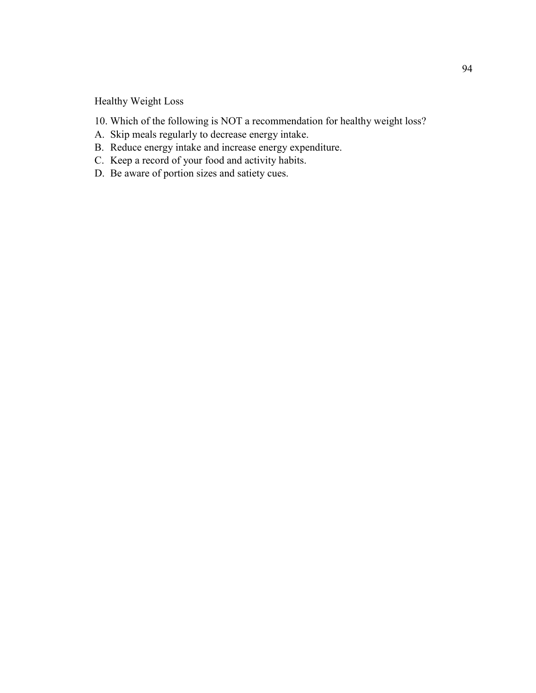Healthy Weight Loss

- 10. Which of the following is NOT a recommendation for healthy weight loss?
- A. Skip meals regularly to decrease energy intake.
- B. Reduce energy intake and increase energy expenditure.
- C. Keep a record of your food and activity habits.
- D. Be aware of portion sizes and satiety cues.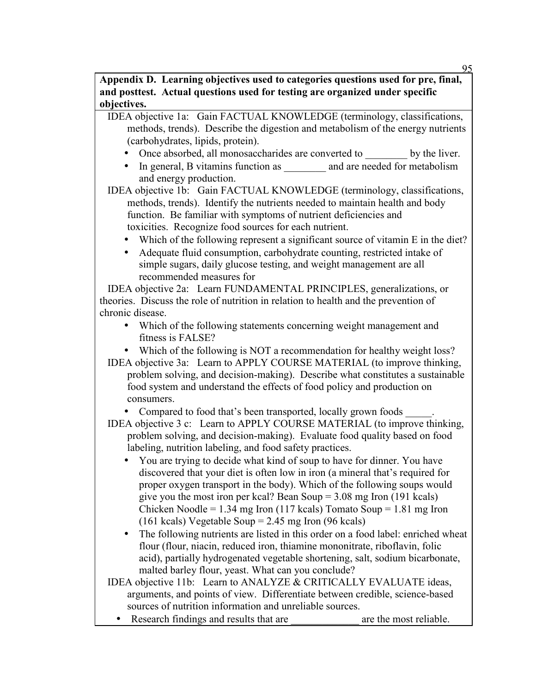95

**Appendix D. Learning objectives used to categories questions used for pre, final, and posttest. Actual questions used for testing are organized under specific objectives.**

IDEA objective 1a: Gain FACTUAL KNOWLEDGE (terminology, classifications, methods, trends). Describe the digestion and metabolism of the energy nutrients (carbohydrates, lipids, protein).

- Once absorbed, all monosaccharides are converted to by the liver.
- In general, B vitamins function as  $\qquad$  and are needed for metabolism and energy production.

IDEA objective 1b: Gain FACTUAL KNOWLEDGE (terminology, classifications, methods, trends). Identify the nutrients needed to maintain health and body function. Be familiar with symptoms of nutrient deficiencies and toxicities. Recognize food sources for each nutrient.

- Which of the following represent a significant source of vitamin E in the diet?
- Adequate fluid consumption, carbohydrate counting, restricted intake of simple sugars, daily glucose testing, and weight management are all recommended measures for

 IDEA objective 2a: Learn FUNDAMENTAL PRINCIPLES, generalizations, or theories. Discuss the role of nutrition in relation to health and the prevention of chronic disease.

- Which of the following statements concerning weight management and fitness is FALSE?
- Which of the following is NOT a recommendation for healthy weight loss?

IDEA objective 3a: Learn to APPLY COURSE MATERIAL (to improve thinking, problem solving, and decision-making). Describe what constitutes a sustainable food system and understand the effects of food policy and production on consumers.

• Compared to food that's been transported, locally grown foods

- IDEA objective 3 c: Learn to APPLY COURSE MATERIAL (to improve thinking, problem solving, and decision-making). Evaluate food quality based on food labeling, nutrition labeling, and food safety practices.
	- You are trying to decide what kind of soup to have for dinner. You have discovered that your diet is often low in iron (a mineral that's required for proper oxygen transport in the body). Which of the following soups would give you the most iron per kcal? Bean Soup = 3.08 mg Iron (191 kcals) Chicken Noodle =  $1.34$  mg Iron (117 kcals) Tomato Soup =  $1.81$  mg Iron (161 kcals) Vegetable Soup = 2.45 mg Iron (96 kcals)
	- The following nutrients are listed in this order on a food label: enriched wheat flour (flour, niacin, reduced iron, thiamine mononitrate, riboflavin, folic acid), partially hydrogenated vegetable shortening, salt, sodium bicarbonate, malted barley flour, yeast. What can you conclude?
- IDEA objective 11b: Learn to ANALYZE & CRITICALLY EVALUATE ideas, arguments, and points of view. Differentiate between credible, science-based sources of nutrition information and unreliable sources.
	- Research findings and results that are  $\qquad$  are the most reliable.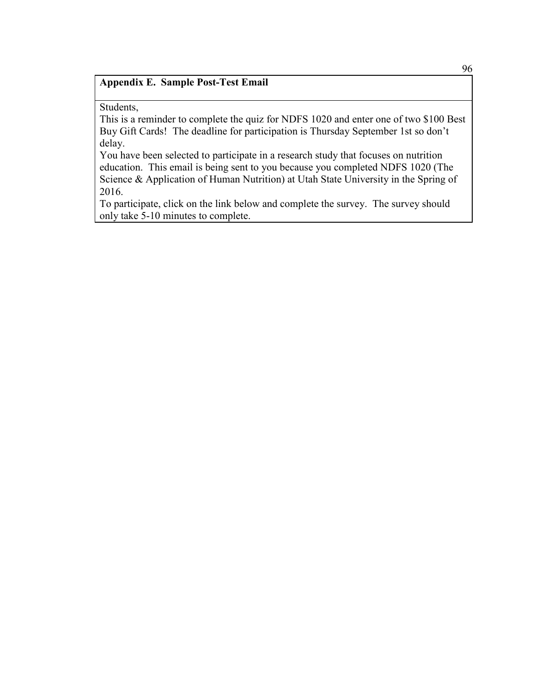## **Appendix E. Sample Post-Test Email**

Students,

This is a reminder to complete the quiz for NDFS 1020 and enter one of two \$100 Best Buy Gift Cards! The deadline for participation is Thursday September 1st so don't delay.

You have been selected to participate in a research study that focuses on nutrition education. This email is being sent to you because you completed NDFS 1020 (The Science & Application of Human Nutrition) at Utah State University in the Spring of 2016.

To participate, click on the link below and complete the survey. The survey should only take 5-10 minutes to complete.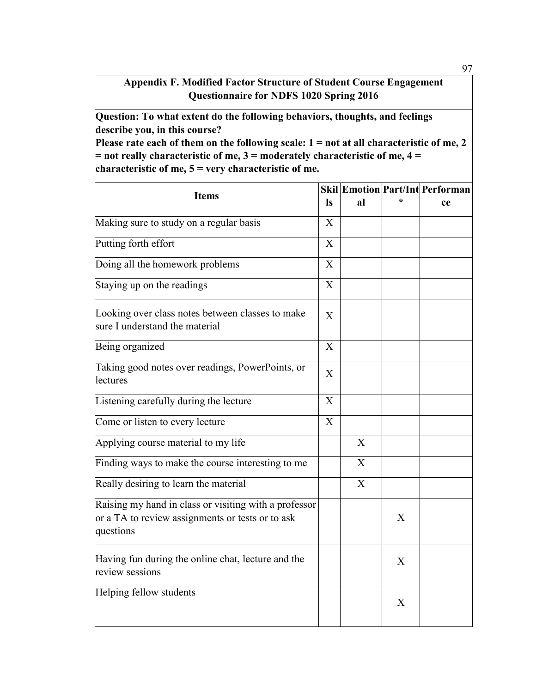## **Appendix F. Modified Factor Structure of Student Course Engagement Questionnaire for NDFS 1020 Spring 2016**

**Question: To what extent do the following behaviors, thoughts, and feelings describe you, in this course?** 

**Please rate each of them on the following scale: 1 = not at all characteristic of me, 2 = not really characteristic of me, 3 = moderately characteristic of me, 4 = characteristic of me, 5 = very characteristic of me.** 

| <b>Items</b>                                                                                                           |                           |    |             | <b>Skil Emotion Part/Int Performan</b> |
|------------------------------------------------------------------------------------------------------------------------|---------------------------|----|-------------|----------------------------------------|
|                                                                                                                        |                           | al |             | ce                                     |
| Making sure to study on a regular basis                                                                                | X                         |    |             |                                        |
| Putting forth effort                                                                                                   | X                         |    |             |                                        |
| Doing all the homework problems                                                                                        | X                         |    |             |                                        |
| Staying up on the readings                                                                                             | X                         |    |             |                                        |
| Looking over class notes between classes to make<br>sure I understand the material                                     | X                         |    |             |                                        |
| Being organized                                                                                                        | X                         |    |             |                                        |
| Taking good notes over readings, PowerPoints, or<br>lectures                                                           | X                         |    |             |                                        |
| Listening carefully during the lecture                                                                                 | $\boldsymbol{\mathrm{X}}$ |    |             |                                        |
| Come or listen to every lecture                                                                                        | $\boldsymbol{\mathrm{X}}$ |    |             |                                        |
| Applying course material to my life                                                                                    |                           | X  |             |                                        |
| Finding ways to make the course interesting to me                                                                      |                           | X  |             |                                        |
| Really desiring to learn the material                                                                                  |                           | X  |             |                                        |
| Raising my hand in class or visiting with a professor<br>or a TA to review assignments or tests or to ask<br>questions |                           |    | X           |                                        |
| Having fun during the online chat, lecture and the<br>review sessions                                                  |                           |    | $\mathbf X$ |                                        |
| Helping fellow students                                                                                                |                           |    | X           |                                        |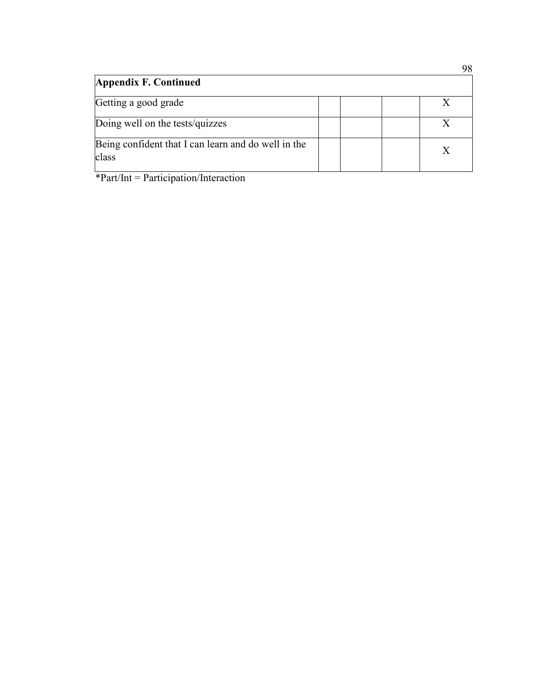| <b>Appendix F. Continued</b>                                 |  | ╯◡ |
|--------------------------------------------------------------|--|----|
| Getting a good grade                                         |  |    |
| Doing well on the tests/quizzes                              |  |    |
| Being confident that I can learn and do well in the<br>class |  |    |

\*Part/Int = Participation/Interaction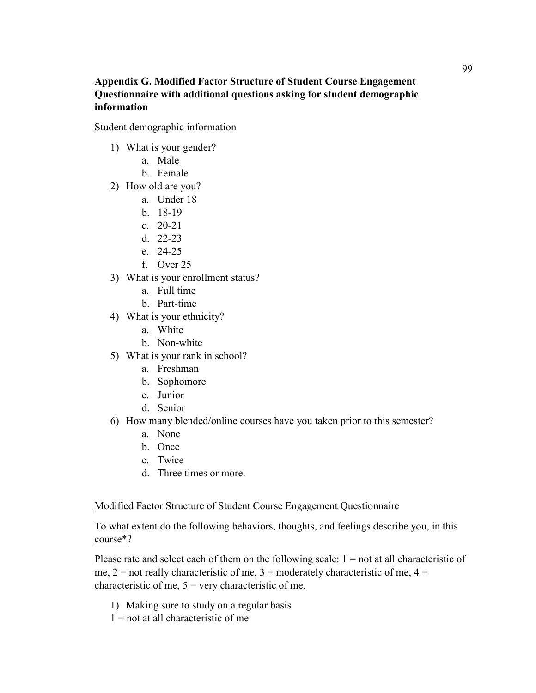## **Appendix G. Modified Factor Structure of Student Course Engagement Questionnaire with additional questions asking for student demographic information**

Student demographic information

- 1) What is your gender?
	- a. Male
	- b. Female
- 2) How old are you?
	- a. Under 18
	- b. 18-19
	- c. 20-21
	- d. 22-23
	- e. 24-25
	- f. Over 25
- 3) What is your enrollment status?
	- a. Full time
	- b. Part-time
- 4) What is your ethnicity?
	- a. White
	- b. Non-white
- 5) What is your rank in school?
	- a. Freshman
	- b. Sophomore
	- c. Junior
	- d. Senior
- 6) How many blended/online courses have you taken prior to this semester?
	- a. None
	- b. Once
	- c. Twice
	- d. Three times or more.

## Modified Factor Structure of Student Course Engagement Questionnaire

To what extent do the following behaviors, thoughts, and feelings describe you, in this course\*?

Please rate and select each of them on the following scale:  $1 =$  not at all characteristic of me,  $2 =$  not really characteristic of me,  $3 =$  moderately characteristic of me,  $4 =$ characteristic of me,  $5 = \text{very characteristic of me.}$ 

- 1) Making sure to study on a regular basis
- $1 =$  not at all characteristic of me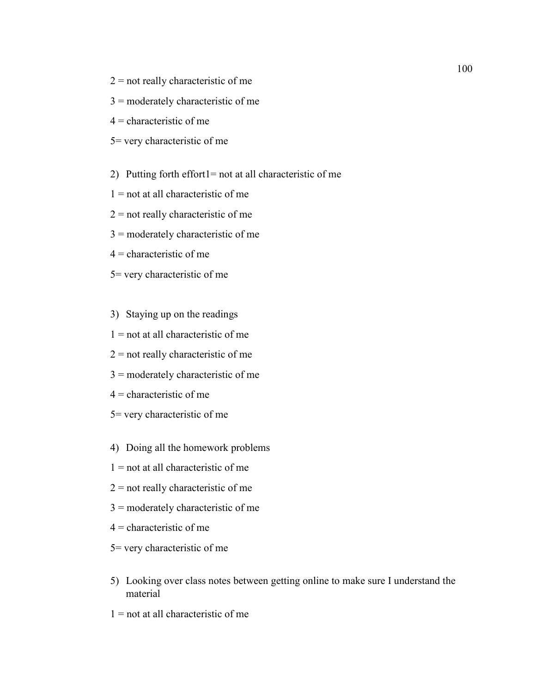- $2$  = not really characteristic of me
- 3 = moderately characteristic of me
- $4$  = characteristic of me
- 5= very characteristic of me
- 2) Putting forth effort1= not at all characteristic of me
- $1 =$  not at all characteristic of me
- $2$  = not really characteristic of me
- $3 =$  moderately characteristic of me
- $4$  = characteristic of me
- 5= very characteristic of me
- 3) Staying up on the readings
- $1 =$  not at all characteristic of me
- $2$  = not really characteristic of me
- $3 =$  moderately characteristic of me
- $4$  = characteristic of me
- 5= very characteristic of me
- 4) Doing all the homework problems
- $1 =$  not at all characteristic of me
- $2$  = not really characteristic of me
- 3 = moderately characteristic of me
- $4$  = characteristic of me
- 5= very characteristic of me
- 5) Looking over class notes between getting online to make sure I understand the material
- $1 =$  not at all characteristic of me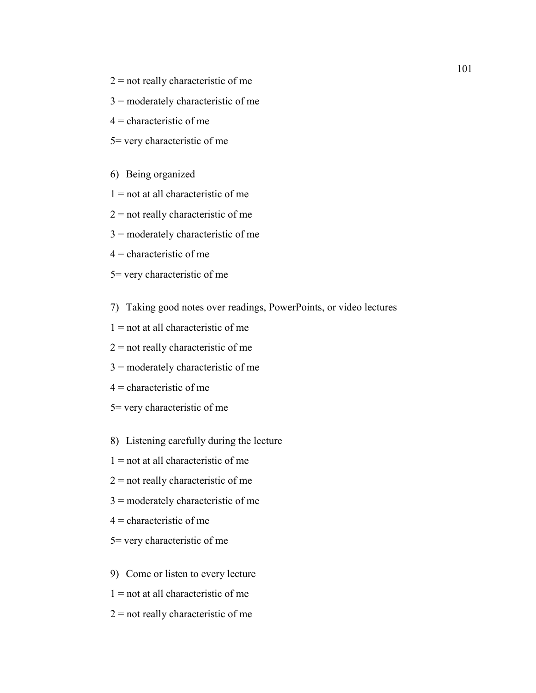- $2$  = not really characteristic of me
- 3 = moderately characteristic of me
- $4$  = characteristic of me
- 5= very characteristic of me
- 6) Being organized
- $1 =$  not at all characteristic of me
- $2$  = not really characteristic of me
- 3 = moderately characteristic of me
- $4$  = characteristic of me
- 5= very characteristic of me
- 7) Taking good notes over readings, PowerPoints, or video lectures
- $1 =$  not at all characteristic of me
- $2$  = not really characteristic of me
- 3 = moderately characteristic of me
- $4$  = characteristic of me
- 5= very characteristic of me
- 8) Listening carefully during the lecture
- $1 =$  not at all characteristic of me
- $2$  = not really characteristic of me
- 3 = moderately characteristic of me
- $4$  = characteristic of me
- 5= very characteristic of me
- 9) Come or listen to every lecture
- $1 =$  not at all characteristic of me
- $2$  = not really characteristic of me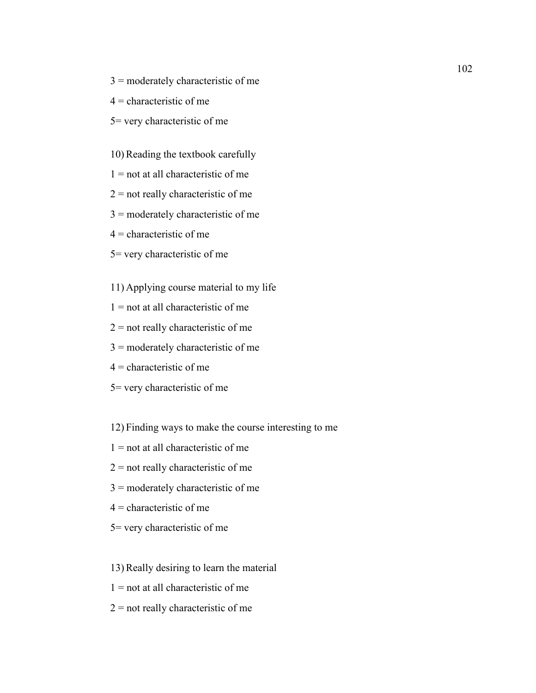- $3 =$  moderately characteristic of me
- $4$  = characteristic of me
- 5= very characteristic of me

10) Reading the textbook carefully

- $1 =$  not at all characteristic of me
- $2$  = not really characteristic of me
- 3 = moderately characteristic of me
- $4$  = characteristic of me
- 5= very characteristic of me
- 11) Applying course material to my life
- $1 =$  not at all characteristic of me
- $2$  = not really characteristic of me
- 3 = moderately characteristic of me
- $4$  = characteristic of me
- 5= very characteristic of me
- 12) Finding ways to make the course interesting to me
- $1 =$  not at all characteristic of me
- $2$  = not really characteristic of me
- 3 = moderately characteristic of me
- $4$  = characteristic of me
- 5= very characteristic of me
- 13) Really desiring to learn the material
- $1 =$  not at all characteristic of me
- $2$  = not really characteristic of me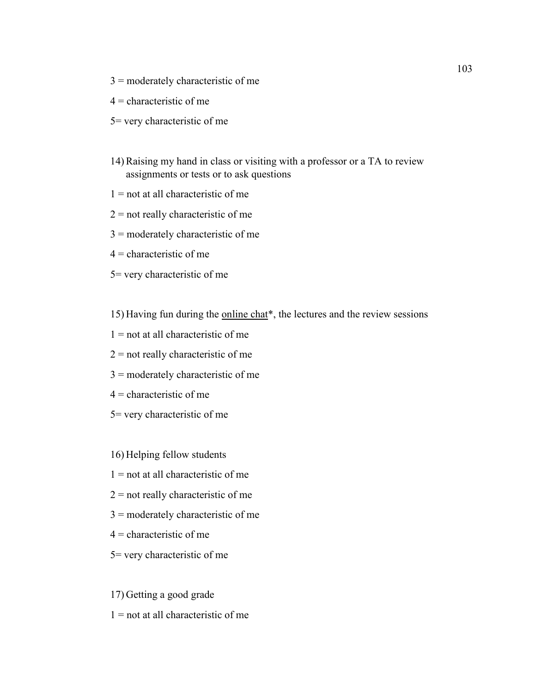- $3 =$  moderately characteristic of me
- $4$  = characteristic of me
- 5= very characteristic of me
- 14) Raising my hand in class or visiting with a professor or a TA to review assignments or tests or to ask questions
- $1 =$  not at all characteristic of me
- $2$  = not really characteristic of me
- $3 =$  moderately characteristic of me
- $4$  = characteristic of me
- 5= very characteristic of me

15) Having fun during the online chat\*, the lectures and the review sessions

- $1 =$  not at all characteristic of me
- $2$  = not really characteristic of me
- $3 =$  moderately characteristic of me
- $4$  = characteristic of me
- 5= very characteristic of me

16) Helping fellow students

- $1 =$  not at all characteristic of me
- $2$  = not really characteristic of me
- 3 = moderately characteristic of me
- $4$  = characteristic of me
- 5= very characteristic of me

17) Getting a good grade

 $1 =$  not at all characteristic of me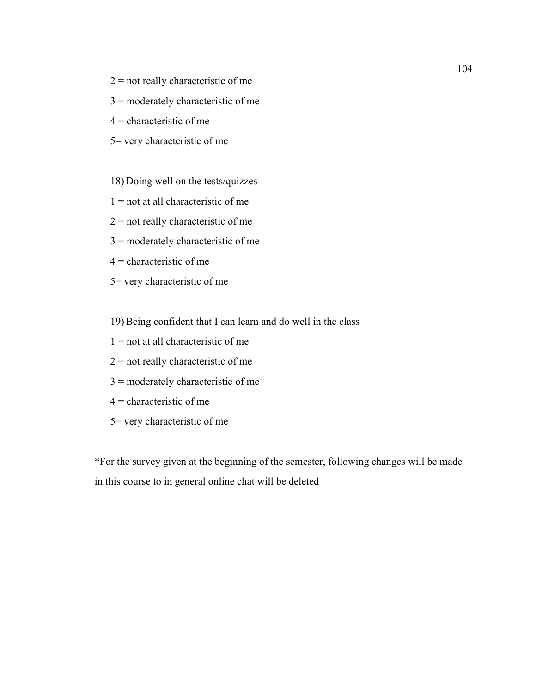- $2$  = not really characteristic of me
- 3 = moderately characteristic of me
- $4$  = characteristic of me
- 5= very characteristic of me
- 18) Doing well on the tests/quizzes
- $1 =$  not at all characteristic of me
- $2$  = not really characteristic of me
- 3 = moderately characteristic of me
- $4$  = characteristic of me
- 5= very characteristic of me
- 19) Being confident that I can learn and do well in the class
- $1 =$  not at all characteristic of me
- $2 =$  not really characteristic of me
- 3 = moderately characteristic of me
- $4$  = characteristic of me
- 5= very characteristic of me

\*For the survey given at the beginning of the semester, following changes will be made in this course to in general online chat will be deleted